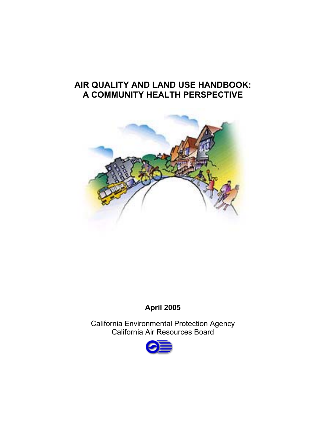# **AIR QUALITY AND LAND USE HANDBOOK: A COMMUNITY HEALTH PERSPECTIVE**



## **April 2005**

California Environmental Protection Agency California Air Resources Board

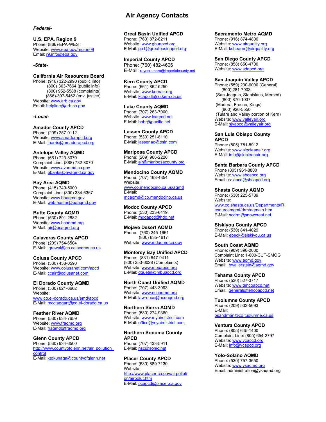#### *Federal-*

**U.S. EPA, Region 9**  Phone: (866)-EPA-WEST Website: [www.epa.gov/region09](http://www.epa.gov/region09)  Email: r9.info@epa.gov

#### *-State-*

Email: helpline@arb.ca.gov **California Air Resources Board**  Phone: (916) 322-2990 (public info) (800) 363-7664 (public info) (800) 952-5588 (complaints) (866)-397-5462 (env. justice) Website: [www.arb.ca.gov](http://www.arb.ca.gov/) U.S. EPA, Region of the Mail: Constrained Profiles and Unified APCD<br>
Phone (350): EPA, Mail: Constrained The Mail: Constrained The Mail: Constrained Creat Constrained Creat Constrained Creat Constrained Creat Creat Create

#### *-Local-*

**Amador County APCD**  Phone: (209) 257-0112 Website: [www.amadorapcd.org](http://www.amadorapcd.org/) E-Mail: [jharris@amadorapcd.org](mailto:jharris@amadorapcd.org) 

#### **Antelope Valley AQMD**  Phone: (661) 723-8070 Complaint Line: (888) 732-8070 Website: [www.avaqmd.ca.gov](http://www.avaqmd.ca.gov/) E-Mail: [bbanks@avaqmd.ca.gov](mailto:bbanks@avaqmd.ca.gov)

**Bay Area AQMD**  Phone: (415) 749-5000 Complaint Line: (800) 334-6367 Website: [www.baaqmd.gov](http://www.baaqmd.gov/) E-Mail: [webmaster@baaqmd.gov](mailto:webmaster@baaqmd.gov) 

**Butte County AQMD**  Phone: (530) 891-2882 Website: [www.bcaqmd.org](http://www.bcaqmd.org/) E-Mail: [air@bcaqmd.org](mailto:air@bcaqmd.org) 

#### **Calaveras County APCD**  Phone: (209) 754-6504 E-Mail: [lgrewal@co.calaveras.ca.us](mailto:lgrewal@co.calaveras.ca.us)

**Colusa County APCD**  Phone: (530) 458-0590 Website: [www.colusanet.com/apcd](http://www.colusanet.com/apcd) E-Mail: [ccair@colusanet.com](mailto:ccair@colusanet.com)

**El Dorado County AQMD**  Phone: (530) 621-6662 Website: [www.co.el-dorado.ca.us/emd/apcd](http://www.co.el-dorado.ca.us/emd/apcd)  E-Mail: [mcctaggart@co.el-dorado.ca.us](mailto:mcctaggart@co.el-dorado.ca.us) 

**Feather River AQMD**  Phone: (530) 634-7659 Website: [www.fraqmd.org](http://www.fraqmd.org/)  E-Mail: [fraqmd@fraqmd.org](mailto:fraqmd@fraqmd.org)

E-Mail: ktokunaga@countyofglenn.net **Glenn County APCD**  Phone: (530) 934-6500 http://www.countyofglenn.net/air\_pollution [control](http://www.countyofglenn.net/air_pollution_control)

Phone: (760) 872-8211 Website: www.gbuapcd.org E-Mail: [gb1@greatbasinapcd.org](mailto:gb1@greatbasinapcd.org) 

**Imperial County APCD**  Phone: (760) 482-4606 E-Mail: [reyesromero@imperialcounty.net](mailto:reyesromero@imperialcounty.net) 

**Kern County APCD**  Phone: (661) 862-5250 Website: [www.kernair.org](http://www.kernair.org/)  E-Mail: kcapcd@co.kern.ca.us

E-Mail: [bobr@pacific.net](mailto:bobr@pacific.net) **Lake County AQMD**  Phone: (707) 263-7000 Website: www.lcaqmd.net

**Lassen County APCD**  Phone: (530) 251-8110 E-Mail: [lassenag@psln.com](mailto:lassenag@psln.com)

**Mariposa County APCD**  Phone: (209) 966-2220 E-Mail: [air@mariposacounty.org](mailto:air@mariposacounty.org) 

**Mendocino County AQMD**  Phone: (707) 463-4354 Website: [www.co.mendocino.ca.us/aqmd](http://www.co.mendocino.ca.us/aqmd) E-Mail: [mcaqmd@co.mendocino.ca.us](mailto:mcaqmd@co.mendocino.ca.us) 

**Modoc County APCD**  Phone: (530) 233-6419 E-Mail: [modapcd@hdo.net](mailto:modapcd@hdo.net) 

**Mojave Desert AQMD**  Phone: (760) 245-1661 (800) 635-4617 Website: [www.mdaqmd.ca.gov](http://www.mdaqmd.ca.gov/)

**Monterey Bay Unified APCD**  Phone: (831) 647-9411 (800) 253-6028 (Complaints) Website: [www.mbuapcd.org](http://www.mbuapcd.org/) E-Mail: [dquetin@mbuapcd.org](mailto:dquetin@mbuapcd.org) 

**North Coast Unified AQMD**  Phone: (707) 443-3093 Website: [www.ncuaqmd.org](http://www.ncuaqmd.org/) E-Mail: [lawrence@ncuaqmd.org](mailto:lawrence@ncuaqmd.org) 

**Northern Sierra AQMD**  Phone: (530) 274-9360 Website: [www.myairdistrict.com](http://www.myairdistrict.com/) E-Mail: [office@myairdistrict.com](mailto:office@myairdistrict.com)

**Northern Sonoma County APCD**  Phone: (707) 433-5911 E-Mail: nsc@sonic.net

**Placer County APCD**  Phone: (530) 889-7130 Website: [http://www.placer.ca.gov/airpolluti](http://www.placer.ca.gov/airpollution/airpolut.htm)  [on/airpolut.htm](http://www.placer.ca.gov/airpollution/airpolut.htm)  E-Mail: [pcapcd@placer.ca.gov](mailto:pcapcd@placer.ca.gov)

E-Mail: **kshearer@airquality.org Sacramento Metro AQMD**  Phone: (916) 874-4800 Website: www.airquality.org

**San Diego County APCD**  Phone: (858) 650-4700 Website: [www.sdapcd.org](http://www.sdapcd.org/)

E-Mail: sivapcd@valleyair.org **San Joaquin Valley APCD**  Phone: (559) 230-6000 (General) (800) 281-7003 (San Joaquin, Stanislaus, Merced) (800) 870-1037 (Madera, Fresno, Kings) (800) 926-5550 (Tulare and Valley portion of Kern) Website: www.valleyair.org

**San Luis Obispo County APCD**  Phone: (805) 781-5912 Website: www.slocleanair.org E-Mail: *info@slocleanair.org* 

**Santa Barbara County APCD**  Phone (805) 961-8800 Website: [www.sbcapcd.org](http://www.sbcapcd.org/)<br>Email us: [apcd@sbcapcd.org](mailto:apcd@sbcapcd.org)

**Shasta County AQMD**  Phone: (530) 225-5789 Website: [www.co.shasta.ca.us/Departments/R](http://www.co.shasta.ca.us/Departments/Resourcemgmt/drm/aqmain.htm) [esourcemgmt/drm/aqmain.htm](http://www.co.shasta.ca.us/Departments/Resourcemgmt/drm/aqmain.htm)  E-Mail: [scdrm@snowcrest.net](mailto:scdrm@snowcrest.net)

**Siskiyou County APCD**  Phone: (530) 841-4029 E-Mail: [ebeck@siskiyou.ca.us](mailto:ebeck@siskiyou.ca.us) 

Website: www.aqmd.gov **South Coast AQMD**  Phone: (909) 396-2000 Complaint Line: 1-800-CUT-SMOG Email:[bwallerstein@aqmd.gov](mailto:bwallerstein@aqmd.gov)

Website: <u>[www.tehcoapcd.net](http://www.tehcoapcd.net/)</u><br>Email: <u>general@tehcoapcd.net</u> **Tehama County APCD**  Phone: (530) 527-3717

**Tuolumne County APCD**  Phone: (209) 533-5693 E-Mail: [bsandman@co.tuolumne.ca.us](mailto:bsandman@co.tuolumne.ca.us) 

**Ventura County APCD**  Phone: (805) 645-1400

Complaint Line: (805) 654-2797 Website: www.vcapcd.org E-Mail: [info@vcapcd.org](mailto:info@vcapcd.org)

**Yolo-Solano AQMD**  Phone: (530) 757-3650 Website: [www.ysaqmd.org](http://www.ysaqmd.org/) Email: administration@ysaqmd.org

#### **Air Agency Contacts**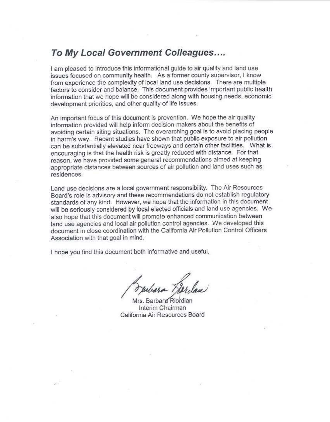# To My Local Government Colleagues.... **To My Local Government Colleagues ....**

I am pleased to introduce this informational guide to air quality and land use I am pleased to introduce this informational guide to air quality and land use issues focused on community health. As a former county supervisor, I know it. from experience the complexity of local land use decisions. There are multiple from experience the complexity of local land use decisions. There are multiple factors to consider and balance. This document provides important public health factors to consider and balance. This document provides important public health information that we hope will be considered along with housing needs, economic information that we hope will be considered along with housing needs, economic development priorities, and other quality of life issues. development priorities, and other quality of life issues.

An important focus of this document is prevention. We hope the air quality An important focus of this document is prevention. We hope the air quality information provided will help inform decision-makers about the benefits of avoiding certain siting situations. The overarching goal is to avoid placing people avoiding certain siting situations. The overarching goal is to avoid placing people in harm's way. Recent studies have shown that public exposure lo air pollution in harm's way. Recent studies have shown that public exposure to air pollution can be substantially elevated near freeways and certain other facilities. What is can be substantially elevated near freeways and certain other facilities. encouraging is that the health risk is greatly reduced with distance. For that reason, we have provided some general recommendations aimed at keeping reason, we have provided some general recommendations aimed at keeping appropriate distances between sources of air pollution and land uses such as appropriate distances between sources **of** air pollution and land uses such as residences. residences. information provided will help inform decision-makers about the benefrts of encouraging is that the health risk is greatly reduced with distance. For that

Land use decisions are a local government responsibility. The Air Resources Land use decisions are a local government responsibility. The Air Resources Board's role is advisory and these recommendations do not establish regulatory Board's role is advisory and these recommendations do not establish regulatory standards of any kind. However, we hope that the information in this document will be seriously considered by local elected officials and land use agencies. We also hope that this document will promote enhanced communication between also hope that this document will promote enhanced communication between land use agencies and local air pollution control agencies. We developed this land use agencies and local air pollution control agencies. We developed this document in close coordination with the California Air Pollution Control Officers document in close coordination with the California Air Pollution Control Officers Association with that goal in mind. Association with that goal in mind.

I hope you find this document both informative and useful. I hope you find this document both informative and useful.

*Muliara Fierdau*<br>Mrs. Barbara Riordian

Interim Chairman Interim Chairman California Air Resources Board California Air Resources Board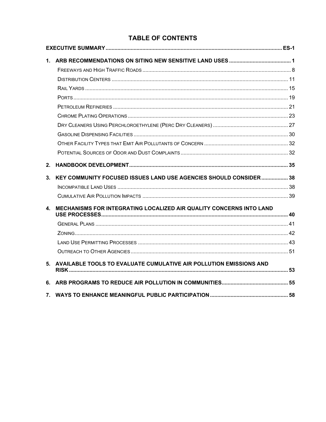### **TABLE OF CONTENTS**

| 2.             |                                                                     |  |  |
|----------------|---------------------------------------------------------------------|--|--|
| 3 <sub>1</sub> | KEY COMMUNITY FOCUSED ISSUES LAND USE AGENCIES SHOULD CONSIDER 38   |  |  |
|                |                                                                     |  |  |
|                |                                                                     |  |  |
| 4.             | MECHANISMS FOR INTEGRATING LOCALIZED AIR QUALITY CONCERNS INTO LAND |  |  |
|                |                                                                     |  |  |
|                |                                                                     |  |  |
|                |                                                                     |  |  |
|                |                                                                     |  |  |
| 5.             | AVAILABLE TOOLS TO EVALUATE CUMULATIVE AIR POLLUTION EMISSIONS AND  |  |  |
|                |                                                                     |  |  |
| 7.             |                                                                     |  |  |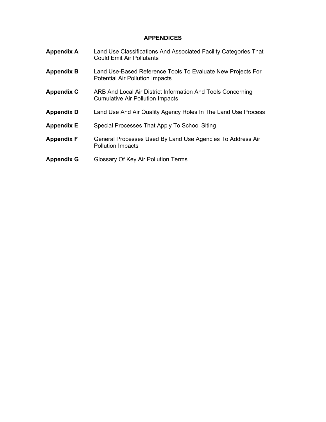#### **APPENDICES**

| <b>Appendix A</b> | Land Use Classifications And Associated Facility Categories That<br><b>Could Emit Air Pollutants</b>   |
|-------------------|--------------------------------------------------------------------------------------------------------|
| <b>Appendix B</b> | Land Use-Based Reference Tools To Evaluate New Projects For<br><b>Potential Air Pollution Impacts</b>  |
| <b>Appendix C</b> | ARB And Local Air District Information And Tools Concerning<br><b>Cumulative Air Pollution Impacts</b> |
| <b>Appendix D</b> | Land Use And Air Quality Agency Roles In The Land Use Process                                          |
| <b>Appendix E</b> | Special Processes That Apply To School Siting                                                          |
| <b>Appendix F</b> | General Processes Used By Land Use Agencies To Address Air<br><b>Pollution Impacts</b>                 |
| <b>Appendix G</b> | Glossary Of Key Air Pollution Terms                                                                    |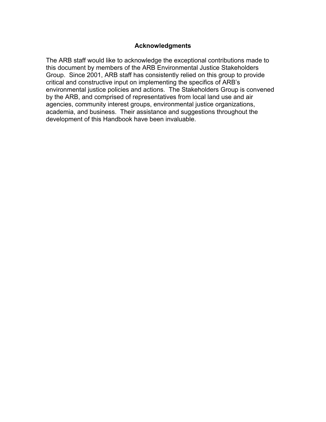#### **Acknowledgments**

The ARB staff would like to acknowledge the exceptional contributions made to this document by members of the ARB Environmental Justice Stakeholders Group. Since 2001, ARB staff has consistently relied on this group to provide critical and constructive input on implementing the specifics of ARB's environmental justice policies and actions. The Stakeholders Group is convened by the ARB, and comprised of representatives from local land use and air agencies, community interest groups, environmental justice organizations, academia, and business. Their assistance and suggestions throughout the development of this Handbook have been invaluable.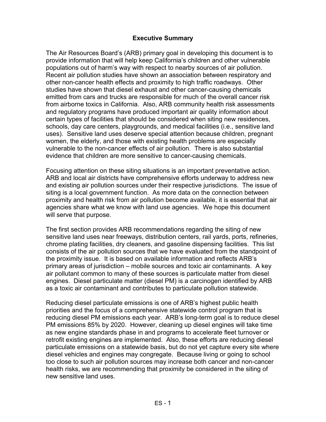#### **Executive Summary**

<span id="page-7-0"></span>The Air Resources Board's (ARB) primary goal in developing this document is to provide information that will help keep California's children and other vulnerable populations out of harm's way with respect to nearby sources of air pollution. Recent air pollution studies have shown an association between respiratory and other non-cancer health effects and proximity to high traffic roadways. Other studies have shown that diesel exhaust and other cancer-causing chemicals emitted from cars and trucks are responsible for much of the overall cancer risk from airborne toxics in California. Also, ARB community health risk assessments and regulatory programs have produced important air quality information about certain types of facilities that should be considered when siting new residences, schools, day care centers, playgrounds, and medical facilities (i.e., sensitive land uses). Sensitive land uses deserve special attention because children, pregnant women, the elderly, and those with existing health problems are especially vulnerable to the non-cancer effects of air pollution. There is also substantial evidence that children are more sensitive to cancer-causing chemicals.

Focusing attention on these siting situations is an important preventative action. ARB and local air districts have comprehensive efforts underway to address new and existing air pollution sources under their respective jurisdictions. The issue of siting is a local government function. As more data on the connection between proximity and health risk from air pollution become available, it is essential that air agencies share what we know with land use agencies. We hope this document will serve that purpose.

The first section provides ARB recommendations regarding the siting of new sensitive land uses near freeways, distribution centers, rail yards, ports, refineries, chrome plating facilities, dry cleaners, and gasoline dispensing facilities. This list consists of the air pollution sources that we have evaluated from the standpoint of the proximity issue. It is based on available information and reflects ARB's primary areas of jurisdiction – mobile sources and toxic air contaminants. A key air pollutant common to many of these sources is particulate matter from diesel engines. Diesel particulate matter (diesel PM) is a carcinogen identified by ARB as a toxic air contaminant and contributes to particulate pollution statewide.

Reducing diesel particulate emissions is one of ARB's highest public health priorities and the focus of a comprehensive statewide control program that is reducing diesel PM emissions each year. ARB's long-term goal is to reduce diesel PM emissions 85% by 2020. However, cleaning up diesel engines will take time as new engine standards phase in and programs to accelerate fleet turnover or retrofit existing engines are implemented. Also, these efforts are reducing diesel particulate emissions on a statewide basis, but do not yet capture every site where diesel vehicles and engines may congregate. Because living or going to school too close to such air pollution sources may increase both cancer and non-cancer health risks, we are recommending that proximity be considered in the siting of new sensitive land uses.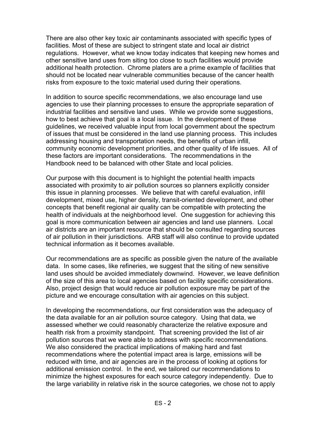There are also other key toxic air contaminants associated with specific types of facilities. Most of these are subject to stringent state and local air district regulations. However, what we know today indicates that keeping new homes and other sensitive land uses from siting too close to such facilities would provide additional health protection. Chrome platers are a prime example of facilities that should not be located near vulnerable communities because of the cancer health risks from exposure to the toxic material used during their operations.

In addition to source specific recommendations, we also encourage land use agencies to use their planning processes to ensure the appropriate separation of industrial facilities and sensitive land uses. While we provide some suggestions, how to best achieve that goal is a local issue. In the development of these guidelines, we received valuable input from local government about the spectrum of issues that must be considered in the land use planning process. This includes addressing housing and transportation needs, the benefits of urban infill, community economic development priorities, and other quality of life issues. All of these factors are important considerations. The recommendations in the Handbook need to be balanced with other State and local policies.

Our purpose with this document is to highlight the potential health impacts associated with proximity to air pollution sources so planners explicitly consider this issue in planning processes. We believe that with careful evaluation, infill development, mixed use, higher density, transit-oriented development, and other concepts that benefit regional air quality can be compatible with protecting the health of individuals at the neighborhood level. One suggestion for achieving this goal is more communication between air agencies and land use planners. Local air districts are an important resource that should be consulted regarding sources of air pollution in their jurisdictions. ARB staff will also continue to provide updated technical information as it becomes available.

Our recommendations are as specific as possible given the nature of the available data. In some cases, like refineries, we suggest that the siting of new sensitive land uses should be avoided immediately downwind. However, we leave definition of the size of this area to local agencies based on facility specific considerations. Also, project design that would reduce air pollution exposure may be part of the picture and we encourage consultation with air agencies on this subject.

In developing the recommendations, our first consideration was the adequacy of the data available for an air pollution source category. Using that data, we assessed whether we could reasonably characterize the relative exposure and health risk from a proximity standpoint. That screening provided the list of air pollution sources that we were able to address with specific recommendations. We also considered the practical implications of making hard and fast recommendations where the potential impact area is large, emissions will be reduced with time, and air agencies are in the process of looking at options for additional emission control. In the end, we tailored our recommendations to minimize the highest exposures for each source category independently. Due to the large variability in relative risk in the source categories, we chose not to apply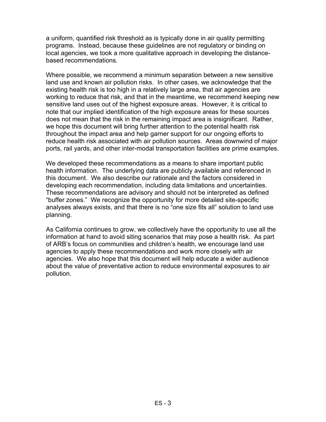a uniform, quantified risk threshold as is typically done in air quality permitting programs. Instead, because these guidelines are not regulatory or binding on local agencies, we took a more qualitative approach in developing the distancebased recommendations.

Where possible, we recommend a minimum separation between a new sensitive land use and known air pollution risks. In other cases, we acknowledge that the existing health risk is too high in a relatively large area, that air agencies are working to reduce that risk, and that in the meantime, we recommend keeping new sensitive land uses out of the highest exposure areas. However, it is critical to note that our implied identification of the high exposure areas for these sources does not mean that the risk in the remaining impact area is insignificant. Rather, we hope this document will bring further attention to the potential health risk throughout the impact area and help garner support for our ongoing efforts to reduce health risk associated with air pollution sources. Areas downwind of major ports, rail yards, and other inter-modal transportation facilities are prime examples.

We developed these recommendations as a means to share important public health information. The underlying data are publicly available and referenced in this document. We also describe our rationale and the factors considered in developing each recommendation, including data limitations and uncertainties. These recommendations are advisory and should not be interpreted as defined "buffer zones." We recognize the opportunity for more detailed site-specific analyses always exists, and that there is no "one size fits all" solution to land use planning.

As California continues to grow, we collectively have the opportunity to use all the information at hand to avoid siting scenarios that may pose a health risk. As part of ARB's focus on communities and children's health, we encourage land use agencies to apply these recommendations and work more closely with air agencies. We also hope that this document will help educate a wider audience about the value of preventative action to reduce environmental exposures to air pollution.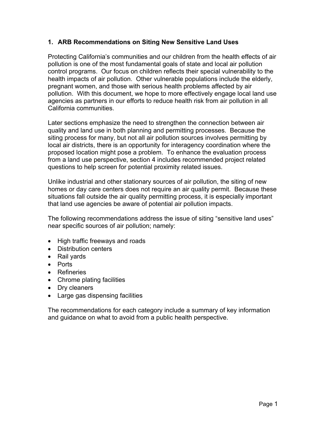#### <span id="page-11-0"></span>**1. ARB Recommendations on Siting New Sensitive Land Uses**

Protecting California's communities and our children from the health effects of air pollution is one of the most fundamental goals of state and local air pollution control programs. Our focus on children reflects their special vulnerability to the health impacts of air pollution. Other vulnerable populations include the elderly, pregnant women, and those with serious health problems affected by air pollution. With this document, we hope to more effectively engage local land use agencies as partners in our efforts to reduce health risk from air pollution in all California communities.

Later sections emphasize the need to strengthen the connection between air quality and land use in both planning and permitting processes. Because the siting process for many, but not all air pollution sources involves permitting by local air districts, there is an opportunity for interagency coordination where the proposed location might pose a problem. To enhance the evaluation process from a land use perspective, section 4 includes recommended project related questions to help screen for potential proximity related issues.

Unlike industrial and other stationary sources of air pollution, the siting of new homes or day care centers does not require an air quality permit. Because these situations fall outside the air quality permitting process, it is especially important that land use agencies be aware of potential air pollution impacts.

The following recommendations address the issue of siting "sensitive land uses" near specific sources of air pollution; namely:

- High traffic freeways and roads
- Distribution centers
- Rail yards
- Ports
- Refineries
- Chrome plating facilities
- Dry cleaners
- Large gas dispensing facilities

The recommendations for each category include a summary of key information and guidance on what to avoid from a public health perspective.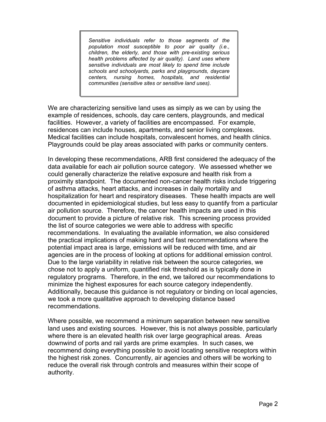*Sensitive individuals refer to those segments of the population most susceptible to poor air quality (i.e., children, the elderly, and those with pre-existing serious health problems affected by air quality). Land uses where sensitive individuals are most likely to spend time include schools and schoolyards, parks and playgrounds, daycare centers, nursing homes, hospitals, and residential communities (sensitive sites or sensitive land uses).* 

We are characterizing sensitive land uses as simply as we can by using the example of residences, schools, day care centers, playgrounds, and medical facilities. However, a variety of facilities are encompassed. For example, residences can include houses, apartments, and senior living complexes. Medical facilities can include hospitals, convalescent homes, and health clinics. Playgrounds could be play areas associated with parks or community centers.

In developing these recommendations, ARB first considered the adequacy of the data available for each air pollution source category. We assessed whether we could generally characterize the relative exposure and health risk from a proximity standpoint. The documented non-cancer health risks include triggering of asthma attacks, heart attacks, and increases in daily mortality and hospitalization for heart and respiratory diseases. These health impacts are well documented in epidemiological studies, but less easy to quantify from a particular air pollution source. Therefore, the cancer health impacts are used in this document to provide a picture of relative risk. This screening process provided the list of source categories we were able to address with specific recommendations. In evaluating the available information, we also considered the practical implications of making hard and fast recommendations where the potential impact area is large, emissions will be reduced with time, and air agencies are in the process of looking at options for additional emission control. Due to the large variability in relative risk between the source categories, we chose not to apply a uniform, quantified risk threshold as is typically done in regulatory programs. Therefore, in the end, we tailored our recommendations to minimize the highest exposures for each source category independently. Additionally, because this guidance is not regulatory or binding on local agencies, we took a more qualitative approach to developing distance based recommendations.

Where possible, we recommend a minimum separation between new sensitive land uses and existing sources. However, this is not always possible, particularly where there is an elevated health risk over large geographical areas. Areas downwind of ports and rail yards are prime examples. In such cases, we recommend doing everything possible to avoid locating sensitive receptors within the highest risk zones. Concurrently, air agencies and others will be working to reduce the overall risk through controls and measures within their scope of authority.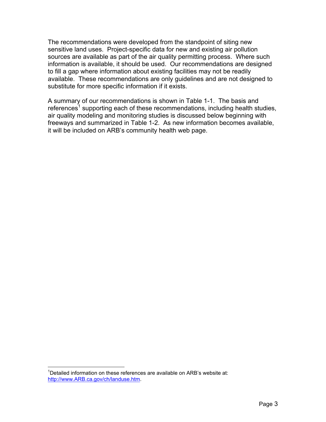The recommendations were developed from the standpoint of siting new sensitive land uses. Project-specific data for new and existing air pollution sources are available as part of the air quality permitting process. Where such information is available, it should be used. Our recommendations are designed to fill a gap where information about existing facilities may not be readily available. These recommendations are only guidelines and are not designed to substitute for more specific information if it exists.

A summary of our recommendations is shown in Table 1-1. The basis and references<sup>1</sup>supporting each of these recommendations, including health studies, air quality modeling and monitoring studies is discussed below beginning with freeways and summarized in Table 1-2. As new information becomes available, it will be included on ARB's community health web page.

 $\overline{a}$ 

<span id="page-13-0"></span><sup>&</sup>lt;sup>1</sup>Detailed information on these references are available on ARB's website at: [http://www.ARB.ca.gov/ch/landuse.htm](http://www.arb.ca.gov/ch/landuse.htm).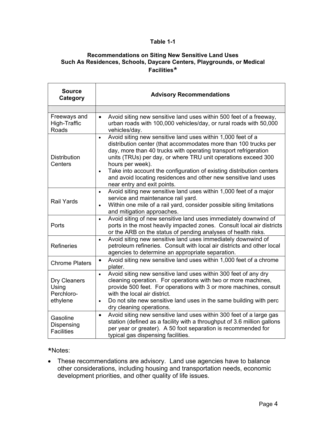#### **Table 1-1**

#### **Recommendations on Siting New Sensitive Land Uses Such As Residences, Schools, Daycare Centers, Playgrounds, or Medical Facilities**\*

| <b>Source</b><br>Category                       | <b>Advisory Recommendations</b>                                                                                                                                                                                                                                                                                                                                                                                                                                                            |
|-------------------------------------------------|--------------------------------------------------------------------------------------------------------------------------------------------------------------------------------------------------------------------------------------------------------------------------------------------------------------------------------------------------------------------------------------------------------------------------------------------------------------------------------------------|
|                                                 |                                                                                                                                                                                                                                                                                                                                                                                                                                                                                            |
| Freeways and<br>High-Traffic<br>Roads           | Avoid siting new sensitive land uses within 500 feet of a freeway,<br>$\bullet$<br>urban roads with 100,000 vehicles/day, or rural roads with 50,000<br>vehicles/day.                                                                                                                                                                                                                                                                                                                      |
| <b>Distribution</b><br>Centers                  | Avoid siting new sensitive land uses within 1,000 feet of a<br>$\bullet$<br>distribution center (that accommodates more than 100 trucks per<br>day, more than 40 trucks with operating transport refrigeration<br>units (TRUs) per day, or where TRU unit operations exceed 300<br>hours per week).<br>Take into account the configuration of existing distribution centers<br>$\bullet$<br>and avoid locating residences and other new sensitive land uses<br>near entry and exit points. |
| <b>Rail Yards</b>                               | Avoid siting new sensitive land uses within 1,000 feet of a major<br>$\bullet$<br>service and maintenance rail yard.<br>Within one mile of a rail yard, consider possible siting limitations<br>$\bullet$<br>and mitigation approaches.                                                                                                                                                                                                                                                    |
| Ports                                           | Avoid siting of new sensitive land uses immediately downwind of<br>$\bullet$<br>ports in the most heavily impacted zones. Consult local air districts<br>or the ARB on the status of pending analyses of health risks.                                                                                                                                                                                                                                                                     |
| <b>Refineries</b>                               | Avoid siting new sensitive land uses immediately downwind of<br>$\bullet$<br>petroleum refineries. Consult with local air districts and other local<br>agencies to determine an appropriate separation.                                                                                                                                                                                                                                                                                    |
| <b>Chrome Platers</b>                           | Avoid siting new sensitive land uses within 1,000 feet of a chrome<br>$\bullet$<br>plater.                                                                                                                                                                                                                                                                                                                                                                                                 |
| Dry Cleaners<br>Using<br>Perchloro-<br>ethylene | Avoid siting new sensitive land uses within 300 feet of any dry<br>$\bullet$<br>cleaning operation. For operations with two or more machines,<br>provide 500 feet. For operations with 3 or more machines, consult<br>with the local air district.<br>Do not site new sensitive land uses in the same building with perc<br>$\bullet$<br>dry cleaning operations.                                                                                                                          |
| Gasoline<br>Dispensing<br><b>Facilities</b>     | Avoid siting new sensitive land uses within 300 feet of a large gas<br>$\bullet$<br>station (defined as a facility with a throughput of 3.6 million gallons<br>per year or greater). A 50 foot separation is recommended for<br>typical gas dispensing facilities.                                                                                                                                                                                                                         |

\*Notes:

• These recommendations are advisory. Land use agencies have to balance other considerations, including housing and transportation needs, economic development priorities, and other quality of life issues.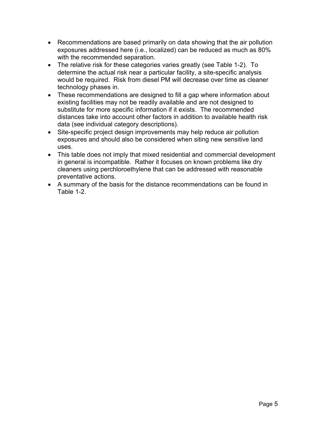- Recommendations are based primarily on data showing that the air pollution exposures addressed here (i.e., localized) can be reduced as much as 80% with the recommended separation.
- The relative risk for these categories varies greatly (see Table 1-2). To determine the actual risk near a particular facility, a site-specific analysis would be required. Risk from diesel PM will decrease over time as cleaner technology phases in.
- These recommendations are designed to fill a gap where information about existing facilities may not be readily available and are not designed to substitute for more specific information if it exists. The recommended distances take into account other factors in addition to available health risk data (see individual category descriptions).
- Site-specific project design improvements may help reduce air pollution exposures and should also be considered when siting new sensitive land uses.
- This table does not imply that mixed residential and commercial development in general is incompatible. Rather it focuses on known problems like dry cleaners using perchloroethylene that can be addressed with reasonable preventative actions.
- A summary of the basis for the distance recommendations can be found in Table 1-2.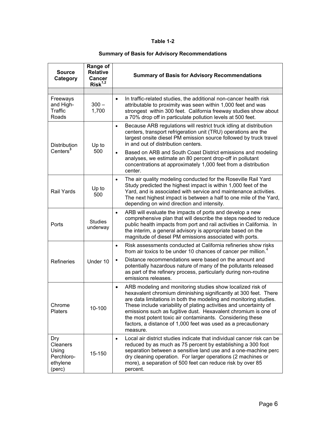#### **Table 1-2**

#### **Summary of Basis for Advisory Recommendations**

| <b>Source</b><br>Category                                    | Range of<br><b>Relative</b><br>Cancer<br>$Risk^{1,2}$ | <b>Summary of Basis for Advisory Recommendations</b>                                                                                                                                                                                                                                                                                                                                                                                                                                               |
|--------------------------------------------------------------|-------------------------------------------------------|----------------------------------------------------------------------------------------------------------------------------------------------------------------------------------------------------------------------------------------------------------------------------------------------------------------------------------------------------------------------------------------------------------------------------------------------------------------------------------------------------|
|                                                              |                                                       |                                                                                                                                                                                                                                                                                                                                                                                                                                                                                                    |
| Freeways<br>and High-<br>Traffic<br>Roads                    | $300 -$<br>1,700                                      | In traffic-related studies, the additional non-cancer health risk<br>$\bullet$<br>attributable to proximity was seen within 1,000 feet and was<br>strongest within 300 feet. California freeway studies show about<br>a 70% drop off in particulate pollution levels at 500 feet.                                                                                                                                                                                                                  |
| <b>Distribution</b>                                          | Up to<br>500                                          | Because ARB regulations will restrict truck idling at distribution<br>$\bullet$<br>centers, transport refrigeration unit (TRU) operations are the<br>largest onsite diesel PM emission source followed by truck travel<br>in and out of distribution centers.                                                                                                                                                                                                                                      |
| Centers <sup>3</sup>                                         |                                                       | Based on ARB and South Coast District emissions and modeling<br>$\bullet$<br>analyses, we estimate an 80 percent drop-off in pollutant<br>concentrations at approximately 1,000 feet from a distribution<br>center.                                                                                                                                                                                                                                                                                |
| Rail Yards                                                   | Up to<br>500                                          | The air quality modeling conducted for the Roseville Rail Yard<br>$\bullet$<br>Study predicted the highest impact is within 1,000 feet of the<br>Yard, and is associated with service and maintenance activities.<br>The next highest impact is between a half to one mile of the Yard,<br>depending on wind direction and intensity.                                                                                                                                                              |
| Ports                                                        | <b>Studies</b><br>underway                            | ARB will evaluate the impacts of ports and develop a new<br>comprehensive plan that will describe the steps needed to reduce<br>public health impacts from port and rail activities in California. In<br>the interim, a general advisory is appropriate based on the<br>magnitude of diesel PM emissions associated with ports.                                                                                                                                                                    |
|                                                              | Under 10                                              | Risk assessments conducted at California refineries show risks<br>$\bullet$<br>from air toxics to be under 10 chances of cancer per million. <sup>4</sup>                                                                                                                                                                                                                                                                                                                                          |
| <b>Refineries</b>                                            |                                                       | Distance recommendations were based on the amount and<br>$\bullet$<br>potentially hazardous nature of many of the pollutants released<br>as part of the refinery process, particularly during non-routine<br>emissions releases.                                                                                                                                                                                                                                                                   |
| Chrome<br><b>Platers</b>                                     | 10-100                                                | ARB modeling and monitoring studies show localized risk of<br>$\bullet$<br>hexavalent chromium diminishing significantly at 300 feet. There<br>are data limitations in both the modeling and monitoring studies.<br>These include variability of plating activities and uncertainty of<br>emissions such as fugitive dust. Hexavalent chromium is one of<br>the most potent toxic air contaminants. Considering these<br>factors, a distance of 1,000 feet was used as a precautionary<br>measure. |
| Dry<br>Cleaners<br>Using<br>Perchloro-<br>ethylene<br>(perc) | 15-150                                                | Local air district studies indicate that individual cancer risk can be<br>$\bullet$<br>reduced by as much as 75 percent by establishing a 300 foot<br>separation between a sensitive land use and a one-machine perc<br>dry cleaning operation. For larger operations (2 machines or<br>more), a separation of 500 feet can reduce risk by over 85<br>percent.                                                                                                                                     |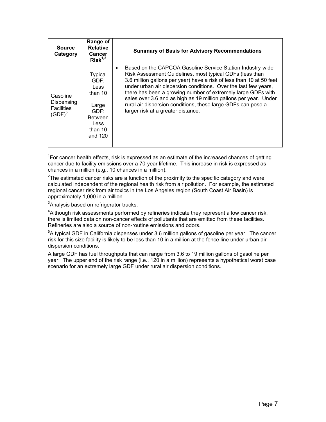| <b>Source</b><br>Category                                | Range of<br><b>Relative</b><br>Cancer<br>$Risk^{1,2}$                                                      | <b>Summary of Basis for Advisory Recommendations</b>                                                                                                                                                                                                                                                                                                                                                                                                                                                        |
|----------------------------------------------------------|------------------------------------------------------------------------------------------------------------|-------------------------------------------------------------------------------------------------------------------------------------------------------------------------------------------------------------------------------------------------------------------------------------------------------------------------------------------------------------------------------------------------------------------------------------------------------------------------------------------------------------|
| Gasoline<br>Dispensing<br><b>Facilities</b><br>$(GDF)^5$ | <b>Typical</b><br>GDF:<br>Less<br>than 10<br>Large<br>GDF:<br><b>Between</b><br>Less<br>than 10<br>and 120 | Based on the CAPCOA Gasoline Service Station Industry-wide<br>Risk Assessment Guidelines, most typical GDFs (less than<br>3.6 million gallons per year) have a risk of less than 10 at 50 feet<br>under urban air dispersion conditions. Over the last few years,<br>there has been a growing number of extremely large GDFs with<br>sales over 3.6 and as high as 19 million gallons per year. Under<br>rural air dispersion conditions, these large GDFs can pose a<br>larger risk at a greater distance. |

 ${}^{1}$ For cancer health effects, risk is expressed as an estimate of the increased chances of getting cancer due to facility emissions over a 70-year lifetime. This increase in risk is expressed as chances in a million (e.g., 10 chances in a million).

 $2$ The estimated cancer risks are a function of the proximity to the specific category and were calculated independent of the regional health risk from air pollution. For example, the estimated regional cancer risk from air toxics in the Los Angeles region (South Coast Air Basin) is approximately 1,000 in a million.

<sup>3</sup>Analysis based on refrigerator trucks.

<sup>4</sup>Although risk assessments performed by refineries indicate they represent a low cancer risk, there is limited data on non-cancer effects of pollutants that are emitted from these facilities. Refineries are also a source of non-routine emissions and odors.

 $5$ A typical GDF in California dispenses under 3.6 million gallons of gasoline per year. The cancer risk for this size facility is likely to be less than 10 in a million at the fence line under urban air dispersion conditions.

A large GDF has fuel throughputs that can range from 3.6 to 19 million gallons of gasoline per year. The upper end of the risk range (i.e., 120 in a million) represents a hypothetical worst case scenario for an extremely large GDF under rural air dispersion conditions.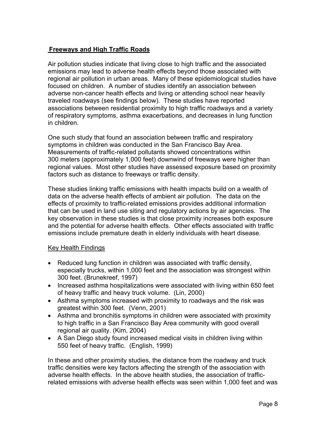### <span id="page-18-0"></span>**Freeways and High Traffic Roads**

Air pollution studies indicate that living close to high traffic and the associated emissions may lead to adverse health effects beyond those associated with regional air pollution in urban areas. Many of these epidemiological studies have focused on children. A number of studies identify an association between adverse non-cancer health effects and living or attending school near heavily traveled roadways (see findings below). These studies have reported associations between residential proximity to high traffic roadways and a variety of respiratory symptoms, asthma exacerbations, and decreases in lung function in children.

One such study that found an association between traffic and respiratory symptoms in children was conducted in the San Francisco Bay Area. Measurements of traffic-related pollutants showed concentrations within 300 meters (approximately 1,000 feet) downwind of freeways were higher than regional values. Most other studies have assessed exposure based on proximity factors such as distance to freeways or traffic density.

These studies linking traffic emissions with health impacts build on a wealth of data on the adverse health effects of ambient air pollution. The data on the effects of proximity to traffic-related emissions provides additional information that can be used in land use siting and regulatory actions by air agencies. The key observation in these studies is that close proximity increases both exposure and the potential for adverse health effects. Other effects associated with traffic emissions include premature death in elderly individuals with heart disease.

#### Key Health Findings

- Reduced lung function in children was associated with traffic density, especially trucks, within 1,000 feet and the association was strongest within 300 feet. (Brunekreef, 1997)
- Increased asthma hospitalizations were associated with living within 650 feet of heavy traffic and heavy truck volume. (Lin, 2000)
- Asthma symptoms increased with proximity to roadways and the risk was greatest within 300 feet. (Venn, 2001)
- Asthma and bronchitis symptoms in children were associated with proximity to high traffic in a San Francisco Bay Area community with good overall regional air quality. (Kim, 2004)
- A San Diego study found increased medical visits in children living within 550 feet of heavy traffic. (English, 1999)

In these and other proximity studies, the distance from the roadway and truck traffic densities were key factors affecting the strength of the association with adverse health effects. In the above health studies, the association of trafficrelated emissions with adverse health effects was seen within 1,000 feet and was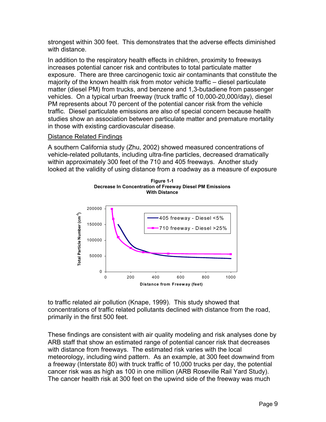strongest within 300 feet. This demonstrates that the adverse effects diminished with distance.

In addition to the respiratory health effects in children, proximity to freeways increases potential cancer risk and contributes to total particulate matter exposure. There are three carcinogenic toxic air contaminants that constitute the majority of the known health risk from motor vehicle traffic – diesel particulate matter (diesel PM) from trucks, and benzene and 1,3-butadiene from passenger vehicles. On a typical urban freeway (truck traffic of 10,000-20,000/day), diesel PM represents about 70 percent of the potential cancer risk from the vehicle traffic. Diesel particulate emissions are also of special concern because health studies show an association between particulate matter and premature mortality in those with existing cardiovascular disease.

#### Distance Related Findings

A southern California study (Zhu, 2002) showed measured concentrations of vehicle-related pollutants, including ultra-fine particles, decreased dramatically within approximately 300 feet of the 710 and 405 freeways. Another study looked at the validity of using distance from a roadway as a measure of exposure





to traffic related air pollution (Knape, 1999). This study showed that concentrations of traffic related pollutants declined with distance from the road, primarily in the first 500 feet.

These findings are consistent with air quality modeling and risk analyses done by ARB staff that show an estimated range of potential cancer risk that decreases with distance from freeways. The estimated risk varies with the local meteorology, including wind pattern. As an example, at 300 feet downwind from a freeway (Interstate 80) with truck traffic of 10,000 trucks per day, the potential cancer risk was as high as 100 in one million (ARB Roseville Rail Yard Study). The cancer health risk at 300 feet on the upwind side of the freeway was much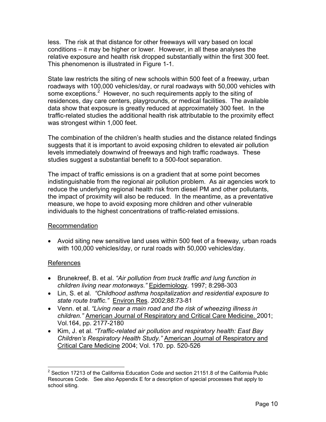less. The risk at that distance for other freeways will vary based on local conditions – it may be higher or lower. However, in all these analyses the relative exposure and health risk dropped substantially within the first 300 feet. This phenomenon is illustrated in Figure 1-1.

State law restricts the siting of new schools within 500 feet of a freeway, urban roadways with 100,000 vehicles/day, or rural roadways with 50,000 vehicles with some exceptions.<sup>[2](#page-20-0)</sup> However, no such requirements apply to the siting of residences, day care centers, playgrounds, or medical facilities. The available data show that exposure is greatly reduced at approximately 300 feet. In the traffic-related studies the additional health risk attributable to the proximity effect was strongest within 1,000 feet.

The combination of the children's health studies and the distance related findings suggests that it is important to avoid exposing children to elevated air pollution levels immediately downwind of freeways and high traffic roadways. These studies suggest a substantial benefit to a 500-foot separation.

The impact of traffic emissions is on a gradient that at some point becomes indistinguishable from the regional air pollution problem. As air agencies work to reduce the underlying regional health risk from diesel PM and other pollutants, the impact of proximity will also be reduced. In the meantime, as a preventative measure, we hope to avoid exposing more children and other vulnerable individuals to the highest concentrations of traffic-related emissions.

#### Recommendation

• Avoid siting new sensitive land uses within 500 feet of a freeway, urban roads with 100,000 vehicles/day, or rural roads with 50,000 vehicles/day.

#### References

- Brunekreef, B. et al. *"Air pollution from truck traffic and lung function in children living near motorways."* Epidemiology*.* 1997; 8:298-303
- *state route traffic."* Environ Res. 2002;88:73-81 • Lin, S. et al. *"Childhood asthma hospitalization and residential exposure to*
- *children."* American Journal of Respiratory and Critical Care Medicine. 2001; • Venn. et al. *"Living near a main road and the risk of wheezing illness in*  Vol.164, pp. 2177-2180
- Kim, J. et al. *"Traffic-related air pollution and respiratory health: East Bay Children's Respiratory Health Study."* American Journal of Respiratory and Critical Care Medicine 2004; Vol. 170. pp. 520-526

<span id="page-20-0"></span> $\overline{a}$  $2$  Section 17213 of the California Education Code and section 21151.8 of the California Public Resources Code. See also Appendix E for a description of special processes that apply to school siting.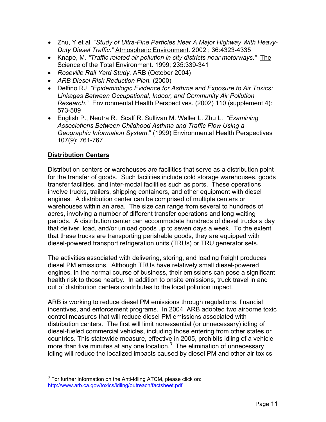- <span id="page-21-0"></span>• Zhu, Y et al. *"Study of Ultra-Fine Particles Near A Major Highway With Heavy-Duty Diesel Traffic."* Atmospheric Environment. 2002 ; 36:4323-4335
- Knape, M. *"Traffic related air pollution in city districts near motorways."* The Science of the Total Environment. 1999; 235:339-341
- *Roseville Rail Yard Study.* ARB (October 2004)
- *ARB Diesel Risk Reduction Plan.* (2000)
- Delfino RJ *"Epidemiologic Evidence for Asthma and Exposure to Air Toxics: Linkages Between Occupational, Indoor, and Community Air Pollution Research."* Environmental Health Perspectives. (2002) 110 (supplement 4): 573-589
- *Geographic Information System*." (1999) Environmental Health Perspectives • English P., Neutra R., Scalf R. Sullivan M. Waller L. Zhu L. *"Examining Associations Between Childhood Asthma and Traffic Flow Using a*  107(9): 761-767

### **Distribution Centers**

Distribution centers or warehouses are facilities that serve as a distribution point for the transfer of goods. Such facilities include cold storage warehouses, goods transfer facilities, and inter-modal facilities such as ports. These operations involve trucks, trailers, shipping containers, and other equipment with diesel engines. A distribution center can be comprised of multiple centers or warehouses within an area. The size can range from several to hundreds of acres, involving a number of different transfer operations and long waiting periods. A distribution center can accommodate hundreds of diesel trucks a day that deliver, load, and/or unload goods up to seven days a week. To the extent that these trucks are transporting perishable goods, they are equipped with diesel-powered transport refrigeration units (TRUs) or TRU generator sets.

The activities associated with delivering, storing, and loading freight produces diesel PM emissions. Although TRUs have relatively small diesel-powered engines, in the normal course of business, their emissions can pose a significant health risk to those nearby. In addition to onsite emissions, truck travel in and out of distribution centers contributes to the local pollution impact.

ARB is working to reduce diesel PM emissions through regulations, financial incentives, and enforcement programs. In 2004, ARB adopted two airborne toxic control measures that will reduce diesel PM emissions associated with distribution centers. The first will limit nonessential (or unnecessary) idling of diesel-fueled commercial vehicles, including those entering from other states or countries. This statewide measure, effective in 2005, prohibits idling of a vehicle more than five minutes at any one location. $3$  The elimination of unnecessary idling will reduce the localized impacts caused by diesel PM and other air toxics

<span id="page-21-1"></span>**EXECUTE:**<br><sup>3</sup> For further information on the Anti-Idling ATCM, please click on: <http://www.arb.ca.gov/toxics/idling/outreach/factsheet.pdf>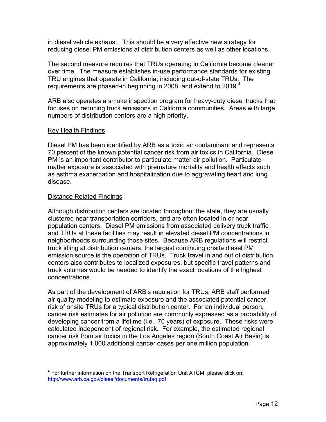in diesel vehicle exhaust. This should be a very effective new strategy for reducing diesel PM emissions at distribution centers as well as other locations.

requirements are phased-in beginning in 2008, and extend to 2019.<sup>4</sup> The second measure requires that TRUs operating in California become cleaner over time. The measure establishes in-use performance standards for existing TRU engines that operate in California, including out-of-state TRUs. The

ARB also operates a smoke inspection program for heavy-duty diesel trucks that focuses on reducing truck emissions in California communities. Areas with large numbers of distribution centers are a high priority.

#### Key Health Findings

Diesel PM has been identified by ARB as a toxic air contaminant and represents 70 percent of the known potential cancer risk from air toxics in California. Diesel PM is an important contributor to particulate matter air pollution. Particulate matter exposure is associated with premature mortality and health effects such as asthma exacerbation and hospitalization due to aggravating heart and lung disease.

#### Distance Related Findings

Although distribution centers are located throughout the state, they are usually clustered near transportation corridors, and are often located in or near population centers. Diesel PM emissions from associated delivery truck traffic and TRUs at these facilities may result in elevated diesel PM concentrations in neighborhoods surrounding those sites. Because ARB regulations will restrict truck idling at distribution centers, the largest continuing onsite diesel PM emission source is the operation of TRUs. Truck travel in and out of distribution centers also contributes to localized exposures, but specific travel patterns and truck volumes would be needed to identify the exact locations of the highest concentrations.

As part of the development of ARB's regulation for TRUs, ARB staff performed air quality modeling to estimate exposure and the associated potential cancer risk of onsite TRUs for a typical distribution center. For an individual person, cancer risk estimates for air pollution are commonly expressed as a probability of developing cancer from a lifetime (i.e., 70 years) of exposure. These risks were calculated independent of regional risk. For example, the estimated regional cancer risk from air toxics in the Los Angeles region (South Coast Air Basin) is approximately 1,000 additional cancer cases per one million population.

<span id="page-22-0"></span> $\overline{a}$  $4$  For further information on the Transport Refrigeration Unit ATCM, please click on: <http://www.arb.ca.gov/diesel/documents/trufaq.pdf>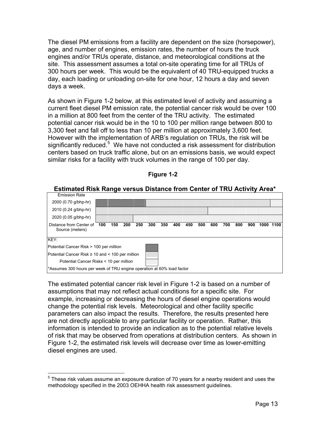The diesel PM emissions from a facility are dependent on the size (horsepower), age, and number of engines, emission rates, the number of hours the truck engines and/or TRUs operate, distance, and meteorological conditions at the site. This assessment assumes a total on-site operating time for all TRUs of 300 hours per week. This would be the equivalent of 40 TRU-equipped trucks a day, each loading or unloading on-site for one hour, 12 hours a day and seven days a week.

As shown in Figure 1-2 below, at this estimated level of activity and assuming a current fleet diesel PM emission rate, the potential cancer risk would be over 100 in a million at 800 feet from the center of the TRU activity. The estimated potential cancer risk would be in the 10 to 100 per million range between 800 to 3,300 feet and fall off to less than 10 per million at approximately 3,600 feet. However with the implementation of ARB's regulation on TRUs, the risk will be significantly reduced.<sup>[5](#page-23-0)</sup> We have not conducted a risk assessment for distribution centers based on truck traffic alone, but on an emissions basis, we would expect similar risks for a facility with truck volumes in the range of 100 per day.



**Figure 1-2** 

The estimated potential cancer risk level in Figure 1-2 is based on a number of assumptions that may not reflect actual conditions for a specific site. For example, increasing or decreasing the hours of diesel engine operations would change the potential risk levels. Meteorological and other facility specific parameters can also impact the results. Therefore, the results presented here are not directly applicable to any particular facility or operation. Rather, this information is intended to provide an indication as to the potential relative levels of risk that may be observed from operations at distribution centers. As shown in Figure 1-2, the estimated risk levels will decrease over time as lower-emitting diesel engines are used.

 $\overline{a}$ 

<span id="page-23-0"></span> $<sup>5</sup>$  These risk values assume an exposure duration of 70 years for a nearby resident and uses the</sup> methodology specified in the 2003 OEHHA health risk assessment guidelines.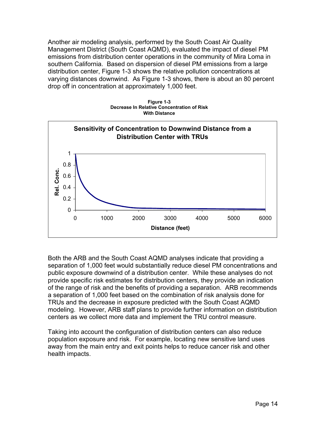Another air modeling analysis, performed by the South Coast Air Quality Management District (South Coast AQMD), evaluated the impact of diesel PM emissions from distribution center operations in the community of Mira Loma in southern California. Based on dispersion of diesel PM emissions from a large distribution center, Figure 1-3 shows the relative pollution concentrations at varying distances downwind. As Figure 1-3 shows, there is about an 80 percent drop off in concentration at approximately 1,000 feet.





Both the ARB and the South Coast AQMD analyses indicate that providing a separation of 1,000 feet would substantially reduce diesel PM concentrations and public exposure downwind of a distribution center. While these analyses do not provide specific risk estimates for distribution centers, they provide an indication of the range of risk and the benefits of providing a separation. ARB recommends a separation of 1,000 feet based on the combination of risk analysis done for TRUs and the decrease in exposure predicted with the South Coast AQMD modeling. However, ARB staff plans to provide further information on distribution centers as we collect more data and implement the TRU control measure.

Taking into account the configuration of distribution centers can also reduce population exposure and risk. For example, locating new sensitive land uses away from the main entry and exit points helps to reduce cancer risk and other health impacts.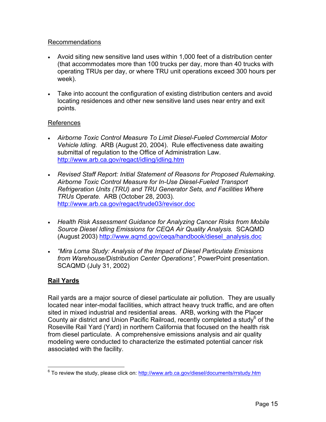#### <span id="page-25-0"></span>Recommendations

- Avoid siting new sensitive land uses within 1,000 feet of a distribution center (that accommodates more than 100 trucks per day, more than 40 trucks with operating TRUs per day, or where TRU unit operations exceed 300 hours per week).
- Take into account the configuration of existing distribution centers and avoid locating residences and other new sensitive land uses near entry and exit points.

#### References

- *Airborne Toxic Control Measure To Limit Diesel-Fueled Commercial Motor Vehicle Idling.* ARB (August 20, 2004). Rule effectiveness date awaiting submittal of regulation to the Office of Administration Law. <http://www.arb.ca.gov/regact/idling/idling.htm>
- *Revised Staff Report: Initial Statement of Reasons for Proposed Rulemaking. Airborne Toxic Control Measure for In-Use Diesel-Fueled Transport Refrigeration Units (TRU) and TRU Generator Sets, and Facilities Where TRUs Operate.* ARB (October 28, 2003)*.*  <http://www.arb.ca.gov/regact/trude03/revisor.doc>
- *Health Risk Assessment Guidance for Analyzing Cancer Risks from Mobile Source Diesel Idling Emissions for CEQA Air Quality Analysis.* SCAQMD (August 2003) [http://www.aqmd.gov/ceqa/handbook/diesel\\_analysis.doc](http://www.aqmd.gov/ceqa/handbook/diesel_analysis.doc)
- *"Mira Loma Study: Analysis of the Impact of Diesel Particulate Emissions from Warehouse/Distribution Center Operations",* PowerPoint presentation. SCAQMD (July 31, 2002)

### **Rail Yards**

Rail yards are a major source of diesel particulate air pollution. They are usually located near inter-modal facilities, which attract heavy truck traffic, and are often sited in mixed industrial and residential areas. ARB, working with the Placer County air district and Union Pacific Railroad, recently completed a study $6$  of the Roseville Rail Yard (Yard) in northern California that focused on the health risk from diesel particulate. A comprehensive emissions analysis and air quality modeling were conducted to characterize the estimated potential cancer risk associated with the facility.

<span id="page-25-1"></span> 6 To review the study, please click on: <http://www.arb.ca.gov/diesel/documents/rrstudy.htm>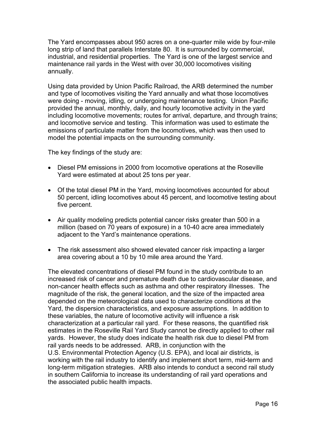The Yard encompasses about 950 acres on a one-quarter mile wide by four-mile long strip of land that parallels Interstate 80. It is surrounded by commercial, industrial, and residential properties. The Yard is one of the largest service and maintenance rail yards in the West with over 30,000 locomotives visiting annually.

Using data provided by Union Pacific Railroad, the ARB determined the number and type of locomotives visiting the Yard annually and what those locomotives were doing - moving, idling, or undergoing maintenance testing. Union Pacific provided the annual, monthly, daily, and hourly locomotive activity in the yard including locomotive movements; routes for arrival, departure, and through trains; and locomotive service and testing. This information was used to estimate the emissions of particulate matter from the locomotives, which was then used to model the potential impacts on the surrounding community.

The key findings of the study are:

- Diesel PM emissions in 2000 from locomotive operations at the Roseville Yard were estimated at about 25 tons per year.
- Of the total diesel PM in the Yard, moving locomotives accounted for about 50 percent, idling locomotives about 45 percent, and locomotive testing about five percent.
- Air quality modeling predicts potential cancer risks greater than 500 in a million (based on 70 years of exposure) in a 10-40 acre area immediately adjacent to the Yard's maintenance operations.
- The risk assessment also showed elevated cancer risk impacting a larger area covering about a 10 by 10 mile area around the Yard.

The elevated concentrations of diesel PM found in the study contribute to an increased risk of cancer and premature death due to cardiovascular disease, and non-cancer health effects such as asthma and other respiratory illnesses. The magnitude of the risk, the general location, and the size of the impacted area depended on the meteorological data used to characterize conditions at the Yard, the dispersion characteristics, and exposure assumptions. In addition to these variables, the nature of locomotive activity will influence a risk characterization at a particular rail yard. For these reasons, the quantified risk estimates in the Roseville Rail Yard Study cannot be directly applied to other rail yards. However, the study does indicate the health risk due to diesel PM from rail yards needs to be addressed. ARB, in conjunction with the U.S. Environmental Protection Agency (U.S. EPA), and local air districts, is working with the rail industry to identify and implement short term, mid-term and long-term mitigation strategies. ARB also intends to conduct a second rail study in southern California to increase its understanding of rail yard operations and the associated public health impacts.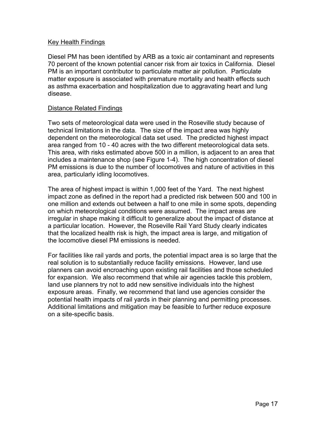#### Key Health Findings

Diesel PM has been identified by ARB as a toxic air contaminant and represents 70 percent of the known potential cancer risk from air toxics in California. Diesel PM is an important contributor to particulate matter air pollution. Particulate matter exposure is associated with premature mortality and health effects such as asthma exacerbation and hospitalization due to aggravating heart and lung disease.

#### Distance Related Findings

Two sets of meteorological data were used in the Roseville study because of technical limitations in the data. The size of the impact area was highly dependent on the meteorological data set used. The predicted highest impact area ranged from 10 - 40 acres with the two different meteorological data sets. This area, with risks estimated above 500 in a million, is adjacent to an area that includes a maintenance shop (see Figure 1-4). The high concentration of diesel PM emissions is due to the number of locomotives and nature of activities in this area, particularly idling locomotives.

The area of highest impact is within 1,000 feet of the Yard. The next highest impact zone as defined in the report had a predicted risk between 500 and 100 in one million and extends out between a half to one mile in some spots, depending on which meteorological conditions were assumed. The impact areas are irregular in shape making it difficult to generalize about the impact of distance at a particular location. However, the Roseville Rail Yard Study clearly indicates that the localized health risk is high, the impact area is large, and mitigation of the locomotive diesel PM emissions is needed.

For facilities like rail yards and ports, the potential impact area is so large that the real solution is to substantially reduce facility emissions. However, land use planners can avoid encroaching upon existing rail facilities and those scheduled for expansion. We also recommend that while air agencies tackle this problem, land use planners try not to add new sensitive individuals into the highest exposure areas. Finally, we recommend that land use agencies consider the potential health impacts of rail yards in their planning and permitting processes. Additional limitations and mitigation may be feasible to further reduce exposure on a site-specific basis.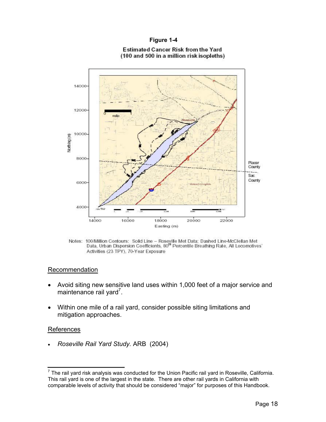#### **Figure 1-4**



#### Estimated Cancer Risk from the Yard Estimated Cancer Risk from the Yard (100 and 500 in a million risk isopleths) (100 and 500 in a million risk isopleths)

#### Recommendation

- Avoid siting new sensitive land uses within 1,000 feet of a major service and maintenance rail yard<sup>[7](#page-28-0)</sup>.
- Within one mile of a rail yard, consider possible siting limitations and mitigation approaches.

#### **References**

• *Roseville Rail Yard Study.* ARB (2004)

Notes: 100/Million Contours: Solid Line – Roseville Met Data; Dashed Line-McO Data, Urban Dispersion Coefficients, 80" Percentile Breathing Rate, All Locomotives' Activities (23 TPY), 70-Year Exposure Activities (23 TPY). 70-Year Exposure Notes: 100/Million Contours: Solid Line - Roseville Met Data; Dashed Line-McClellan Met<br>Data, Urban Dispersion Coefficients, 80<sup>th</sup> Percentile Breathing Rate, All Locomotives'

<span id="page-28-0"></span> $^7$  The rail yard risk analysis was conducted for the Union Pacific rail yard in Roseville, California. This rail yard is one of the largest in the state. There are other rail yards in California with comparable levels of activity that should be considered "major" for purposes of this Handbook.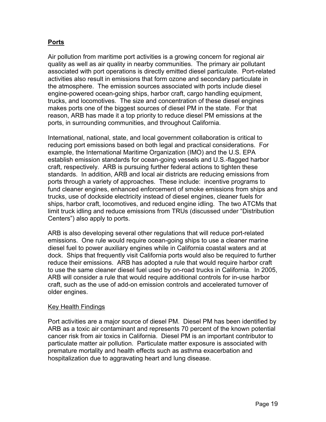### <span id="page-29-0"></span>**Ports**

Air pollution from maritime port activities is a growing concern for regional air quality as well as air quality in nearby communities. The primary air pollutant associated with port operations is directly emitted diesel particulate. Port-related activities also result in emissions that form ozone and secondary particulate in the atmosphere. The emission sources associated with ports include diesel engine-powered ocean-going ships, harbor craft, cargo handling equipment, trucks, and locomotives. The size and concentration of these diesel engines makes ports one of the biggest sources of diesel PM in the state. For that reason, ARB has made it a top priority to reduce diesel PM emissions at the ports, in surrounding communities, and throughout California.

International, national, state, and local government collaboration is critical to reducing port emissions based on both legal and practical considerations. For example, the International Maritime Organization (IMO) and the U.S. EPA establish emission standards for ocean-going vessels and U.S.-flagged harbor craft, respectively. ARB is pursuing further federal actions to tighten these standards. In addition, ARB and local air districts are reducing emissions from ports through a variety of approaches. These include: incentive programs to fund cleaner engines, enhanced enforcement of smoke emissions from ships and trucks, use of dockside electricity instead of diesel engines, cleaner fuels for ships, harbor craft, locomotives, and reduced engine idling. The two ATCMs that limit truck idling and reduce emissions from TRUs (discussed under "Distribution Centers") also apply to ports.

ARB is also developing several other regulations that will reduce port-related emissions. One rule would require ocean-going ships to use a cleaner marine diesel fuel to power auxiliary engines while in California coastal waters and at dock. Ships that frequently visit California ports would also be required to further reduce their emissions. ARB has adopted a rule that would require harbor craft to use the same cleaner diesel fuel used by on-road trucks in California. In 2005, ARB will consider a rule that would require additional controls for in-use harbor craft, such as the use of add-on emission controls and accelerated turnover of older engines.

#### Key Health Findings

Port activities are a major source of diesel PM. Diesel PM has been identified by ARB as a toxic air contaminant and represents 70 percent of the known potential cancer risk from air toxics in California. Diesel PM is an important contributor to particulate matter air pollution. Particulate matter exposure is associated with premature mortality and health effects such as asthma exacerbation and hospitalization due to aggravating heart and lung disease.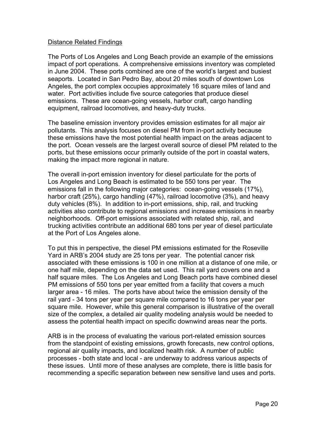#### Distance Related Findings

The Ports of Los Angeles and Long Beach provide an example of the emissions impact of port operations. A comprehensive emissions inventory was completed in June 2004. These ports combined are one of the world's largest and busiest seaports. Located in San Pedro Bay, about 20 miles south of downtown Los Angeles, the port complex occupies approximately 16 square miles of land and water. Port activities include five source categories that produce diesel emissions. These are ocean-going vessels, harbor craft, cargo handling equipment, railroad locomotives, and heavy-duty trucks.

The baseline emission inventory provides emission estimates for all major air pollutants. This analysis focuses on diesel PM from in-port activity because these emissions have the most potential health impact on the areas adjacent to the port. Ocean vessels are the largest overall source of diesel PM related to the ports, but these emissions occur primarily outside of the port in coastal waters, making the impact more regional in nature.

The overall in-port emission inventory for diesel particulate for the ports of Los Angeles and Long Beach is estimated to be 550 tons per year. The emissions fall in the following major categories: ocean-going vessels (17%), harbor craft (25%), cargo handling (47%), railroad locomotive (3%), and heavy duty vehicles (8%). In addition to in-port emissions, ship, rail, and trucking activities also contribute to regional emissions and increase emissions in nearby neighborhoods. Off-port emissions associated with related ship, rail, and trucking activities contribute an additional 680 tons per year of diesel particulate at the Port of Los Angeles alone.

To put this in perspective, the diesel PM emissions estimated for the Roseville Yard in ARB's 2004 study are 25 tons per year. The potential cancer risk associated with these emissions is 100 in one million at a distance of one mile, or one half mile, depending on the data set used. This rail yard covers one and a half square miles. The Los Angeles and Long Beach ports have combined diesel PM emissions of 550 tons per year emitted from a facility that covers a much larger area - 16 miles. The ports have about twice the emission density of the rail yard - 34 tons per year per square mile compared to 16 tons per year per square mile. However, while this general comparison is illustrative of the overall size of the complex, a detailed air quality modeling analysis would be needed to assess the potential health impact on specific downwind areas near the ports.

ARB is in the process of evaluating the various port-related emission sources from the standpoint of existing emissions, growth forecasts, new control options, regional air quality impacts, and localized health risk. A number of public processes - both state and local - are underway to address various aspects of these issues. Until more of these analyses are complete, there is little basis for recommending a specific separation between new sensitive land uses and ports.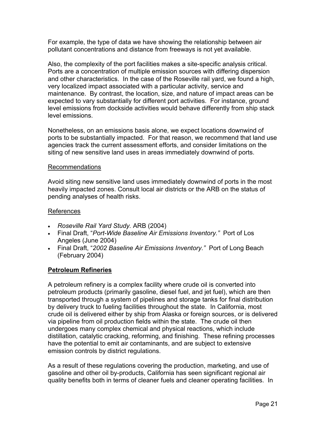<span id="page-31-0"></span>pollutant concentrations and distance from freeways is not yet available. For example, the type of data we have showing the relationship between air

Also, the complexity of the port facilities makes a site-specific analysis critical. Ports are a concentration of multiple emission sources with differing dispersion and other characteristics. In the case of the Roseville rail yard, we found a high, very localized impact associated with a particular activity, service and maintenance. By contrast, the location, size, and nature of impact areas can be expected to vary substantially for different port activities. For instance, ground level emissions from dockside activities would behave differently from ship stack level emissions.

Nonetheless, on an emissions basis alone, we expect locations downwind of ports to be substantially impacted. For that reason, we recommend that land use agencies track the current assessment efforts, and consider limitations on the siting of new sensitive land uses in areas immediately downwind of ports.

#### Recommendations

Avoid siting new sensitive land uses immediately downwind of ports in the most heavily impacted zones. Consult local air districts or the ARB on the status of pending analyses of health risks.

#### References

- *Roseville Rail Yard Study.* ARB (2004)
- Final Draft, "*Port-Wide Baseline Air Emissions Inventory."* Port of Los Angeles (June 2004)
- Final Draft, "*2002 Baseline Air Emissions Inventory."* Port of Long Beach (February 2004)

#### **Petroleum Refineries**

A petroleum refinery is a complex facility where crude oil is converted into petroleum products (primarily gasoline, diesel fuel, and jet fuel), which are then transported through a system of pipelines and storage tanks for final distribution by delivery truck to fueling facilities throughout the state. In California, most crude oil is delivered either by ship from Alaska or foreign sources, or is delivered via pipeline from oil production fields within the state. The crude oil then undergoes many complex chemical and physical reactions, which include distillation, catalytic cracking, reforming, and finishing. These refining processes have the potential to emit air contaminants, and are subject to extensive emission controls by district regulations.

As a result of these regulations covering the production, marketing, and use of gasoline and other oil by-products, California has seen significant regional air quality benefits both in terms of cleaner fuels and cleaner operating facilities. In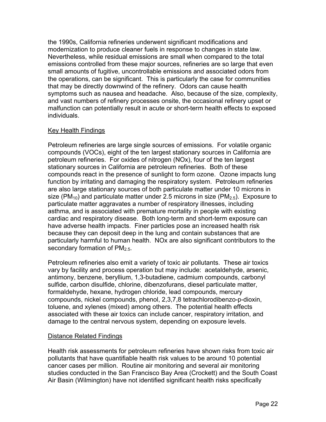the 1990s, California refineries underwent significant modifications and modernization to produce cleaner fuels in response to changes in state law. Nevertheless, while residual emissions are small when compared to the total emissions controlled from these major sources, refineries are so large that even small amounts of fugitive, uncontrollable emissions and associated odors from the operations, can be significant. This is particularly the case for communities that may be directly downwind of the refinery. Odors can cause health symptoms such as nausea and headache. Also, because of the size, complexity, and vast numbers of refinery processes onsite, the occasional refinery upset or malfunction can potentially result in acute or short-term health effects to exposed individuals.

#### Key Health Findings

Petroleum refineries are large single sources of emissions. For volatile organic compounds (VOCs), eight of the ten largest stationary sources in California are petroleum refineries. For oxides of nitrogen (NOx), four of the ten largest stationary sources in California are petroleum refineries. Both of these compounds react in the presence of sunlight to form ozone. Ozone impacts lung function by irritating and damaging the respiratory system. Petroleum refineries are also large stationary sources of both particulate matter under 10 microns in size (PM<sub>10</sub>) and particulate matter under 2.5 microns in size (PM<sub>2.5</sub>). Exposure to particulate matter aggravates a number of respiratory illnesses, including asthma, and is associated with premature mortality in people with existing cardiac and respiratory disease. Both long-term and short-term exposure can have adverse health impacts. Finer particles pose an increased health risk because they can deposit deep in the lung and contain substances that are particularly harmful to human health. NOx are also significant contributors to the secondary formation of  $PM<sub>2.5</sub>$ .

Petroleum refineries also emit a variety of toxic air pollutants. These air toxics vary by facility and process operation but may include: acetaldehyde, arsenic, antimony, benzene, beryllium, 1,3-butadiene, cadmium compounds, carbonyl sulfide, carbon disulfide, chlorine, dibenzofurans, diesel particulate matter, formaldehyde, hexane, hydrogen chloride, lead compounds, mercury compounds, nickel compounds, phenol, 2,3,7,8 tetrachlorodibenzo-p-dioxin, toluene, and xylenes (mixed) among others. The potential health effects associated with these air toxics can include cancer, respiratory irritation, and damage to the central nervous system, depending on exposure levels.

#### Distance Related Findings

Health risk assessments for petroleum refineries have shown risks from toxic air pollutants that have quantifiable health risk values to be around 10 potential cancer cases per million. Routine air monitoring and several air monitoring studies conducted in the San Francisco Bay Area (Crockett) and the South Coast Air Basin (Wilmington) have not identified significant health risks specifically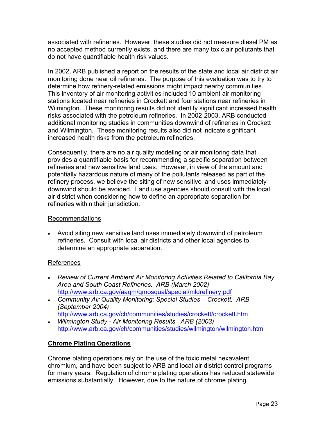<span id="page-33-0"></span>associated with refineries. However, these studies did not measure diesel PM as no accepted method currently exists, and there are many toxic air pollutants that do not have quantifiable health risk values.

In 2002, ARB published a report on the results of the state and local air district air monitoring done near oil refineries. The purpose of this evaluation was to try to determine how refinery-related emissions might impact nearby communities. This inventory of air monitoring activities included 10 ambient air monitoring stations located near refineries in Crockett and four stations near refineries in Wilmington. These monitoring results did not identify significant increased health risks associated with the petroleum refineries. In 2002-2003, ARB conducted additional monitoring studies in communities downwind of refineries in Crockett and Wilmington. These monitoring results also did not indicate significant increased health risks from the petroleum refineries.

Consequently, there are no air quality modeling or air monitoring data that provides a quantifiable basis for recommending a specific separation between refineries and new sensitive land uses. However, in view of the amount and potentially hazardous nature of many of the pollutants released as part of the refinery process, we believe the siting of new sensitive land uses immediately downwind should be avoided. Land use agencies should consult with the local air district when considering how to define an appropriate separation for refineries within their jurisdiction.

#### Recommendations

• Avoid siting new sensitive land uses immediately downwind of petroleum refineries. Consult with local air districts and other local agencies to commendations<br>Avoid siting new sensitive land uses i<br>refineries. Consult with local air distri<br>determine an appropriate separation.

#### References

- *Review of Current Ambient Air Monitoring Activities Related to California Bay Area and South Coast Refineries. ARB (March 2002)*  <http://www.arb.ca.gov/aaqm/qmosqual/special/mldrefinery.pdf>
- *Community Air Quality Monitoring: Special Studies Crockett. ARB (September 2004)*

```
http://www.arb.ca.gov/ch/communities/studies/crockett/crockett.htm
```
• *Wilmington Study - Air Monitoring Results. ARB (2003)*  <http://www.arb.ca.gov/ch/communities/studies/wilmington/wilmington.htm>

#### **Chrome Plating Operations**

Chrome plating operations rely on the use of the toxic metal hexavalent chromium, and have been subject to ARB and local air district control programs for many years. Regulation of chrome plating operations has reduced statewide emissions substantially. However, due to the nature of chrome plating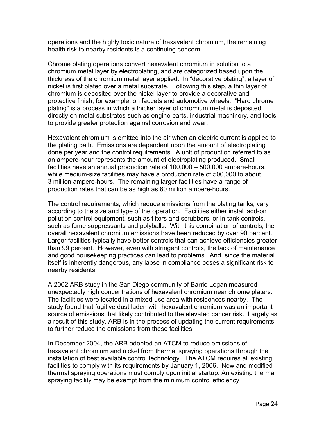operations and the highly toxic nature of hexavalent chromium, the remaining health risk to nearby residents is a continuing concern.

Chrome plating operations convert hexavalent chromium in solution to a chromium metal layer by electroplating, and are categorized based upon the thickness of the chromium metal layer applied. In "decorative plating", a layer of nickel is first plated over a metal substrate. Following this step, a thin layer of chromium is deposited over the nickel layer to provide a decorative and protective finish, for example, on faucets and automotive wheels. "Hard chrome plating" is a process in which a thicker layer of chromium metal is deposited directly on metal substrates such as engine parts, industrial machinery, and tools to provide greater protection against corrosion and wear.

Hexavalent chromium is emitted into the air when an electric current is applied to the plating bath. Emissions are dependent upon the amount of electroplating done per year and the control requirements. A unit of production referred to as an ampere-hour represents the amount of electroplating produced. Small facilities have an annual production rate of 100,000 – 500,000 ampere-hours, while medium-size facilities may have a production rate of 500,000 to about 3 million ampere-hours. The remaining larger facilities have a range of production rates that can be as high as 80 million ampere-hours.

The control requirements, which reduce emissions from the plating tanks, vary according to the size and type of the operation. Facilities either install add-on pollution control equipment, such as filters and scrubbers, or in-tank controls, such as fume suppressants and polyballs. With this combination of controls, the overall hexavalent chromium emissions have been reduced by over 90 percent. Larger facilities typically have better controls that can achieve efficiencies greater than 99 percent. However, even with stringent controls, the lack of maintenance and good housekeeping practices can lead to problems. And, since the material itself is inherently dangerous, any lapse in compliance poses a significant risk to nearby residents.

A 2002 ARB study in the San Diego community of Barrio Logan measured unexpectedly high concentrations of hexavalent chromium near chrome platers. The facilities were located in a mixed-use area with residences nearby. The study found that fugitive dust laden with hexavalent chromium was an important source of emissions that likely contributed to the elevated cancer risk. Largely as a result of this study, ARB is in the process of updating the current requirements to further reduce the emissions from these facilities.

In December 2004, the ARB adopted an ATCM to reduce emissions of hexavalent chromium and nickel from thermal spraying operations through the installation of best available control technology. The ATCM requires all existing facilities to comply with its requirements by January 1, 2006. New and modified thermal spraying operations must comply upon initial startup. An existing thermal spraying facility may be exempt from the minimum control efficiency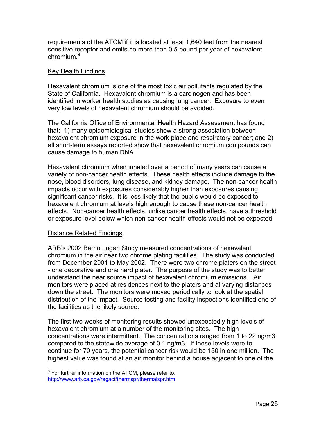requirements of the ATCM if it is located at least 1,640 feet from the nearest sensitive receptor and emits no more than 0.5 pound per year of hexavalent chromium.[8](#page-35-0) 

#### Key Health Findings

Hexavalent chromium is one of the most toxic air pollutants regulated by the State of California. Hexavalent chromium is a carcinogen and has been identified in worker health studies as causing lung cancer. Exposure to even very low levels of hexavalent chromium should be avoided.

The California Office of Environmental Health Hazard Assessment has found that: 1) many epidemiological studies show a strong association between hexavalent chromium exposure in the work place and respiratory cancer; and 2) all short-term assays reported show that hexavalent chromium compounds can cause damage to human DNA.

Hexavalent chromium when inhaled over a period of many years can cause a variety of non-cancer health effects. These health effects include damage to the nose, blood disorders, lung disease, and kidney damage. The non-cancer health impacts occur with exposures considerably higher than exposures causing significant cancer risks. It is less likely that the public would be exposed to hexavalent chromium at levels high enough to cause these non-cancer health effects. Non-cancer health effects, unlike cancer health effects, have a threshold or exposure level below which non-cancer health effects would not be expected.

#### Distance Related Findings

 $\overline{a}$ 

ARB's 2002 Barrio Logan Study measured concentrations of hexavalent chromium in the air near two chrome plating facilities. The study was conducted from December 2001 to May 2002. There were two chrome platers on the street - one decorative and one hard plater. The purpose of the study was to better understand the near source impact of hexavalent chromium emissions. Air monitors were placed at residences next to the platers and at varying distances down the street. The monitors were moved periodically to look at the spatial distribution of the impact. Source testing and facility inspections identified one of the facilities as the likely source.

The first two weeks of monitoring results showed unexpectedly high levels of hexavalent chromium at a number of the monitoring sites. The high concentrations were intermittent. The concentrations ranged from 1 to 22 ng/m3 compared to the statewide average of 0.1 ng/m3. If these levels were to continue for 70 years, the potential cancer risk would be 150 in one million. The highest value was found at an air monitor behind a house adjacent to one of the

<span id="page-35-0"></span> $8$  For further information on the ATCM, please refer to: <http://www.arb.ca.gov/regact/thermspr/thermalspr.htm>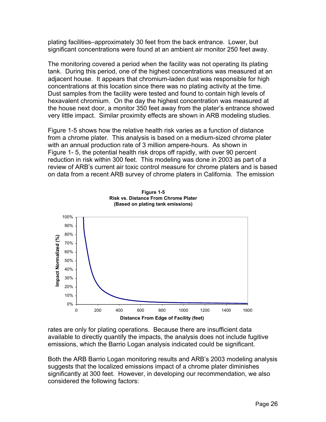plating facilities–approximately 30 feet from the back entrance. Lower, but significant concentrations were found at an ambient air monitor 250 feet away.

The monitoring covered a period when the facility was not operating its plating tank. During this period, one of the highest concentrations was measured at an adjacent house. It appears that chromium-laden dust was responsible for high concentrations at this location since there was no plating activity at the time. Dust samples from the facility were tested and found to contain high levels of hexavalent chromium. On the day the highest concentration was measured at the house next door, a monitor 350 feet away from the plater's entrance showed very little impact. Similar proximity effects are shown in ARB modeling studies.

Figure 1-5 shows how the relative health risk varies as a function of distance from a chrome plater. This analysis is based on a medium-sized chrome plater with an annual production rate of 3 million ampere-hours. As shown in Figure 1- 5, the potential health risk drops off rapidly, with over 90 percent reduction in risk within 300 feet. This modeling was done in 2003 as part of a review of ARB's current air toxic control measure for chrome platers and is based on data from a recent ARB survey of chrome platers in California. The emission



**Figure 1-5 Risk vs. Distance From Chrome Plater (Based on plating tank emissions)** 

rates are only for plating operations. Because there are insufficient data available to directly quantify the impacts, the analysis does not include fugitive emissions, which the Barrio Logan analysis indicated could be significant.

Both the ARB Barrio Logan monitoring results and ARB's 2003 modeling analysis suggests that the localized emissions impact of a chrome plater diminishes significantly at 300 feet. However, in developing our recommendation, we also considered the following factors: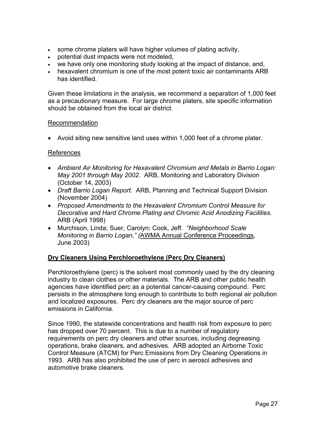- some chrome platers will have higher volumes of plating activity,
- potential dust impacts were not modeled,
- we have only one monitoring study looking at the impact of distance, and,
- hexavalent chromium is one of the most potent toxic air contaminants ARB has identified.

Given these limitations in the analysis, we recommend a separation of 1,000 feet as a precautionary measure. For large chrome platers, site specific information should be obtained from the local air district.

#### Recommendation

• Avoid siting new sensitive land uses within 1,000 feet of a chrome plater.

#### References

- *Ambient Air Monitoring for Hexavalent Chromium and Metals in Barrio Logan: May 2001 through May 2002.* ARB, Monitoring and Laboratory Division (October 14, 2003)
- *Draft Barrio Logan Report.* ARB, Planning and Technical Support Division (November 2004)
- *Proposed Amendments to the Hexavalent Chromium Control Measure for Decorative and Hard Chrome Plating and Chromic Acid Anodizing Facilities.*  ARB (April 1998)
- Murchison, Linda; Suer, Carolyn; Cook, Jeff. *"Neighborhood Scale Monitoring in Barrio Logan," (*AWMA Annual Conference Proceedings, June 2003)

### **Dry Cleaners Using Perchloroethylene (Perc Dry Cleaners)**

Perchloroethylene (perc) is the solvent most commonly used by the dry cleaning industry to clean clothes or other materials. The ARB and other public health agencies have identified perc as a potential cancer-causing compound. Perc persists in the atmosphere long enough to contribute to both regional air pollution and localized exposures. Perc dry cleaners are the major source of perc emissions in California.

Since 1990, the statewide concentrations and health risk from exposure to perc has dropped over 70 percent. This is due to a number of regulatory requirements on perc dry cleaners and other sources, including degreasing operations, brake cleaners, and adhesives. ARB adopted an Airborne Toxic Control Measure (ATCM) for Perc Emissions from Dry Cleaning Operations in 1993. ARB has also prohibited the use of perc in aerosol adhesives and automotive brake cleaners.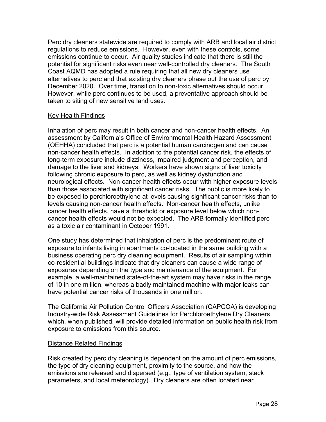Perc dry cleaners statewide are required to comply with ARB and local air district regulations to reduce emissions. However, even with these controls, some emissions continue to occur. Air quality studies indicate that there is still the potential for significant risks even near well-controlled dry cleaners. The South Coast AQMD has adopted a rule requiring that all new dry cleaners use alternatives to perc and that existing dry cleaners phase out the use of perc by December 2020. Over time, transition to non-toxic alternatives should occur. However, while perc continues to be used, a preventative approach should be taken to siting of new sensitive land uses.

#### Key Health Findings

Inhalation of perc may result in both cancer and non-cancer health effects. An assessment by California's Office of Environmental Health Hazard Assessment (OEHHA) concluded that perc is a potential human carcinogen and can cause non-cancer health effects. In addition to the potential cancer risk, the effects of long-term exposure include dizziness, impaired judgment and perception, and damage to the liver and kidneys. Workers have shown signs of liver toxicity following chronic exposure to perc, as well as kidney dysfunction and neurological effects. Non-cancer health effects occur with higher exposure levels than those associated with significant cancer risks. The public is more likely to be exposed to perchloroethylene at levels causing significant cancer risks than to levels causing non-cancer health effects. Non-cancer health effects, unlike cancer health effects, have a threshold or exposure level below which noncancer health effects would not be expected. The ARB formally identified perc as a toxic air contaminant in October 1991.

One study has determined that inhalation of perc is the predominant route of exposure to infants living in apartments co-located in the same building with a business operating perc dry cleaning equipment. Results of air sampling within co-residential buildings indicate that dry cleaners can cause a wide range of exposures depending on the type and maintenance of the equipment. For example, a well-maintained state-of-the-art system may have risks in the range of 10 in one million, whereas a badly maintained machine with major leaks can have potential cancer risks of thousands in one million.

The California Air Pollution Control Officers Association (CAPCOA) is developing Industry-wide Risk Assessment Guidelines for Perchloroethylene Dry Cleaners which, when published, will provide detailed information on public health risk from exposure to emissions from this source.

#### Distance Related Findings

Risk created by perc dry cleaning is dependent on the amount of perc emissions, the type of dry cleaning equipment, proximity to the source, and how the emissions are released and dispersed (e.g., type of ventilation system, stack parameters, and local meteorology). Dry cleaners are often located near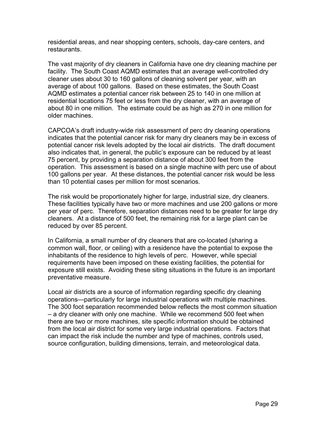residential areas, and near shopping centers, schools, day-care centers, and restaurants.

The vast majority of dry cleaners in California have one dry cleaning machine per facility. The South Coast AQMD estimates that an average well-controlled dry cleaner uses about 30 to 160 gallons of cleaning solvent per year, with an average of about 100 gallons. Based on these estimates, the South Coast AQMD estimates a potential cancer risk between 25 to 140 in one million at residential locations 75 feet or less from the dry cleaner, with an average of about 80 in one million. The estimate could be as high as 270 in one million for older machines.

CAPCOA's draft industry-wide risk assessment of perc dry cleaning operations indicates that the potential cancer risk for many dry cleaners may be in excess of potential cancer risk levels adopted by the local air districts. The draft document also indicates that, in general, the public's exposure can be reduced by at least 75 percent, by providing a separation distance of about 300 feet from the operation. This assessment is based on a single machine with perc use of about 100 gallons per year. At these distances, the potential cancer risk would be less than 10 potential cases per million for most scenarios.

The risk would be proportionately higher for large, industrial size, dry cleaners. These facilities typically have two or more machines and use 200 gallons or more per year of perc. Therefore, separation distances need to be greater for large dry cleaners. At a distance of 500 feet, the remaining risk for a large plant can be reduced by over 85 percent.

In California, a small number of dry cleaners that are co-located (sharing a common wall, floor, or ceiling) with a residence have the potential to expose the inhabitants of the residence to high levels of perc. However, while special requirements have been imposed on these existing facilities, the potential for exposure still exists. Avoiding these siting situations in the future is an important preventative measure.

Local air districts are a source of information regarding specific dry cleaning operations—particularly for large industrial operations with multiple machines. The 300 foot separation recommended below reflects the most common situation – a dry cleaner with only one machine. While we recommend 500 feet when there are two or more machines, site specific information should be obtained from the local air district for some very large industrial operations. Factors that can impact the risk include the number and type of machines, controls used, source configuration, building dimensions, terrain, and meteorological data.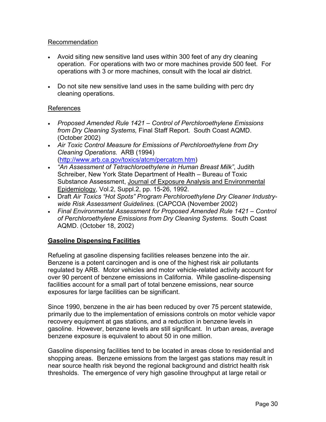### Recommendation

- Avoid siting new sensitive land uses within 300 feet of any dry cleaning operation. For operations with two or more machines provide 500 feet. For operations with 3 or more machines, consult with the local air district.
- Do not site new sensitive land uses in the same building with perc dry cleaning operations.

## References

- *Proposed Amended Rule 1421 Control of Perchloroethylene Emissions from Dry Cleaning Systems,* Final Staff Report. South Coast AQMD. (October 2002)
- *Air Toxic Control Measure for Emissions of Perchloroethylene from Dry Cleaning Operations.* ARB (1994) ([http://www.arb.ca.gov/toxics/atcm/percatcm.htm\)](http://www.arb.ca.gov/toxics/atcm/percatcm.htm)
- Substance Assessment, Journal of Exposure Analysis and Environmental • *"An Assessment of Tetrachloroethylene in Human Breast Milk"*, Judith Schreiber, New York State Department of Health – Bureau of Toxic Epidemiology, Vol.2, Suppl.2, pp. 15-26, 1992.
- Draft *Air Toxics "Hot Spots" Program Perchloroethylene Dry Cleaner Industrywide Risk Assessment Guidelines.* (CAPCOA (November 2002)
- *Final Environmental Assessment for Proposed Amended Rule 1421 Control of Perchloroethylene Emissions from Dry Cleaning Systems.* South Coast AQMD. (October 18, 2002)

## **Gasoline Dispensing Facilities**

Refueling at gasoline dispensing facilities releases benzene into the air. Benzene is a potent carcinogen and is one of the highest risk air pollutants regulated by ARB. Motor vehicles and motor vehicle-related activity account for over 90 percent of benzene emissions in California. While gasoline-dispensing facilities account for a small part of total benzene emissions, near source exposures for large facilities can be significant.

Since 1990, benzene in the air has been reduced by over 75 percent statewide, primarily due to the implementation of emissions controls on motor vehicle vapor recovery equipment at gas stations, and a reduction in benzene levels in gasoline. However, benzene levels are still significant. In urban areas, average benzene exposure is equivalent to about 50 in one million.

Gasoline dispensing facilities tend to be located in areas close to residential and shopping areas. Benzene emissions from the largest gas stations may result in near source health risk beyond the regional background and district health risk thresholds. The emergence of very high gasoline throughput at large retail or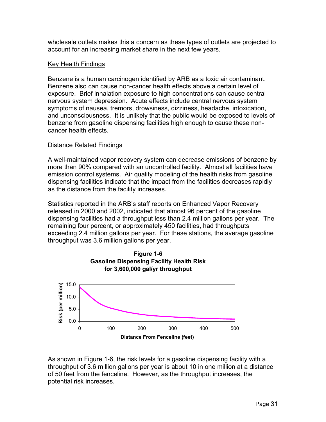wholesale outlets makes this a concern as these types of outlets are projected to account for an increasing market share in the next few years.

### Key Health Findings

Benzene is a human carcinogen identified by ARB as a toxic air contaminant. Benzene also can cause non-cancer health effects above a certain level of exposure. Brief inhalation exposure to high concentrations can cause central nervous system depression. Acute effects include central nervous system symptoms of nausea, tremors, drowsiness, dizziness, headache, intoxication, and unconsciousness. It is unlikely that the public would be exposed to levels of benzene from gasoline dispensing facilities high enough to cause these noncancer health effects.

## Distance Related Findings

A well-maintained vapor recovery system can decrease emissions of benzene by more than 90% compared with an uncontrolled facility. Almost all facilities have emission control systems. Air quality modeling of the health risks from gasoline dispensing facilities indicate that the impact from the facilities decreases rapidly as the distance from the facility increases.

Statistics reported in the ARB's staff reports on Enhanced Vapor Recovery released in 2000 and 2002, indicated that almost 96 percent of the gasoline dispensing facilities had a throughput less than 2.4 million gallons per year. The remaining four percent, or approximately 450 facilities, had throughputs exceeding 2.4 million gallons per year. For these stations, the average gasoline throughput was 3.6 million gallons per year.



As shown in Figure 1-6, the risk levels for a gasoline dispensing facility with a throughput of 3.6 million gallons per year is about 10 in one million at a distance of 50 feet from the fenceline. However, as the throughput increases, the potential risk increases.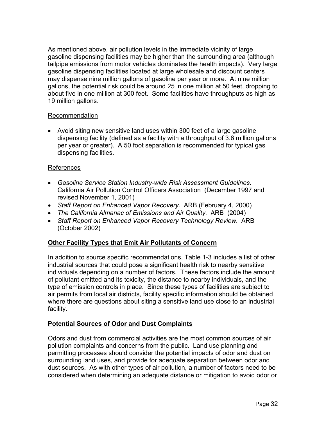As mentioned above, air pollution levels in the immediate vicinity of large gasoline dispensing facilities may be higher than the surrounding area (although tailpipe emissions from motor vehicles dominates the health impacts). Very large gasoline dispensing facilities located at large wholesale and discount centers may dispense nine million gallons of gasoline per year or more. At nine million gallons, the potential risk could be around 25 in one million at 50 feet, dropping to about five in one million at 300 feet. Some facilities have throughputs as high as 19 million gallons.

### Recommendation

• Avoid siting new sensitive land uses within 300 feet of a large gasoline dispensing facility (defined as a facility with a throughput of 3.6 million gallons per year or greater). A 50 foot separation is recommended for typical gas dispensing facilities.

### References

- *Gasoline Service Station Industry-wide Risk Assessment Guidelines.*  California Air Pollution Control Officers Association (December 1997 and revised November 1, 2001)
- *Staff Report on Enhanced Vapor Recovery.* ARB (February 4, 2000)
- *The California Almanac of Emissions and Air Quality.* ARB (2004)
- *Staff Report on Enhanced Vapor Recovery Technology Review.* ARB (October 2002)

## **Other Facility Types that Emit Air Pollutants of Concern**

In addition to source specific recommendations, Table 1-3 includes a list of other industrial sources that could pose a significant health risk to nearby sensitive individuals depending on a number of factors. These factors include the amount of pollutant emitted and its toxicity, the distance to nearby individuals, and the type of emission controls in place. Since these types of facilities are subject to air permits from local air districts, facility specific information should be obtained where there are questions about siting a sensitive land use close to an industrial facility.

### **Potential Sources of Odor and Dust Complaints**

Odors and dust from commercial activities are the most common sources of air pollution complaints and concerns from the public. Land use planning and permitting processes should consider the potential impacts of odor and dust on surrounding land uses, and provide for adequate separation between odor and dust sources. As with other types of air pollution, a number of factors need to be considered when determining an adequate distance or mitigation to avoid odor or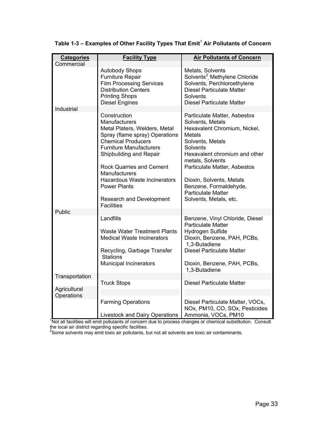| <b>Categories</b><br>Commercial | <b>Facility Type</b>                                                                                                                                                                                                                                                                                         | <b>Air Pollutants of Concern</b>                                                                                                                                                                                                                                             |
|---------------------------------|--------------------------------------------------------------------------------------------------------------------------------------------------------------------------------------------------------------------------------------------------------------------------------------------------------------|------------------------------------------------------------------------------------------------------------------------------------------------------------------------------------------------------------------------------------------------------------------------------|
|                                 | <b>Autobody Shops</b><br>Furniture Repair<br><b>Film Processing Services</b><br><b>Distribution Centers</b><br><b>Printing Shops</b><br><b>Diesel Engines</b>                                                                                                                                                | Metals, Solvents<br>Solvents <sup>2</sup> Methylene Chloride<br>Solvents, Perchloroethylene<br><b>Diesel Particulate Matter</b><br>Solvents<br><b>Diesel Particulate Matter</b>                                                                                              |
| Industrial                      |                                                                                                                                                                                                                                                                                                              |                                                                                                                                                                                                                                                                              |
|                                 | Construction<br>Manufacturers<br>Metal Platers, Welders, Metal<br>Spray (flame spray) Operations<br><b>Chemical Producers</b><br><b>Furniture Manufacturers</b><br>Shipbuilding and Repair<br><b>Rock Quarries and Cement</b><br><b>Manufacturers</b><br>Hazardous Waste Incinerators<br><b>Power Plants</b> | Particulate Matter, Asbestos<br>Solvents, Metals<br>Hexavalent Chromium, Nickel,<br><b>Metals</b><br>Solvents, Metals<br>Solvents<br>Hexavalent chromium and other<br>metals, Solvents<br>Particulate Matter, Asbestos<br>Dioxin, Solvents, Metals<br>Benzene, Formaldehyde, |
|                                 | Research and Development<br><b>Facilities</b>                                                                                                                                                                                                                                                                | <b>Particulate Matter</b><br>Solvents, Metals, etc.                                                                                                                                                                                                                          |
| Public                          |                                                                                                                                                                                                                                                                                                              |                                                                                                                                                                                                                                                                              |
|                                 | Landfills                                                                                                                                                                                                                                                                                                    | Benzene, Vinyl Chloride, Diesel<br><b>Particulate Matter</b>                                                                                                                                                                                                                 |
|                                 | <b>Waste Water Treatment Plants</b><br><b>Medical Waste Incinerators</b>                                                                                                                                                                                                                                     | Hydrogen Sulfide<br>Dioxin, Benzene, PAH, PCBs,<br>1,3-Butadiene                                                                                                                                                                                                             |
|                                 | Recycling, Garbage Transfer<br><b>Stations</b>                                                                                                                                                                                                                                                               | <b>Diesel Particulate Matter</b>                                                                                                                                                                                                                                             |
|                                 | Municipal Incinerators                                                                                                                                                                                                                                                                                       | Dioxin, Benzene, PAH, PCBs,<br>1,3-Butadiene                                                                                                                                                                                                                                 |
| Transportation                  |                                                                                                                                                                                                                                                                                                              |                                                                                                                                                                                                                                                                              |
|                                 | <b>Truck Stops</b>                                                                                                                                                                                                                                                                                           | <b>Diesel Particulate Matter</b>                                                                                                                                                                                                                                             |
| Agricultural<br>Operations      |                                                                                                                                                                                                                                                                                                              |                                                                                                                                                                                                                                                                              |
|                                 | <b>Farming Operations</b>                                                                                                                                                                                                                                                                                    | Diesel Particulate Matter, VOCs,<br>NOx, PM10, CO, SOx, Pesticides                                                                                                                                                                                                           |
|                                 | Livestock and Dairy Operations                                                                                                                                                                                                                                                                               | Ammonia, VOCs, PM10                                                                                                                                                                                                                                                          |
|                                 |                                                                                                                                                                                                                                                                                                              | Not all facilities will emit pollutants of concern due to process changes or chemical substitution. Consult                                                                                                                                                                  |

Table 1-3 – Examples of Other Facility Types That Emit<sup>1</sup> Air Pollutants of Concern

the local air district regarding specific facilities.<br><sup>2</sup>Some solvents may emit toxic air pollutants, but not all solvents are toxic air contaminants.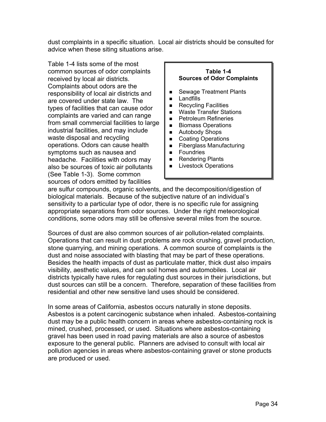dust complaints in a specific situation. Local air districts should be consulted for advice when these siting situations arise.

Table 1-4 lists some of the most common sources of odor complaints **Table 1-4**  received by local air districts. **Sources of Odor Complaints**  Complaints about odors are the responsibility of local air districts and **Fig. 3** Sewage Treatment Plants Landfills are covered under state law. The types of facilities that can cause odor<br>complaints are varied and can range<br>from small commercial facilities to large<br>industrial facilities, and may include<br>waste disposal and recycling operations. Odors can cause health Fiberglass Manufacturing symptoms such as nausea and  $\|\cdot\|$  Foundries headache. Facilities with odors may **Rendering Plants**<br>also be sources of toxic air pollutants **Relatives** Livestock Operations also be sources of toxic air pollutants (See Table 1-3). Some common sources of odors emitted by facilities



are sulfur compounds, organic solvents, and the decomposition/digestion of biological materials. Because of the subjective nature of an individual's sensitivity to a particular type of odor, there is no specific rule for assigning appropriate separations from odor sources. Under the right meteorological conditions, some odors may still be offensive several miles from the source.

Sources of dust are also common sources of air pollution-related complaints. Operations that can result in dust problems are rock crushing, gravel production, stone quarrying, and mining operations. A common source of complaints is the dust and noise associated with blasting that may be part of these operations. Besides the health impacts of dust as particulate matter, thick dust also impairs visibility, aesthetic values, and can soil homes and automobiles. Local air districts typically have rules for regulating dust sources in their jurisdictions, but dust sources can still be a concern. Therefore, separation of these facilities from residential and other new sensitive land uses should be considered.

In some areas of California, asbestos occurs naturally in stone deposits. Asbestos is a potent carcinogenic substance when inhaled. Asbestos-containing dust may be a public health concern in areas where asbestos-containing rock is mined, crushed, processed, or used. Situations where asbestos-containing gravel has been used in road paving materials are also a source of asbestos exposure to the general public. Planners are advised to consult with local air pollution agencies in areas where asbestos-containing gravel or stone products are produced or used.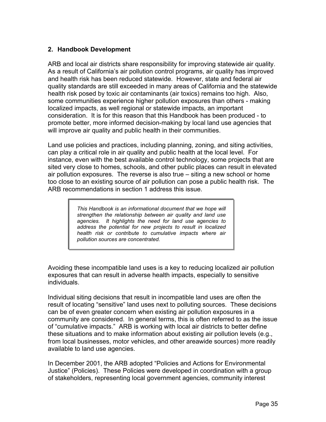## **2. Handbook Development**

ARB and local air districts share responsibility for improving statewide air quality. As a result of California's air pollution control programs, air quality has improved and health risk has been reduced statewide. However, state and federal air quality standards are still exceeded in many areas of California and the statewide health risk posed by toxic air contaminants (air toxics) remains too high. Also, some communities experience higher pollution exposures than others - making localized impacts, as well regional or statewide impacts, an important consideration. It is for this reason that this Handbook has been produced - to promote better, more informed decision-making by local land use agencies that will improve air quality and public health in their communities.

Land use policies and practices, including planning, zoning, and siting activities, can play a critical role in air quality and public health at the local level. For instance, even with the best available control technology, some projects that are sited very close to homes, schools, and other public places can result in elevated air pollution exposures. The reverse is also true – siting a new school or home too close to an existing source of air pollution can pose a public health risk. The ARB recommendations in section 1 address this issue.

> *This Handbook is an informational document that we hope will strengthen the relationship between air quality and land use agencies. It highlights the need for land use agencies to address the potential for new projects to result in localized health risk or contribute to cumulative impacts where air pollution sources are concentrated.*

Avoiding these incompatible land uses is a key to reducing localized air pollution exposures that can result in adverse health impacts, especially to sensitive individuals.

Individual siting decisions that result in incompatible land uses are often the result of locating "sensitive" land uses next to polluting sources. These decisions can be of even greater concern when existing air pollution exposures in a community are considered. In general terms, this is often referred to as the issue of "cumulative impacts." ARB is working with local air districts to better define these situations and to make information about existing air pollution levels (e.g., from local businesses, motor vehicles, and other areawide sources) more readily available to land use agencies.

In December 2001, the ARB adopted "Policies and Actions for Environmental Justice" (Policies). These Policies were developed in coordination with a group of stakeholders, representing local government agencies, community interest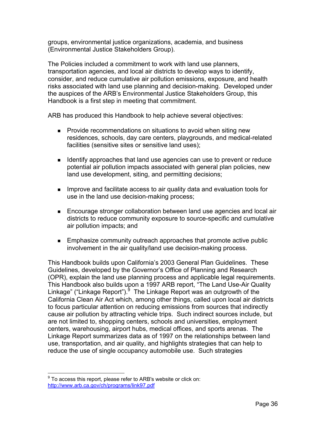groups, environmental justice organizations, academia, and business (Environmental Justice Stakeholders Group).

The Policies included a commitment to work with land use planners, transportation agencies, and local air districts to develop ways to identify, consider, and reduce cumulative air pollution emissions, exposure, and health risks associated with land use planning and decision-making. Developed under the auspices of the ARB's Environmental Justice Stakeholders Group, this Handbook is a first step in meeting that commitment.

ARB has produced this Handbook to help achieve several objectives:

- **Provide recommendations on situations to avoid when siting new** residences, schools, day care centers, playgrounds, and medical-related facilities (sensitive sites or sensitive land uses);
- **If all identify approaches that land use agencies can use to prevent or reduce** potential air pollution impacts associated with general plan policies, new land use development, siting, and permitting decisions;
- **IMPROVE and facilitate access to air quality data and evaluation tools for** use in the land use decision-making process;
- **Encourage stronger collaboration between land use agencies and local air** districts to reduce community exposure to source-specific and cumulative air pollution impacts; and
- **Emphasize community outreach approaches that promote active public** involvement in the air quality/land use decision-making process.

This Handbook builds upon California's 2003 General Plan Guidelines. These Guidelines, developed by the Governor's Office of Planning and Research (OPR), explain the land use planning process and applicable legal requirements. This Handbook also builds upon a 1997 ARB report, "The Land Use-Air Quality Linkage" ("Linkage Report").<sup>[9](#page-46-0)</sup> The Linkage Report was an outgrowth of the California Clean Air Act which, among other things, called upon local air districts to focus particular attention on reducing emissions from sources that indirectly cause air pollution by attracting vehicle trips. Such indirect sources include, but are not limited to, shopping centers, schools and universities, employment centers, warehousing, airport hubs, medical offices, and sports arenas. The Linkage Report summarizes data as of 1997 on the relationships between land use, transportation, and air quality, and highlights strategies that can help to reduce the use of single occupancy automobile use. Such strategies

<span id="page-46-0"></span> 9 To access this report, please refer to ARB's website or click on: <http://www.arb.ca.gov/ch/programs/link97.pdf>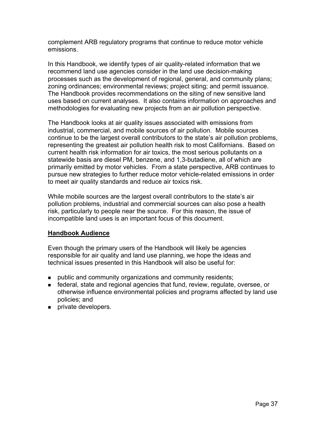complement ARB regulatory programs that continue to reduce motor vehicle emissions.

In this Handbook, we identify types of air quality-related information that we recommend land use agencies consider in the land use decision-making processes such as the development of regional, general, and community plans; zoning ordinances; environmental reviews; project siting; and permit issuance. The Handbook provides recommendations on the siting of new sensitive land uses based on current analyses. It also contains information on approaches and methodologies for evaluating new projects from an air pollution perspective.

The Handbook looks at air quality issues associated with emissions from industrial, commercial, and mobile sources of air pollution. Mobile sources continue to be the largest overall contributors to the state's air pollution problems, representing the greatest air pollution health risk to most Californians. Based on current health risk information for air toxics, the most serious pollutants on a statewide basis are diesel PM, benzene, and 1,3-butadiene, all of which are primarily emitted by motor vehicles. From a state perspective, ARB continues to pursue new strategies to further reduce motor vehicle-related emissions in order to meet air quality standards and reduce air toxics risk.

While mobile sources are the largest overall contributors to the state's air pollution problems, industrial and commercial sources can also pose a health risk, particularly to people near the source. For this reason, the issue of incompatible land uses is an important focus of this document.

### **Handbook Audience**

Even though the primary users of the Handbook will likely be agencies responsible for air quality and land use planning, we hope the ideas and technical issues presented in this Handbook will also be useful for:

- **public and community organizations and community residents;**
- federal, state and regional agencies that fund, review, regulate, oversee, or otherwise influence environmental policies and programs affected by land use policies; and
- **private developers.**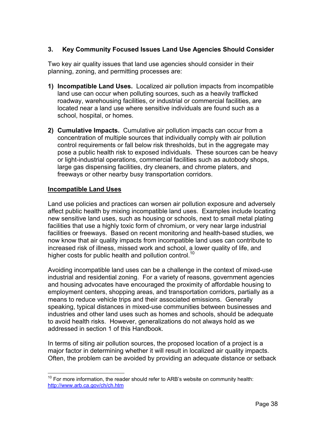## **3. Key Community Focused Issues Land Use Agencies Should Consider**

Two key air quality issues that land use agencies should consider in their planning, zoning, and permitting processes are:

- **1) Incompatible Land Uses.** Localized air pollution impacts from incompatible land use can occur when polluting sources, such as a heavily trafficked roadway, warehousing facilities, or industrial or commercial facilities, are located near a land use where sensitive individuals are found such as a school, hospital, or homes.
- **2) Cumulative Impacts.** Cumulative air pollution impacts can occur from a concentration of multiple sources that individually comply with air pollution control requirements or fall below risk thresholds, but in the aggregate may pose a public health risk to exposed individuals. These sources can be heavy or light-industrial operations, commercial facilities such as autobody shops, large gas dispensing facilities, dry cleaners, and chrome platers, and freeways or other nearby busy transportation corridors.

#### **Incompatible Land Uses**

 $\overline{a}$ 

higher costs for public health and pollution control.<sup>10</sup> Land use policies and practices can worsen air pollution exposure and adversely affect public health by mixing incompatible land uses. Examples include locating new sensitive land uses, such as housing or schools, next to small metal plating facilities that use a highly toxic form of chromium, or very near large industrial facilities or freeways. Based on recent monitoring and health-based studies, we now know that air quality impacts from incompatible land uses can contribute to increased risk of illness, missed work and school, a lower quality of life, and

Avoiding incompatible land uses can be a challenge in the context of mixed-use industrial and residential zoning. For a variety of reasons, government agencies and housing advocates have encouraged the proximity of affordable housing to employment centers, shopping areas, and transportation corridors, partially as a means to reduce vehicle trips and their associated emissions. Generally speaking, typical distances in mixed-use communities between businesses and industries and other land uses such as homes and schools, should be adequate to avoid health risks. However, generalizations do not always hold as we addressed in section 1 of this Handbook.

In terms of siting air pollution sources, the proposed location of a project is a major factor in determining whether it will result in localized air quality impacts. Often, the problem can be avoided by providing an adequate distance or setback

<span id="page-48-0"></span> $10$  For more information, the reader should refer to ARB's website on community health: <http://www.arb.ca.gov/ch/ch.htm>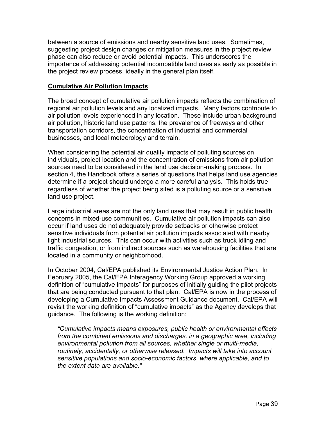between a source of emissions and nearby sensitive land uses. Sometimes, suggesting project design changes or mitigation measures in the project review phase can also reduce or avoid potential impacts. This underscores the importance of addressing potential incompatible land uses as early as possible in the project review process, ideally in the general plan itself.

#### **Cumulative Air Pollution Impacts**

The broad concept of cumulative air pollution impacts reflects the combination of regional air pollution levels and any localized impacts. Many factors contribute to air pollution levels experienced in any location. These include urban background air pollution, historic land use patterns, the prevalence of freeways and other transportation corridors, the concentration of industrial and commercial businesses, and local meteorology and terrain.

When considering the potential air quality impacts of polluting sources on individuals, project location and the concentration of emissions from air pollution sources need to be considered in the land use decision-making process. In section 4, the Handbook offers a series of questions that helps land use agencies determine if a project should undergo a more careful analysis. This holds true regardless of whether the project being sited is a polluting source or a sensitive land use project.

Large industrial areas are not the only land uses that may result in public health concerns in mixed-use communities. Cumulative air pollution impacts can also occur if land uses do not adequately provide setbacks or otherwise protect sensitive individuals from potential air pollution impacts associated with nearby light industrial sources. This can occur with activities such as truck idling and traffic congestion, or from indirect sources such as warehousing facilities that are located in a community or neighborhood.

In October 2004, Cal/EPA published its Environmental Justice Action Plan. In February 2005, the Cal/EPA Interagency Working Group approved a working definition of "cumulative impacts" for purposes of initially guiding the pilot projects that are being conducted pursuant to that plan. Cal/EPA is now in the process of developing a Cumulative Impacts Assessment Guidance document. Cal/EPA will revisit the working definition of "cumulative impacts" as the Agency develops that guidance. The following is the working definition:

*"Cumulative impacts means exposures, public health or environmental effects from the combined emissions and discharges, in a geographic area, including environmental pollution from all sources, whether single or multi-media, routinely, accidentally, or otherwise released. Impacts will take into account sensitive populations and socio-economic factors, where applicable, and to the extent data are available."*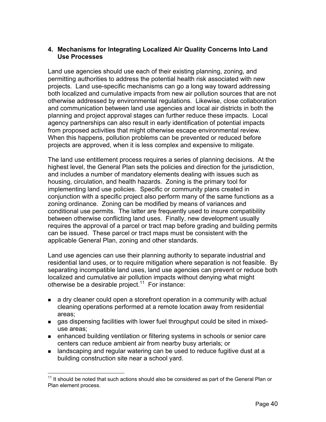## **4. Mechanisms for Integrating Localized Air Quality Concerns Into Land Use Processes**

Land use agencies should use each of their existing planning, zoning, and permitting authorities to address the potential health risk associated with new projects. Land use-specific mechanisms can go a long way toward addressing both localized and cumulative impacts from new air pollution sources that are not otherwise addressed by environmental regulations. Likewise, close collaboration and communication between land use agencies and local air districts in both the planning and project approval stages can further reduce these impacts. Local agency partnerships can also result in early identification of potential impacts from proposed activities that might otherwise escape environmental review. When this happens, pollution problems can be prevented or reduced before projects are approved, when it is less complex and expensive to mitigate.

The land use entitlement process requires a series of planning decisions. At the highest level, the General Plan sets the policies and direction for the jurisdiction, and includes a number of mandatory elements dealing with issues such as housing, circulation, and health hazards. Zoning is the primary tool for implementing land use policies. Specific or community plans created in conjunction with a specific project also perform many of the same functions as a zoning ordinance. Zoning can be modified by means of variances and conditional use permits. The latter are frequently used to insure compatibility between otherwise conflicting land uses. Finally, new development usually requires the approval of a parcel or tract map before grading and building permits can be issued. These parcel or tract maps must be consistent with the applicable General Plan, zoning and other standards.

Land use agencies can use their planning authority to separate industrial and residential land uses, or to require mitigation where separation is not feasible. By separating incompatible land uses, land use agencies can prevent or reduce both localized and cumulative air pollution impacts without denying what might otherwise be a desirable project.<sup>[11](#page-50-0)</sup> For instance:

- a dry cleaner could open a storefront operation in a community with actual cleaning operations performed at a remote location away from residential areas;
- gas dispensing facilities with lower fuel throughput could be sited in mixeduse areas;
- enhanced building ventilation or filtering systems in schools or senior care centers can reduce ambient air from nearby busy arterials; or
- landscaping and regular watering can be used to reduce fugitive dust at a building construction site near a school yard.

<span id="page-50-0"></span> $\overline{a}$  $11$  It should be noted that such actions should also be considered as part of the General Plan or Plan element process.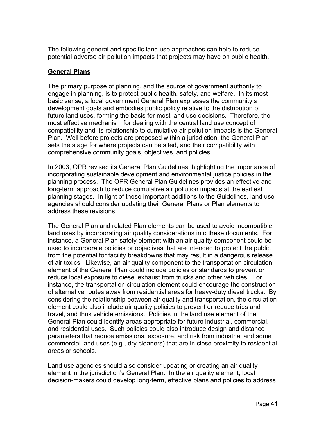potential adverse air pollution impacts that projects may have on public health. The following general and specific land use approaches can help to reduce

## **General Plans**

The primary purpose of planning, and the source of government authority to engage in planning, is to protect public health, safety, and welfare. In its most basic sense, a local government General Plan expresses the community's development goals and embodies public policy relative to the distribution of future land uses, forming the basis for most land use decisions. Therefore, the most effective mechanism for dealing with the central land use concept of compatibility and its relationship to cumulative air pollution impacts is the General Plan. Well before projects are proposed within a jurisdiction, the General Plan sets the stage for where projects can be sited, and their compatibility with comprehensive community goals, objectives, and policies.

In 2003, OPR revised its General Plan Guidelines, highlighting the importance of incorporating sustainable development and environmental justice policies in the planning process. The OPR General Plan Guidelines provides an effective and long-term approach to reduce cumulative air pollution impacts at the earliest planning stages. In light of these important additions to the Guidelines, land use agencies should consider updating their General Plans or Plan elements to address these revisions.

The General Plan and related Plan elements can be used to avoid incompatible land uses by incorporating air quality considerations into these documents. For instance, a General Plan safety element with an air quality component could be used to incorporate policies or objectives that are intended to protect the public from the potential for facility breakdowns that may result in a dangerous release of air toxics. Likewise, an air quality component to the transportation circulation element of the General Plan could include policies or standards to prevent or reduce local exposure to diesel exhaust from trucks and other vehicles. For instance, the transportation circulation element could encourage the construction of alternative routes away from residential areas for heavy-duty diesel trucks. By considering the relationship between air quality and transportation, the circulation element could also include air quality policies to prevent or reduce trips and travel, and thus vehicle emissions. Policies in the land use element of the General Plan could identify areas appropriate for future industrial, commercial, and residential uses. Such policies could also introduce design and distance parameters that reduce emissions, exposure, and risk from industrial and some commercial land uses (e.g., dry cleaners) that are in close proximity to residential areas or schools.

Land use agencies should also consider updating or creating an air quality element in the jurisdiction's General Plan. In the air quality element, local decision-makers could develop long-term, effective plans and policies to address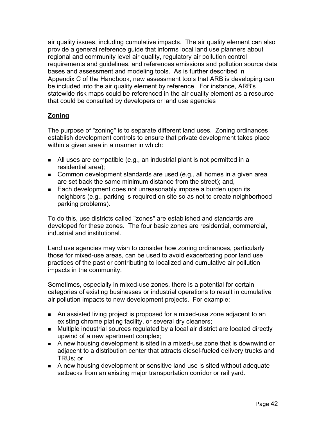air quality issues, including cumulative impacts. The air quality element can also provide a general reference guide that informs local land use planners about regional and community level air quality, regulatory air pollution control requirements and guidelines, and references emissions and pollution source data bases and assessment and modeling tools. As is further described in Appendix C of the Handbook, new assessment tools that ARB is developing can be included into the air quality element by reference. For instance, ARB's statewide risk maps could be referenced in the air quality element as a resource that could be consulted by developers or land use agencies

# **Zoning**

The purpose of "zoning" is to separate different land uses. Zoning ordinances establish development controls to ensure that private development takes place within a given area in a manner in which:

- All uses are compatible (e.g., an industrial plant is not permitted in a residential area);
- **Common development standards are used (e.g., all homes in a given area** are set back the same minimum distance from the street); and,
- **Each development does not unreasonably impose a burden upon its** neighbors (e.g., parking is required on site so as not to create neighborhood parking problems).

To do this, use districts called "zones" are established and standards are developed for these zones. The four basic zones are residential, commercial, industrial and institutional.

Land use agencies may wish to consider how zoning ordinances, particularly those for mixed-use areas, can be used to avoid exacerbating poor land use practices of the past or contributing to localized and cumulative air pollution impacts in the community.

Sometimes, especially in mixed-use zones, there is a potential for certain categories of existing businesses or industrial operations to result in cumulative air pollution impacts to new development projects. For example:

- An assisted living project is proposed for a mixed-use zone adjacent to an existing chrome plating facility, or several dry cleaners;
- **Multiple industrial sources regulated by a local air district are located directly** upwind of a new apartment complex;
- A new housing development is sited in a mixed-use zone that is downwind or adjacent to a distribution center that attracts diesel-fueled delivery trucks and TRUs; or
- A new housing development or sensitive land use is sited without adequate setbacks from an existing major transportation corridor or rail yard.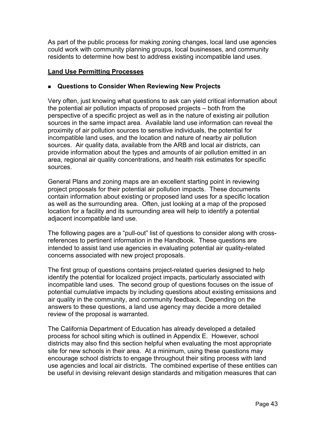As part of the public process for making zoning changes, local land use agencies could work with community planning groups, local businesses, and community residents to determine how best to address existing incompatible land uses.

## **Land Use Permitting Processes**

### **Questions to Consider When Reviewing New Projects**

Very often, just knowing what questions to ask can yield critical information about the potential air pollution impacts of proposed projects – both from the perspective of a specific project as well as in the nature of existing air pollution sources in the same impact area. Available land use information can reveal the proximity of air pollution sources to sensitive individuals, the potential for incompatible land uses, and the location and nature of nearby air pollution sources. Air quality data, available from the ARB and local air districts, can provide information about the types and amounts of air pollution emitted in an area, regional air quality concentrations, and health risk estimates for specific sources.

General Plans and zoning maps are an excellent starting point in reviewing project proposals for their potential air pollution impacts. These documents contain information about existing or proposed land uses for a specific location as well as the surrounding area. Often, just looking at a map of the proposed location for a facility and its surrounding area will help to identify a potential adjacent incompatible land use.

The following pages are a "pull-out" list of questions to consider along with crossreferences to pertinent information in the Handbook. These questions are intended to assist land use agencies in evaluating potential air quality-related concerns associated with new project proposals.

The first group of questions contains project-related queries designed to help identify the potential for localized project impacts, particularly associated with incompatible land uses. The second group of questions focuses on the issue of potential cumulative impacts by including questions about existing emissions and air quality in the community, and community feedback. Depending on the answers to these questions, a land use agency may decide a more detailed review of the proposal is warranted.

The California Department of Education has already developed a detailed process for school siting which is outlined in Appendix E. However, school districts may also find this section helpful when evaluating the most appropriate site for new schools in their area. At a minimum, using these questions may encourage school districts to engage throughout their siting process with land use agencies and local air districts. The combined expertise of these entities can be useful in devising relevant design standards and mitigation measures that can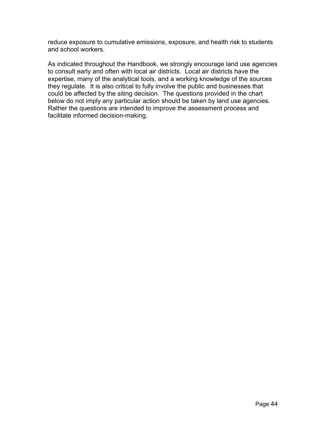reduce exposure to cumulative emissions, exposure, and health risk to students and school workers.

As indicated throughout the Handbook, we strongly encourage land use agencies to consult early and often with local air districts. Local air districts have the expertise, many of the analytical tools, and a working knowledge of the sources they regulate. It is also critical to fully involve the public and businesses that could be affected by the siting decision. The questions provided in the chart below do not imply any particular action should be taken by land use agencies. Rather the questions are intended to improve the assessment process and facilitate informed decision-making.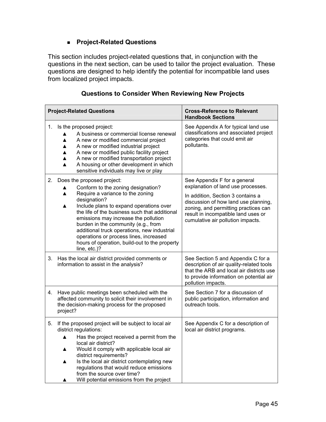## **Project-Related Questions**

This section includes project-related questions that, in conjunction with the questions in the next section, can be used to tailor the project evaluation. These questions are designed to help identify the potential for incompatible land uses from localized project impacts.

| <b>Project-Related Questions</b> |                                                                                                                                                                                                                                                                                                                                                                                                                                                                          | <b>Cross-Reference to Relevant</b><br><b>Handbook Sections</b>                                                                                                                                                                                                      |  |
|----------------------------------|--------------------------------------------------------------------------------------------------------------------------------------------------------------------------------------------------------------------------------------------------------------------------------------------------------------------------------------------------------------------------------------------------------------------------------------------------------------------------|---------------------------------------------------------------------------------------------------------------------------------------------------------------------------------------------------------------------------------------------------------------------|--|
| 1.                               | Is the proposed project:<br>A business or commercial license renewal<br>A new or modified commercial project<br>▲<br>A new or modified industrial project<br>▲<br>A new or modified public facility project<br>▲<br>A new or modified transportation project<br>▲<br>A housing or other development in which<br>$\blacktriangle$<br>sensitive individuals may live or play                                                                                               | See Appendix A for typical land use<br>classifications and associated project<br>categories that could emit air<br>pollutants.                                                                                                                                      |  |
| 2.                               | Does the proposed project:<br>Conform to the zoning designation?<br>▲<br>Require a variance to the zoning<br>▲<br>designation?<br>Include plans to expand operations over<br>▲<br>the life of the business such that additional<br>emissions may increase the pollution<br>burden in the community (e.g., from<br>additional truck operations, new industrial<br>operations or process lines, increased<br>hours of operation, build-out to the property<br>line, etc.)? | See Appendix F for a general<br>explanation of land use processes.<br>In addition, Section 3 contains a<br>discussion of how land use planning,<br>zoning, and permitting practices can<br>result in incompatible land uses or<br>cumulative air pollution impacts. |  |
| 3.                               | Has the local air district provided comments or<br>information to assist in the analysis?                                                                                                                                                                                                                                                                                                                                                                                | See Section 5 and Appendix C for a<br>description of air quality-related tools<br>that the ARB and local air districts use<br>to provide information on potential air<br>pollution impacts.                                                                         |  |
| 4.                               | Have public meetings been scheduled with the<br>affected community to solicit their involvement in<br>the decision-making process for the proposed<br>project?                                                                                                                                                                                                                                                                                                           | See Section 7 for a discussion of<br>public participation, information and<br>outreach tools.                                                                                                                                                                       |  |
| 5.                               | If the proposed project will be subject to local air<br>district regulations:<br>Has the project received a permit from the<br>▲<br>local air district?<br>Would it comply with applicable local air<br>▲<br>district requirements?<br>Is the local air district contemplating new<br>▲<br>regulations that would reduce emissions<br>from the source over time?<br>Will potential emissions from the project                                                            | See Appendix C for a description of<br>local air district programs.                                                                                                                                                                                                 |  |

## **Questions to Consider When Reviewing New Projects**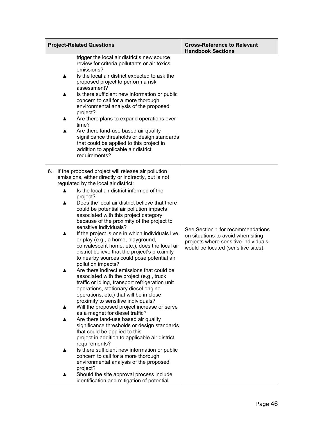| <b>Project-Related Questions</b>                                                                                                                                                                                                                                                                                                                                                                                                                                                                                                                                                                                                                                                                                                                                                                                                                                                                                                                                                                                                                                                                                                                                                                                                                                                                                                                                                                                                                                                                                              | <b>Cross-Reference to Relevant</b><br><b>Handbook Sections</b>                                                                                         |
|-------------------------------------------------------------------------------------------------------------------------------------------------------------------------------------------------------------------------------------------------------------------------------------------------------------------------------------------------------------------------------------------------------------------------------------------------------------------------------------------------------------------------------------------------------------------------------------------------------------------------------------------------------------------------------------------------------------------------------------------------------------------------------------------------------------------------------------------------------------------------------------------------------------------------------------------------------------------------------------------------------------------------------------------------------------------------------------------------------------------------------------------------------------------------------------------------------------------------------------------------------------------------------------------------------------------------------------------------------------------------------------------------------------------------------------------------------------------------------------------------------------------------------|--------------------------------------------------------------------------------------------------------------------------------------------------------|
| trigger the local air district's new source<br>review for criteria pollutants or air toxics<br>emissions?<br>Is the local air district expected to ask the<br>▲<br>proposed project to perform a risk<br>assessment?<br>Is there sufficient new information or public<br>▲<br>concern to call for a more thorough<br>environmental analysis of the proposed<br>project?<br>Are there plans to expand operations over<br>▲<br>time?<br>Are there land-use based air quality<br>▲<br>significance thresholds or design standards<br>that could be applied to this project in<br>addition to applicable air district<br>requirements?                                                                                                                                                                                                                                                                                                                                                                                                                                                                                                                                                                                                                                                                                                                                                                                                                                                                                            |                                                                                                                                                        |
| If the proposed project will release air pollution<br>6.<br>emissions, either directly or indirectly, but is not<br>regulated by the local air district:<br>Is the local air district informed of the<br>$\blacktriangle$<br>project?<br>Does the local air district believe that there<br>▲<br>could be potential air pollution impacts<br>associated with this project category<br>because of the proximity of the project to<br>sensitive individuals?<br>If the project is one in which individuals live<br>▲<br>or play (e.g., a home, playground,<br>convalescent home, etc.), does the local air<br>district believe that the project's proximity<br>to nearby sources could pose potential air<br>pollution impacts?<br>Are there indirect emissions that could be<br>associated with the project (e.g., truck<br>traffic or idling, transport refrigeration unit<br>operations, stationary diesel engine<br>operations, etc.) that will be in close<br>proximity to sensitive individuals?<br>Will the proposed project increase or serve<br>▲<br>as a magnet for diesel traffic?<br>Are there land-use based air quality<br>significance thresholds or design standards<br>that could be applied to this<br>project in addition to applicable air district<br>requirements?<br>Is there sufficient new information or public<br>concern to call for a more thorough<br>environmental analysis of the proposed<br>project?<br>Should the site approval process include<br>identification and mitigation of potential | See Section 1 for recommendations<br>on situations to avoid when siting<br>projects where sensitive individuals<br>would be located (sensitive sites). |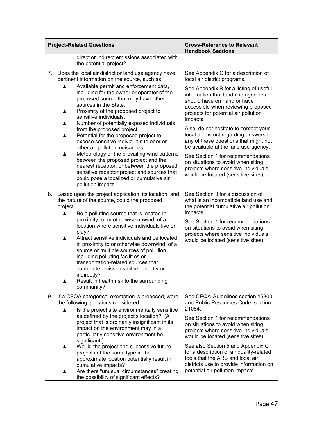| <b>Project-Related Questions</b>                                       |                                                                                                                                                                                                                                                                                                                                                                                                                                                                                                                                                                                                                        | <b>Cross-Reference to Relevant</b><br><b>Handbook Sections</b>                                                                                                                                                                                                                                                                                                                                                                                   |  |
|------------------------------------------------------------------------|------------------------------------------------------------------------------------------------------------------------------------------------------------------------------------------------------------------------------------------------------------------------------------------------------------------------------------------------------------------------------------------------------------------------------------------------------------------------------------------------------------------------------------------------------------------------------------------------------------------------|--------------------------------------------------------------------------------------------------------------------------------------------------------------------------------------------------------------------------------------------------------------------------------------------------------------------------------------------------------------------------------------------------------------------------------------------------|--|
| direct or indirect emissions associated with<br>the potential project? |                                                                                                                                                                                                                                                                                                                                                                                                                                                                                                                                                                                                                        |                                                                                                                                                                                                                                                                                                                                                                                                                                                  |  |
| 7.                                                                     | Does the local air district or land use agency have<br>pertinent information on the source, such as:<br>Available permit and enforcement data,                                                                                                                                                                                                                                                                                                                                                                                                                                                                         | See Appendix C for a description of<br>local air district programs.                                                                                                                                                                                                                                                                                                                                                                              |  |
|                                                                        | including for the owner or operator of the<br>proposed source that may have other<br>sources in the State.<br>Proximity of the proposed project to<br>$\blacktriangle$<br>sensitive individuals.<br>Number of potentially exposed individuals<br>▲                                                                                                                                                                                                                                                                                                                                                                     | See Appendix B for a listing of useful<br>information that land use agencies<br>should have on hand or have<br>accessible when reviewing proposed<br>projects for potential air pollution<br>impacts.                                                                                                                                                                                                                                            |  |
|                                                                        | from the proposed project.<br>Potential for the proposed project to<br>▲<br>expose sensitive individuals to odor or<br>other air pollution nuisances.                                                                                                                                                                                                                                                                                                                                                                                                                                                                  | Also, do not hesitate to contact your<br>local air district regarding answers to<br>any of these questions that might not<br>be available at the land use agency.                                                                                                                                                                                                                                                                                |  |
|                                                                        | Meteorology or the prevailing wind patterns<br>▲<br>between the proposed project and the<br>nearest receptor, or between the proposed<br>sensitive receptor project and sources that<br>could pose a localized or cumulative air<br>pollution impact.                                                                                                                                                                                                                                                                                                                                                                  | See Section 1 for recommendations<br>on situations to avoid when siting<br>projects where sensitive individuals<br>would be located (sensitive sites).                                                                                                                                                                                                                                                                                           |  |
| 8.                                                                     | Based upon the project application, its location, and<br>the nature of the source, could the proposed<br>project:<br>Be a polluting source that is located in<br>▲<br>proximity to, or otherwise upwind, of a<br>location where sensitive individuals live or<br>play?<br>Attract sensitive individuals and be located<br>▲<br>in proximity to or otherwise downwind, of a<br>source or multiple sources of pollution,<br>including polluting facilities or<br>transportation-related sources that<br>contribute emissions either directly or<br>indirectly?<br>Result in health risk to the surrounding<br>community? | See Section 3 for a discussion of<br>what is an incompatible land use and<br>the potential cumulative air pollution<br>impacts.<br>See Section 1 for recommendations<br>on situations to avoid when siting<br>projects where sensitive individuals<br>would be located (sensitive sites).                                                                                                                                                        |  |
| 9.                                                                     | If a CEQA categorical exemption is proposed, were<br>the following questions considered:<br>Is the project site environmentally sensitive<br>$\blacktriangle$<br>as defined by the project's location? (A<br>project that is ordinarily insignificant in its<br>impact on the environment may in a<br>particularly sensitive environment be<br>significant.)<br>Would the project and successive future<br>▲<br>projects of the same type in the<br>approximate location potentially result in<br>cumulative impacts?<br>Are there "unusual circumstances" creating<br>the possibility of significant effects?         | See CEQA Guidelines section 15300,<br>and Public Resources Code, section<br>21084.<br>See Section 1 for recommendations<br>on situations to avoid when siting<br>projects where sensitive individuals<br>would be located (sensitive sites).<br>See also Section 5 and Appendix C<br>for a description of air quality-related<br>tools that the ARB and local air<br>districts use to provide information on<br>potential air pollution impacts. |  |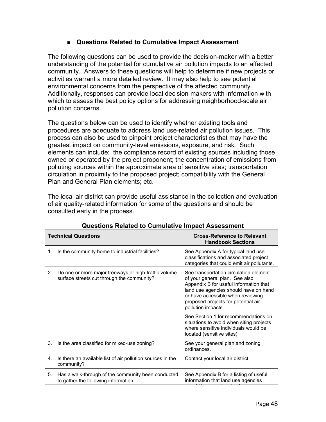## **Questions Related to Cumulative Impact Assessment**

The following questions can be used to provide the decision-maker with a better understanding of the potential for cumulative air pollution impacts to an affected community. Answers to these questions will help to determine if new projects or activities warrant a more detailed review. It may also help to see potential environmental concerns from the perspective of the affected community. Additionally, responses can provide local decision-makers with information with which to assess the best policy options for addressing neighborhood-scale air pollution concerns.

The questions below can be used to identify whether existing tools and procedures are adequate to address land use-related air pollution issues. This process can also be used to pinpoint project characteristics that may have the greatest impact on community-level emissions, exposure, and risk. Such elements can include: the compliance record of existing sources including those owned or operated by the project proponent; the concentration of emissions from polluting sources within the approximate area of sensitive sites; transportation circulation in proximity to the proposed project; compatibility with the General Plan and General Plan elements; etc.

The local air district can provide useful assistance in the collection and evaluation of air quality-related information for some of the questions and should be consulted early in the process.

| <b>Technical Questions</b><br><b>Cross-Reference to Relevant</b><br><b>Handbook Sections</b><br>Is the community home to industrial facilities?<br>See Appendix A for typical land use<br>1.<br>classifications and associated project<br>Do one or more major freeways or high-traffic volume<br>2.<br>surface streets cut through the community?<br>of your general plan. See also<br>Appendix B for useful information that<br>or have accessible when reviewing<br>proposed projects for potential air<br>pollution impacts.<br>where sensitive individuals would be<br>located (sensitive sites).<br>3.<br>Is the area classified for mixed-use zoning?<br>See your general plan and zoning<br>ordinances.<br>Is there an available list of air pollution sources in the<br>Contact your local air district.<br>4. |            |                                                                                  |
|-------------------------------------------------------------------------------------------------------------------------------------------------------------------------------------------------------------------------------------------------------------------------------------------------------------------------------------------------------------------------------------------------------------------------------------------------------------------------------------------------------------------------------------------------------------------------------------------------------------------------------------------------------------------------------------------------------------------------------------------------------------------------------------------------------------------------|------------|----------------------------------------------------------------------------------|
|                                                                                                                                                                                                                                                                                                                                                                                                                                                                                                                                                                                                                                                                                                                                                                                                                         |            |                                                                                  |
|                                                                                                                                                                                                                                                                                                                                                                                                                                                                                                                                                                                                                                                                                                                                                                                                                         |            | categories that could emit air pollutants.                                       |
|                                                                                                                                                                                                                                                                                                                                                                                                                                                                                                                                                                                                                                                                                                                                                                                                                         |            | See transportation circulation element<br>land use agencies should have on hand  |
|                                                                                                                                                                                                                                                                                                                                                                                                                                                                                                                                                                                                                                                                                                                                                                                                                         |            | See Section 1 for recommendations on<br>situations to avoid when siting projects |
|                                                                                                                                                                                                                                                                                                                                                                                                                                                                                                                                                                                                                                                                                                                                                                                                                         |            |                                                                                  |
|                                                                                                                                                                                                                                                                                                                                                                                                                                                                                                                                                                                                                                                                                                                                                                                                                         | community? |                                                                                  |
| Has a walk-through of the community been conducted<br>See Appendix B for a listing of useful<br>5.<br>information that land use agencies<br>to gather the following information:                                                                                                                                                                                                                                                                                                                                                                                                                                                                                                                                                                                                                                        |            |                                                                                  |

## **Questions Related to Cumulative Impact Assessment**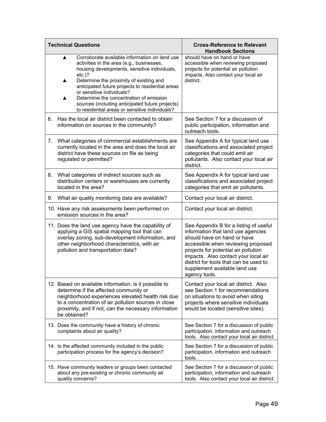| <b>Technical Questions</b> |                                                                                                                                                                                                                                                                                                                                                                                                                                                    | <b>Cross-Reference to Relevant</b><br><b>Handbook Sections</b>                                                                                                                                                                                                                                                                |  |
|----------------------------|----------------------------------------------------------------------------------------------------------------------------------------------------------------------------------------------------------------------------------------------------------------------------------------------------------------------------------------------------------------------------------------------------------------------------------------------------|-------------------------------------------------------------------------------------------------------------------------------------------------------------------------------------------------------------------------------------------------------------------------------------------------------------------------------|--|
|                            | Corroborate available information on land use<br>▲<br>activities in the area (e.g., businesses,<br>housing developments, sensitive individuals,<br>$etc.$ )?<br>Determine the proximity of existing and<br>▲<br>anticipated future projects to residential areas<br>or sensitive individuals?<br>Determine the concentration of emission<br>▲<br>sources (including anticipated future projects)<br>to residential areas or sensitive individuals? | should have on hand or have<br>accessible when reviewing proposed<br>projects for potential air pollution<br>impacts. Also contact your local air<br>district.                                                                                                                                                                |  |
| 6.                         | Has the local air district been contacted to obtain<br>information on sources in the community?                                                                                                                                                                                                                                                                                                                                                    | See Section 7 for a discussion of<br>public participation, information and<br>outreach tools.                                                                                                                                                                                                                                 |  |
| 7.                         | What categories of commercial establishments are<br>currently located in the area and does the local air<br>district have these sources on file as being<br>regulated or permitted?                                                                                                                                                                                                                                                                | See Appendix A for typical land use<br>classifications and associated project<br>categories that could emit air<br>pollutants. Also contact your local air<br>district.                                                                                                                                                       |  |
| 8.                         | What categories of indirect sources such as<br>distribution centers or warehouses are currently<br>located in the area?                                                                                                                                                                                                                                                                                                                            | See Appendix A for typical land use<br>classifications and associated project<br>categories that emit air pollutants.                                                                                                                                                                                                         |  |
| 9.                         | What air quality monitoring data are available?                                                                                                                                                                                                                                                                                                                                                                                                    | Contact your local air district.                                                                                                                                                                                                                                                                                              |  |
|                            | 10. Have any risk assessments been performed on<br>emission sources in the area?                                                                                                                                                                                                                                                                                                                                                                   | Contact your local air district.                                                                                                                                                                                                                                                                                              |  |
|                            | 11. Does the land use agency have the capability of<br>applying a GIS spatial mapping tool that can<br>overlay zoning, sub-development information, and<br>other neighborhood characteristics, with air<br>pollution and transportation data?                                                                                                                                                                                                      | See Appendix B for a listing of useful<br>information that land use agencies<br>should have on hand or have<br>accessible when reviewing proposed<br>projects for potential air pollution<br>impacts. Also contact your local air<br>district for tools that can be used to<br>supplement available land use<br>agency tools. |  |
|                            | 12. Based on available information, is it possible to<br>determine if the affected community or<br>neighborhood experiences elevated health risk due<br>to a concentration of air pollution sources in close<br>proximity, and if not, can the necessary information<br>be obtained?                                                                                                                                                               | Contact your local air district. Also<br>see Section 1 for recommendations<br>on situations to avoid when siting<br>projects where sensitive individuals<br>would be located (sensitive sites).                                                                                                                               |  |
|                            | 13. Does the community have a history of chronic<br>complaints about air quality?                                                                                                                                                                                                                                                                                                                                                                  | See Section 7 for a discussion of public<br>participation, information and outreach<br>tools. Also contact your local air district.                                                                                                                                                                                           |  |
|                            | 14. Is the affected community included in the public<br>participation process for the agency's decision?                                                                                                                                                                                                                                                                                                                                           | See Section 7 for a discussion of public<br>participation, information and outreach<br>tools.                                                                                                                                                                                                                                 |  |
|                            | 15. Have community leaders or groups been contacted<br>about any pre-existing or chronic community air<br>quality concerns?                                                                                                                                                                                                                                                                                                                        | See Section 7 for a discussion of public<br>participation, information and outreach<br>tools. Also contact your local air district.                                                                                                                                                                                           |  |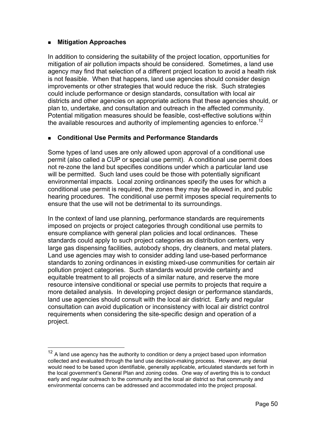## **Mitigation Approaches**

 $\overline{a}$ 

the available resources and authority of implementing agencies to enforce.<sup>12</sup> In addition to considering the suitability of the project location, opportunities for mitigation of air pollution impacts should be considered. Sometimes, a land use agency may find that selection of a different project location to avoid a health risk is not feasible. When that happens, land use agencies should consider design improvements or other strategies that would reduce the risk. Such strategies could include performance or design standards, consultation with local air districts and other agencies on appropriate actions that these agencies should, or plan to, undertake, and consultation and outreach in the affected community. Potential mitigation measures should be feasible, cost-effective solutions within

## **Conditional Use Permits and Performance Standards**

Some types of land uses are only allowed upon approval of a conditional use permit (also called a CUP or special use permit). A conditional use permit does not re-zone the land but specifies conditions under which a particular land use will be permitted. Such land uses could be those with potentially significant environmental impacts. Local zoning ordinances specify the uses for which a conditional use permit is required, the zones they may be allowed in, and public hearing procedures. The conditional use permit imposes special requirements to ensure that the use will not be detrimental to its surroundings.

In the context of land use planning, performance standards are requirements imposed on projects or project categories through conditional use permits to ensure compliance with general plan policies and local ordinances. These standards could apply to such project categories as distribution centers, very large gas dispensing facilities, autobody shops, dry cleaners, and metal platers. Land use agencies may wish to consider adding land use-based performance standards to zoning ordinances in existing mixed-use communities for certain air pollution project categories. Such standards would provide certainty and equitable treatment to all projects of a similar nature, and reserve the more resource intensive conditional or special use permits to projects that require a more detailed analysis. In developing project design or performance standards, land use agencies should consult with the local air district. Early and regular consultation can avoid duplication or inconsistency with local air district control requirements when considering the site-specific design and operation of a project.

<span id="page-60-0"></span> $12$  A land use agency has the authority to condition or deny a project based upon information collected and evaluated through the land use decision-making process. However, any denial would need to be based upon identifiable, generally applicable, articulated standards set forth in the local government's General Plan and zoning codes. One way of averting this is to conduct early and regular outreach to the community and the local air district so that community and environmental concerns can be addressed and accommodated into the project proposal.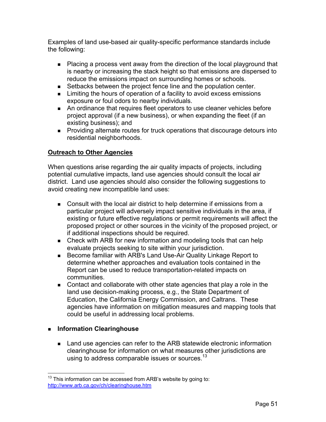Examples of land use-based air quality-specific performance standards include the following:

- Placing a process vent away from the direction of the local playground that is nearby or increasing the stack height so that emissions are dispersed to reduce the emissions impact on surrounding homes or schools.
- **Setbacks between the project fence line and the population center.**
- **EXECT** Limiting the hours of operation of a facility to avoid excess emissions exposure or foul odors to nearby individuals.
- An ordinance that requires fleet operators to use cleaner vehicles before project approval (if a new business), or when expanding the fleet (if an existing business); and
- **Providing alternate routes for truck operations that discourage detours into** residential neighborhoods.

## **Outreach to Other Agencies**

When questions arise regarding the air quality impacts of projects, including potential cumulative impacts, land use agencies should consult the local air district. Land use agencies should also consider the following suggestions to avoid creating new incompatible land uses:

- **Consult with the local air district to help determine if emissions from a** particular project will adversely impact sensitive individuals in the area, if existing or future effective regulations or permit requirements will affect the proposed project or other sources in the vicinity of the proposed project, or if additional inspections should be required.
- **EXECO EXECO FOR THE CHECK** with ARB for new information and modeling tools that can help evaluate projects seeking to site within your jurisdiction.
- Become familiar with ARB's Land Use-Air Quality Linkage Report to determine whether approaches and evaluation tools contained in the Report can be used to reduce transportation-related impacts on communities.
- Contact and collaborate with other state agencies that play a role in the land use decision-making process, e.g., the State Department of Education, the California Energy Commission, and Caltrans. These agencies have information on mitigation measures and mapping tools that could be useful in addressing local problems.

## **Information Clearinghouse**

 $\overline{a}$ 

using to address comparable issues or sources. $^{13}$ **EXECT** Land use agencies can refer to the ARB statewide electronic information clearinghouse for information on what measures other jurisdictions are

<span id="page-61-0"></span> $13$  This information can be accessed from ARB's website by going to: <http://www.arb.ca.gov/ch/clearinghouse.htm>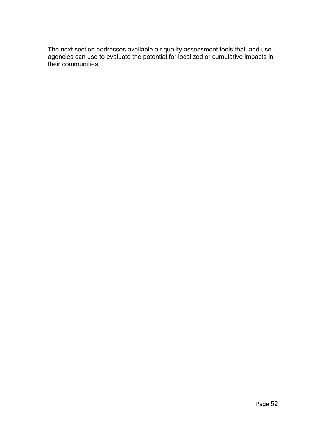The next section addresses available air quality assessment tools that land use agencies can use to evaluate the potential for localized or cumulative impacts in their communities.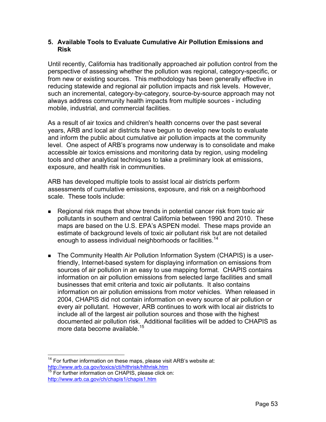### **5. Available Tools to Evaluate Cumulative Air Pollution Emissions and Risk**

Until recently, California has traditionally approached air pollution control from the perspective of assessing whether the pollution was regional, category-specific, or from new or existing sources. This methodology has been generally effective in reducing statewide and regional air pollution impacts and risk levels. However, such an incremental, category-by-category, source-by-source approach may not always address community health impacts from multiple sources - including mobile, industrial, and commercial facilities.

As a result of air toxics and children's health concerns over the past several years, ARB and local air districts have begun to develop new tools to evaluate and inform the public about cumulative air pollution impacts at the community level. One aspect of ARB's programs now underway is to consolidate and make accessible air toxics emissions and monitoring data by region, using modeling tools and other analytical techniques to take a preliminary look at emissions, exposure, and health risk in communities.

ARB has developed multiple tools to assist local air districts perform assessments of cumulative emissions, exposure, and risk on a neighborhood scale. These tools include:

- Regional risk maps that show trends in potential cancer risk from toxic air pollutants in southern and central California between 1990 and 2010. These maps are based on the U.S. EPA's ASPEN model. These maps provide an estimate of background levels of toxic air pollutant risk but are not detailed enough to assess individual neighborhoods or facilities.<sup>14</sup>
- more data become available.<sup>15</sup> ■ The Community Health Air Pollution Information System (CHAPIS) is a userfriendly, Internet-based system for displaying information on emissions from sources of air pollution in an easy to use mapping format. CHAPIS contains information on air pollution emissions from selected large facilities and small businesses that emit criteria and toxic air pollutants. It also contains information on air pollution emissions from motor vehicles. When released in 2004, CHAPIS did not contain information on every source of air pollution or every air pollutant. However, ARB continues to work with local air districts to include all of the largest air pollution sources and those with the highest documented air pollution risk. Additional facilities will be added to CHAPIS as

<span id="page-63-0"></span> $\overline{a}$  $14$  For further information on these maps, please visit ARB's website at: <http://www.arb.ca.gov/toxics/cti/hlthrisk/hlthrisk.htm>

<span id="page-63-1"></span><sup>&</sup>lt;sup>15</sup> For further information on CHAPIS, please click on: <http://www.arb.ca.gov/ch/chapis1/chapis1.htm>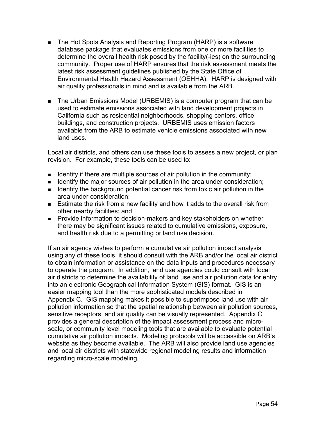- **The Hot Spots Analysis and Reporting Program (HARP) is a software** database package that evaluates emissions from one or more facilities to determine the overall health risk posed by the facility(-ies) on the surrounding community. Proper use of HARP ensures that the risk assessment meets the latest risk assessment guidelines published by the State Office of Environmental Health Hazard Assessment (OEHHA). HARP is designed with air quality professionals in mind and is available from the ARB.
- The Urban Emissions Model (URBEMIS) is a computer program that can be used to estimate emissions associated with land development projects in California such as residential neighborhoods, shopping centers, office buildings, and construction projects. URBEMIS uses emission factors available from the ARB to estimate vehicle emissions associated with new land uses.

Local air districts, and others can use these tools to assess a new project, or plan revision. For example, these tools can be used to:

- I dentify if there are multiple sources of air pollution in the community;
- **IDED** Identify the major sources of air pollution in the area under consideration;
- I Identify the background potential cancer risk from toxic air pollution in the area under consideration;
- **Estimate the risk from a new facility and how it adds to the overall risk from** other nearby facilities; and
- **Provide information to decision-makers and key stakeholders on whether** there may be significant issues related to cumulative emissions, exposure, and health risk due to a permitting or land use decision.

If an air agency wishes to perform a cumulative air pollution impact analysis using any of these tools, it should consult with the ARB and/or the local air district to obtain information or assistance on the data inputs and procedures necessary to operate the program. In addition, land use agencies could consult with local air districts to determine the availability of land use and air pollution data for entry into an electronic Geographical Information System (GIS) format. GIS is an easier mapping tool than the more sophisticated models described in Appendix C. GIS mapping makes it possible to superimpose land use with air pollution information so that the spatial relationship between air pollution sources, sensitive receptors, and air quality can be visually represented. Appendix C provides a general description of the impact assessment process and microscale, or community level modeling tools that are available to evaluate potential cumulative air pollution impacts. Modeling protocols will be accessible on ARB's website as they become available. The ARB will also provide land use agencies and local air districts with statewide regional modeling results and information regarding micro-scale modeling.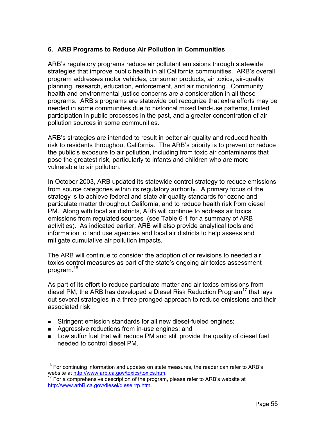## **6. ARB Programs to Reduce Air Pollution in Communities**

ARB's regulatory programs reduce air pollutant emissions through statewide strategies that improve public health in all California communities. ARB's overall program addresses motor vehicles, consumer products, air toxics, air-quality planning, research, education, enforcement, and air monitoring. Community health and environmental justice concerns are a consideration in all these programs. ARB's programs are statewide but recognize that extra efforts may be needed in some communities due to historical mixed land-use patterns, limited participation in public processes in the past, and a greater concentration of air pollution sources in some communities.

ARB's strategies are intended to result in better air quality and reduced health risk to residents throughout California. The ARB's priority is to prevent or reduce the public's exposure to air pollution, including from toxic air contaminants that pose the greatest risk, particularly to infants and children who are more vulnerable to air pollution.

In October 2003, ARB updated its statewide control strategy to reduce emissions from source categories within its regulatory authority. A primary focus of the strategy is to achieve federal and state air quality standards for ozone and particulate matter throughout California, and to reduce health risk from diesel PM. Along with local air districts, ARB will continue to address air toxics emissions from regulated sources (see Table 6-1 for a summary of ARB activities). As indicated earlier, ARB will also provide analytical tools and information to land use agencies and local air districts to help assess and mitigate cumulative air pollution impacts.

The ARB will continue to consider the adoption of or revisions to needed air toxics control measures as part of the state's ongoing air toxics assessment program.<sup>[16](#page-65-0)</sup>

As part of its effort to reduce particulate matter and air toxics emissions from diesel PM, the ARB has developed a Diesel Risk Reduction Program<sup>17</sup> that lays out several strategies in a three-pronged approach to reduce emissions and their associated risk:

- **Stringent emission standards for all new diesel-fueled engines;**
- **Aggressive reductions from in-use engines; and**
- Low sulfur fuel that will reduce PM and still provide the quality of diesel fuel needed to control diesel PM.

<span id="page-65-0"></span> $\overline{a}$  $16$  For continuing information and updates on state measures, the reader can refer to ARB's website at <http://www.arb.ca.gov/toxics/toxics.htm>.<br><sup>17</sup> For a comprehensive description of the program, please refer to ARB's website at

<span id="page-65-1"></span>[http://www.arbB.ca.gov/diesel/dieselrrp.htm.](http://www.arb.ca.gov/diesel/dieselrrp.htm)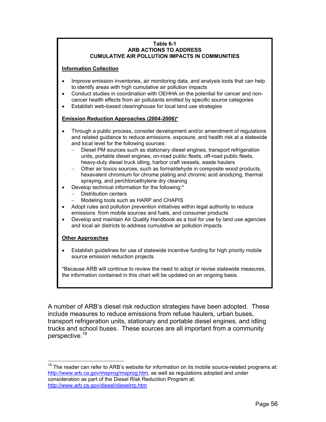#### **Table 6-1 ARB ACTIONS TO ADDRESS CUMULATIVE AIR POLLUTION IMPACTS IN COMMUNITIES**

#### **Information Collection**

- Improve emission inventories, air monitoring data, and analysis tools that can help to identify areas with high cumulative air pollution impacts
- Conduct studies in coordination with OEHHA on the potential for cancer and noncancer health effects from air pollutants emitted by specific source categories
- Establish web-based clearinghouse for local land use strategies

#### **Emission Reduction Approaches (2004-2006)\***

- Through a public process, consider development and/or amendment of regulations and related guidance to reduce emissions, exposure, and health risk at a statewide and local level for the following sources:
	- Diesel PM sources such as stationary diesel engines, transport refrigeration units, portable diesel engines, on-road public fleets, off-road public fleets, heavy-duty diesel truck idling, harbor craft vessels, waste haulers
	- Other air toxics sources, such as formaldehyde in composite wood products, hexavalent chromium for chrome plating and chromic acid anodizing, thermal spraying, and perchloroethylene dry cleaning
- Develop technical information for the following:\*
	- − Distribution centers
	- Modeling tools such as HARP and CHAPIS
- Adopt rules and pollution prevention initiatives within legal authority to reduce emissions from mobile sources and fuels, and consumer products
- Develop and maintain Air Quality Handbook as a tool for use by land use agencies and local air districts to address cumulative air pollution impacts

#### **Other Approaches**

• Establish guidelines for use of statewide incentive funding for high priority mobile source emission reduction projects

\*Because ARB will continue to review the need to adopt or revise statewide measures, the information contained in this chart will be updated on an ongoing basis.

A number of ARB's diesel risk reduction strategies have been adopted. These include measures to reduce emissions from refuse haulers, urban buses, transport refrigeration units, stationary and portable diesel engines, and idling trucks and school buses. These sources are all important from a community perspective.[18](#page-66-0) 

<span id="page-66-0"></span> $\overline{a}$  $18$  The reader can refer to ARB's website for information on its mobile source-related programs at: <http://www.arb.ca.gov/msprog/msprog.htm>, as well as regulations adopted and under consideration as part of the Diesel Risk Reduction Program at: <http://www.arb.ca.gov/diesel/dieselrrp.htm>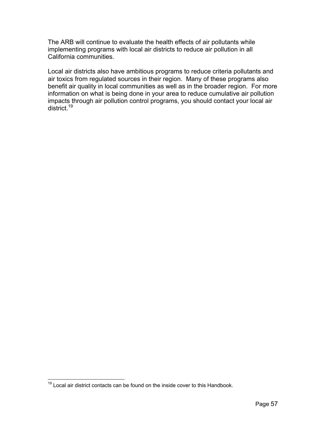The ARB will continue to evaluate the health effects of air pollutants while implementing programs with local air districts to reduce air pollution in all California communities.

district.<sup>19</sup> Local air districts also have ambitious programs to reduce criteria pollutants and air toxics from regulated sources in their region. Many of these programs also benefit air quality in local communities as well as in the broader region. For more information on what is being done in your area to reduce cumulative air pollution impacts through air pollution control programs, you should contact your local air

<span id="page-67-0"></span> $\overline{a}$  $19$  Local air district contacts can be found on the inside cover to this Handbook.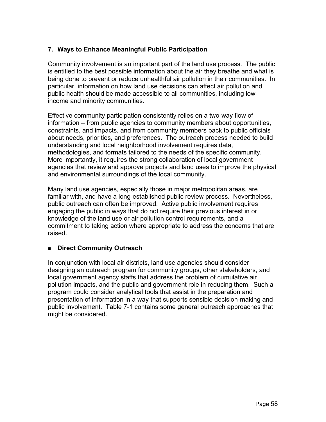## **7. Ways to Enhance Meaningful Public Participation**

Community involvement is an important part of the land use process. The public is entitled to the best possible information about the air they breathe and what is being done to prevent or reduce unhealthful air pollution in their communities. In particular, information on how land use decisions can affect air pollution and public health should be made accessible to all communities, including lowincome and minority communities.

Effective community participation consistently relies on a two-way flow of information – from public agencies to community members about opportunities, constraints, and impacts, and from community members back to public officials about needs, priorities, and preferences. The outreach process needed to build understanding and local neighborhood involvement requires data, methodologies, and formats tailored to the needs of the specific community. More importantly, it requires the strong collaboration of local government agencies that review and approve projects and land uses to improve the physical and environmental surroundings of the local community.

Many land use agencies, especially those in major metropolitan areas, are familiar with, and have a long-established public review process. Nevertheless, public outreach can often be improved. Active public involvement requires engaging the public in ways that do not require their previous interest in or knowledge of the land use or air pollution control requirements, and a commitment to taking action where appropriate to address the concerns that are raised.

### **Direct Community Outreach**

In conjunction with local air districts, land use agencies should consider designing an outreach program for community groups, other stakeholders, and local government agency staffs that address the problem of cumulative air pollution impacts, and the public and government role in reducing them. Such a program could consider analytical tools that assist in the preparation and presentation of information in a way that supports sensible decision-making and public involvement. Table 7-1 contains some general outreach approaches that might be considered.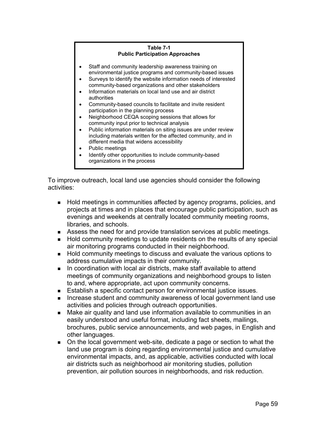#### **Table 7-1 Public Participation Approaches**  Staff and community leadership awareness training on environmental justice programs and community-based issues Surveys to identify the website information needs of interested community-based organizations and other stakeholders • Information materials on local land use and air district authorities • Community-based councils to facilitate and invite resident participation in the planning process • Neighborhood CEQA scoping sessions that allows for community input prior to technical analysis • Public information materials on siting issues are under review including materials written for the affected community, and in different media that widens accessibility

- Public meetings
- Identify other opportunities to include community-based organizations in the process

To improve outreach, local land use agencies should consider the following activities:

- **Hold meetings in communities affected by agency programs, policies, and** projects at times and in places that encourage public participation, such as evenings and weekends at centrally located community meeting rooms, libraries, and schools.
- Assess the need for and provide translation services at public meetings.
- Hold community meetings to update residents on the results of any special air monitoring programs conducted in their neighborhood.
- Hold community meetings to discuss and evaluate the various options to address cumulative impacts in their community.
- In coordination with local air districts, make staff available to attend meetings of community organizations and neighborhood groups to listen to and, where appropriate, act upon community concerns.
- **Establish a specific contact person for environmental justice issues.**
- Increase student and community awareness of local government land use activities and policies through outreach opportunities.
- Make air quality and land use information available to communities in an easily understood and useful format, including fact sheets, mailings, brochures, public service announcements, and web pages, in English and other languages.
- On the local government web-site, dedicate a page or section to what the land use program is doing regarding environmental justice and cumulative environmental impacts, and, as applicable, activities conducted with local air districts such as neighborhood air monitoring studies, pollution prevention, air pollution sources in neighborhoods, and risk reduction.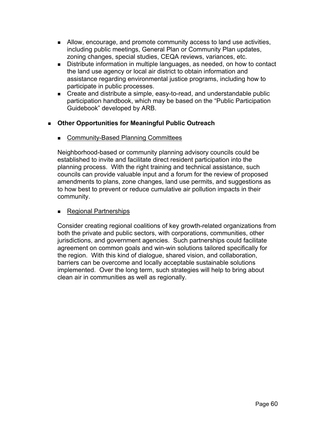- Allow, encourage, and promote community access to land use activities, including public meetings, General Plan or Community Plan updates, zoning changes, special studies, CEQA reviews, variances, etc.
- Distribute information in multiple languages, as needed, on how to contact the land use agency or local air district to obtain information and assistance regarding environmental justice programs, including how to participate in public processes.
- Create and distribute a simple, easy-to-read, and understandable public participation handbook, which may be based on the "Public Participation Guidebook" developed by ARB.

# **Other Opportunities for Meaningful Public Outreach**

Community-Based Planning Committees

Neighborhood-based or community planning advisory councils could be established to invite and facilitate direct resident participation into the planning process. With the right training and technical assistance, such councils can provide valuable input and a forum for the review of proposed amendments to plans, zone changes, land use permits, and suggestions as to how best to prevent or reduce cumulative air pollution impacts in their community.

# ■ Regional Partnerships

Consider creating regional coalitions of key growth-related organizations from both the private and public sectors, with corporations, communities, other jurisdictions, and government agencies. Such partnerships could facilitate agreement on common goals and win-win solutions tailored specifically for the region. With this kind of dialogue, shared vision, and collaboration, barriers can be overcome and locally acceptable sustainable solutions implemented. Over the long term, such strategies will help to bring about clean air in communities as well as regionally.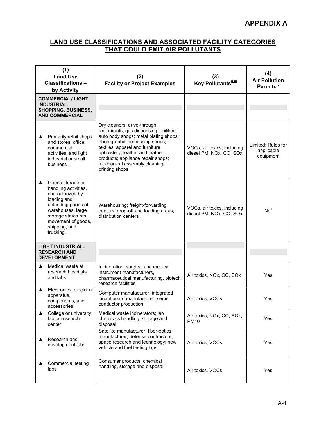## **LAND USE CLASSIFICATIONS AND ASSOCIATED FACILITY CATEGORIES THAT COULD EMIT AIR POLLUTANTS**

| (1)<br><b>Land Use</b><br><b>Classifications -</b><br>by Activity'                                                                                                                                     | (2)<br><b>Facility or Project Examples</b>                                                                                                                                                                                                                                                                      | (3)<br>Key Pollutants",iii                             | (4)<br><b>Air Pollution</b><br>Permits <sup>iv</sup> |
|--------------------------------------------------------------------------------------------------------------------------------------------------------------------------------------------------------|-----------------------------------------------------------------------------------------------------------------------------------------------------------------------------------------------------------------------------------------------------------------------------------------------------------------|--------------------------------------------------------|------------------------------------------------------|
| <b>COMMERCIAL/LIGHT</b><br><b>INDUSTRIAL:</b><br><b>SHOPPING, BUSINESS,</b><br><b>AND COMMERCIAL</b>                                                                                                   |                                                                                                                                                                                                                                                                                                                 |                                                        |                                                      |
| Primarily retail shops<br>▲<br>and stores, office,<br>commercial<br>activities, and light<br>industrial or small<br>business                                                                           | Dry cleaners; drive-through<br>restaurants; gas dispensing facilities;<br>auto body shops; metal plating shops;<br>photographic processing shops;<br>textiles; apparel and furniture<br>upholstery; leather and leather<br>products; appliance repair shops;<br>mechanical assembly cleaning;<br>printing shops | VOCs, air toxics, including<br>diesel PM, NOx, CO, SOx | Limited; Rules for<br>applicable<br>equipment        |
| Goods storage or<br>▲<br>handling activities,<br>characterized by<br>loading and<br>unloading goods at<br>warehouses, large<br>storage structures,<br>movement of goods,<br>shipping, and<br>trucking. | Warehousing; freight-forwarding<br>centers; drop-off and loading areas;<br>distribution centers                                                                                                                                                                                                                 | VOCs, air toxics, including<br>diesel PM, NOx, CO, SOx | No <sup>v</sup>                                      |
| <b>LIGHT INDUSTRIAL:</b><br><b>RESEARCH AND</b><br><b>DEVELOPMENT</b>                                                                                                                                  |                                                                                                                                                                                                                                                                                                                 |                                                        |                                                      |
| Medical waste at<br>▲<br>research hospitals<br>and labs                                                                                                                                                | Incineration; surgical and medical<br>instrument manufacturers,<br>pharmaceutical manufacturing, biotech<br>research facilities                                                                                                                                                                                 | Air toxics, NOx, CO, SOx                               | Yes                                                  |
| Electronics, electrical<br>▲<br>apparatus,<br>components, and<br>accessories                                                                                                                           | Computer manufacturer; integrated<br>circuit board manufacturer; semi-<br>conductor production                                                                                                                                                                                                                  | Air toxics, VOCs                                       | Yes                                                  |
| College or university<br>▲<br>lab or research<br>center                                                                                                                                                | Medical waste incinerators; lab<br>chemicals handling, storage and<br>disposal                                                                                                                                                                                                                                  | Air toxics, NOx, CO, SOx,<br><b>PM10</b>               | Yes                                                  |
| Research and<br>development labs                                                                                                                                                                       | Satellite manufacturer; fiber-optics<br>manufacturer; defense contractors;<br>space research and technology; new<br>vehicle and fuel testing labs                                                                                                                                                               | Air toxics, VOCs                                       | Yes                                                  |
| Commercial testing<br>labs                                                                                                                                                                             | Consumer products; chemical<br>handling, storage and disposal                                                                                                                                                                                                                                                   | Air toxics, VOCs                                       | Yes                                                  |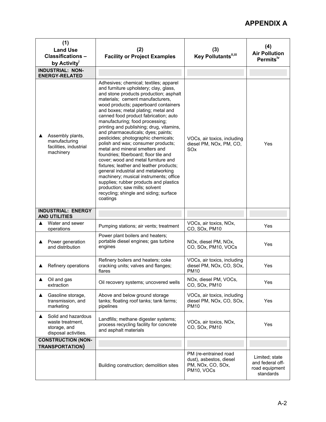# **APPENDIX A**

| (1)<br><b>Land Use</b><br><b>Classifications -</b><br>by Activity'                   | (2)<br><b>Facility or Project Examples</b>                                                                                                                                                                                                                                                                                                                                                                                                                                                                                                                                                                                                                                                                                                                                                                                                                               | (3)<br>Key Pollutants <sup>ii,iii</sup>                                             | (4)<br><b>Air Pollution</b><br>Permits <sup>iv</sup>              |
|--------------------------------------------------------------------------------------|--------------------------------------------------------------------------------------------------------------------------------------------------------------------------------------------------------------------------------------------------------------------------------------------------------------------------------------------------------------------------------------------------------------------------------------------------------------------------------------------------------------------------------------------------------------------------------------------------------------------------------------------------------------------------------------------------------------------------------------------------------------------------------------------------------------------------------------------------------------------------|-------------------------------------------------------------------------------------|-------------------------------------------------------------------|
| <b>INDUSTRIAL: NON-</b><br><b>ENERGY-RELATED</b>                                     |                                                                                                                                                                                                                                                                                                                                                                                                                                                                                                                                                                                                                                                                                                                                                                                                                                                                          |                                                                                     |                                                                   |
| Assembly plants,<br>manufacturing<br>facilities, industrial<br>machinery             | Adhesives; chemical; textiles; apparel<br>and furniture upholstery; clay, glass,<br>and stone products production; asphalt<br>materials; cement manufacturers,<br>wood products; paperboard containers<br>and boxes; metal plating; metal and<br>canned food product fabrication; auto<br>manufacturing; food processing;<br>printing and publishing; drug, vitamins,<br>and pharmaceuticals; dyes; paints;<br>pesticides; photographic chemicals;<br>polish and wax; consumer products;<br>metal and mineral smelters and<br>foundries; fiberboard; floor tile and<br>cover; wood and metal furniture and<br>fixtures; leather and leather products;<br>general industrial and metalworking<br>machinery; musical instruments; office<br>supplies; rubber products and plastics<br>production; saw mills; solvent<br>recycling; shingle and siding; surface<br>coatings | VOCs, air toxics, including<br>diesel PM, NOx, PM, CO,<br>SO <sub>x</sub>           | Yes                                                               |
| <b>INDUSTRIAL: ENERGY</b><br><b>AND UTILITIES</b>                                    |                                                                                                                                                                                                                                                                                                                                                                                                                                                                                                                                                                                                                                                                                                                                                                                                                                                                          |                                                                                     |                                                                   |
| Water and sewer<br>operations                                                        | Pumping stations; air vents; treatment                                                                                                                                                                                                                                                                                                                                                                                                                                                                                                                                                                                                                                                                                                                                                                                                                                   | VOCs, air toxics, NOx,<br>CO, SOx, PM10                                             | Yes                                                               |
| Power generation<br>and distribution                                                 | Power plant boilers and heaters;<br>portable diesel engines; gas turbine<br>engines                                                                                                                                                                                                                                                                                                                                                                                                                                                                                                                                                                                                                                                                                                                                                                                      | NOx, diesel PM, NOx,<br>CO, SOx, PM10, VOCs                                         | Yes                                                               |
| Refinery operations                                                                  | Refinery boilers and heaters; coke<br>cracking units; valves and flanges;<br>flares                                                                                                                                                                                                                                                                                                                                                                                                                                                                                                                                                                                                                                                                                                                                                                                      | VOCs, air toxics, including<br>diesel PM, NOx, CO, SOx,<br><b>PM10</b>              | Yes                                                               |
| Oil and gas<br>▲<br>extraction                                                       | Oil recovery systems; uncovered wells                                                                                                                                                                                                                                                                                                                                                                                                                                                                                                                                                                                                                                                                                                                                                                                                                                    | NOx, diesel PM, VOCs,<br>CO, SOx, PM10                                              | Yes                                                               |
| Gasoline storage,<br>transmission, and<br>marketing                                  | Above and below ground storage<br>tanks; floating roof tanks; tank farms;<br>pipelines                                                                                                                                                                                                                                                                                                                                                                                                                                                                                                                                                                                                                                                                                                                                                                                   | VOCs, air toxics, including<br>diesel PM, NOx, CO, SOx,<br><b>PM10</b>              | Yes                                                               |
| Solid and hazardous<br>▲<br>waste treatment.<br>storage, and<br>disposal activities. | Landfills; methane digester systems;<br>process recycling facility for concrete<br>and asphalt materials                                                                                                                                                                                                                                                                                                                                                                                                                                                                                                                                                                                                                                                                                                                                                                 | VOCs, air toxics, NOx,<br>CO, SOx, PM10                                             | Yes                                                               |
| <b>CONSTRUCTION (NON-</b><br><b>TRANSPORTATION)</b>                                  |                                                                                                                                                                                                                                                                                                                                                                                                                                                                                                                                                                                                                                                                                                                                                                                                                                                                          |                                                                                     |                                                                   |
|                                                                                      | Building construction; demolition sites                                                                                                                                                                                                                                                                                                                                                                                                                                                                                                                                                                                                                                                                                                                                                                                                                                  | PM (re-entrained road<br>dust), asbestos, diesel<br>PM, NOx, CO, SOx,<br>PM10, VOCs | Limited; state<br>and federal off-<br>road equipment<br>standards |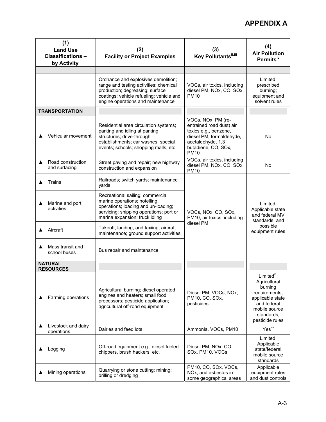# **APPENDIX A**

| (1)<br><b>Land Use</b><br><b>Classifications -</b><br>by Activity <sup>i</sup> | (2)<br><b>Facility or Project Examples</b>                                                                                                                                                        | (3)<br>Key Pollutants",iii                                                                                                                                     | (4)<br><b>Air Pollution</b><br>Permits <sup>iv</sup>                                                                                           |
|--------------------------------------------------------------------------------|---------------------------------------------------------------------------------------------------------------------------------------------------------------------------------------------------|----------------------------------------------------------------------------------------------------------------------------------------------------------------|------------------------------------------------------------------------------------------------------------------------------------------------|
|                                                                                |                                                                                                                                                                                                   |                                                                                                                                                                |                                                                                                                                                |
|                                                                                | Ordnance and explosives demolition;<br>range and testing activities; chemical<br>production; degreasing; surface<br>coatings; vehicle refueling; vehicle and<br>engine operations and maintenance | VOCs, air toxics, including<br>diesel PM, NOx, CO, SOx,<br><b>PM10</b>                                                                                         | Limited;<br>prescribed<br>burning;<br>equipment and<br>solvent rules                                                                           |
| <b>TRANSPORTATION</b>                                                          |                                                                                                                                                                                                   |                                                                                                                                                                |                                                                                                                                                |
| Vehicular movement                                                             | Residential area circulation systems;<br>parking and idling at parking<br>structures; drive-through<br>establishments; car washes; special<br>events; schools; shopping malls, etc.               | VOCs, NOx, PM (re-<br>entrained road dust) air<br>toxics e.g., benzene,<br>diesel PM, formaldehyde,<br>acetaldehyde, 1,3<br>butadiene, CO, SOx,<br><b>PM10</b> | No                                                                                                                                             |
| Road construction<br>▲<br>and surfacing                                        | Street paving and repair; new highway<br>construction and expansion                                                                                                                               | VOCs, air toxics, including<br>diesel PM, NOx, CO, SOx,<br><b>PM10</b>                                                                                         | <b>No</b>                                                                                                                                      |
| Trains                                                                         | Railroads; switch yards; maintenance<br>yards                                                                                                                                                     |                                                                                                                                                                | Limited:<br>Applicable state<br>and federal MV<br>standards, and                                                                               |
| Marine and port<br>activities                                                  | Recreational sailing; commercial<br>marine operations; hotelling<br>operations; loading and un-loading;<br>servicing; shipping operations; port or<br>marina expansion; truck idling              | VOCs, NOx, CO, SOx,<br>PM10, air toxics, including                                                                                                             |                                                                                                                                                |
| Aircraft                                                                       | Takeoff, landing, and taxiing; aircraft<br>maintenance; ground support activities                                                                                                                 | diesel PM                                                                                                                                                      | possible<br>equipment rules                                                                                                                    |
| Mass transit and<br>school buses                                               | Bus repair and maintenance                                                                                                                                                                        |                                                                                                                                                                |                                                                                                                                                |
| <b>NATURAL</b><br><b>RESOURCES</b>                                             |                                                                                                                                                                                                   |                                                                                                                                                                |                                                                                                                                                |
| Farming operations                                                             | Agricultural burning; diesel operated<br>engines and heaters; small food<br>processors; pesticide application;<br>agricultural off-road equipment                                                 | Diesel PM, VOCs, NOx,<br>PM10, CO, SOx,<br>pesticides                                                                                                          | $Limitedvi$ :<br>Agricultural<br>burning<br>requirements,<br>applicable state<br>and federal<br>mobile source<br>standards:<br>pesticide rules |
| Livestock and dairy<br>operations                                              | Dairies and feed lots                                                                                                                                                                             | Ammonia, VOCs, PM10                                                                                                                                            | Yesvii                                                                                                                                         |
| Logging                                                                        | Off-road equipment e.g., diesel fueled<br>chippers, brush hackers, etc.                                                                                                                           | Diesel PM, NOx, CO,<br>SOx, PM10, VOCs                                                                                                                         | Limited;<br>Applicable<br>state/federal<br>mobile source<br>standards                                                                          |
| Mining operations                                                              | Quarrying or stone cutting; mining;<br>drilling or dredging                                                                                                                                       | PM10, CO, SOx, VOCs,<br>NOx, and asbestos in<br>some geographical areas                                                                                        | Applicable<br>equipment rules<br>and dust controls                                                                                             |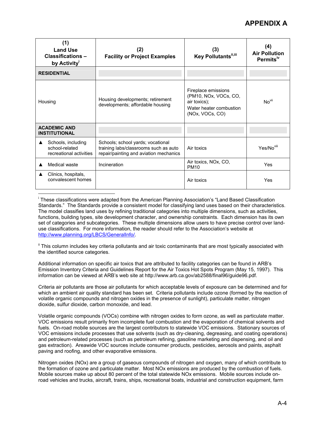| (1)<br><b>Land Use</b><br>Classifications-<br>by Activity <sup>i</sup>              | (2)<br><b>Facility or Project Examples</b>                                                                           | (3)<br>Key Pollutants <sup>ii,iii</sup>                                                                    | (4)<br><b>Air Pollution</b><br>Permits <sup>iv</sup> |
|-------------------------------------------------------------------------------------|----------------------------------------------------------------------------------------------------------------------|------------------------------------------------------------------------------------------------------------|------------------------------------------------------|
| <b>RESIDENTIAL</b>                                                                  |                                                                                                                      |                                                                                                            |                                                      |
| Housing developments; retirement<br>Housing<br>developments; affordable housing     |                                                                                                                      | Fireplace emissions<br>(PM10, NOx, VOCs, CO,<br>air toxics);<br>Water heater combustion<br>(NOx, VOCs, CO) | No <sup>vii</sup>                                    |
| <b>ACADEMIC AND</b><br><b>INSTITUTIONAL</b>                                         |                                                                                                                      |                                                                                                            |                                                      |
| Schools, including<br>$\blacktriangle$<br>school-related<br>recreational activities | Schools; school yards; vocational<br>training labs/classrooms such as auto<br>repair/painting and aviation mechanics | Air toxics                                                                                                 | Yes/No <sup>viii</sup>                               |
| Medical waste                                                                       | Incineration                                                                                                         | Air toxics, NOx, CO,<br><b>PM10</b>                                                                        | Yes                                                  |
| Clinics, hospitals,<br>convalescent homes                                           |                                                                                                                      | Air toxics                                                                                                 | Yes                                                  |

<sup>i</sup> These classifications were adapted from the American Planning Association's "Land Based Classification Standards." The Standards provide a consistent model for classifying land uses based on their characteristics. The model classifies land uses by refining traditional categories into multiple dimensions, such as activities, functions, building types, site development character, and ownership constraints. Each dimension has its own set of categories and subcategories. These multiple dimensions allow users to have precise control over landuse classifications. For more information, the reader should refer to the Association's website at <http://www.planning.org/LBCS/GeneralInfo/>.

 $\overline{a}$ 

<sup>ii</sup> This column includes key criteria pollutants and air toxic contaminants that are most typically associated with the identified source categories.

Additional information on specific air toxics that are attributed to facility categories can be found in ARB's Emission Inventory Criteria and Guidelines Report for the Air Toxics Hot Spots Program (May 15, 1997). This information can be viewed at ARB's web site at<http://www.arb.ca.gov/ab2588/final96/guide96.pdf>.

Criteria air pollutants are those air pollutants for which acceptable levels of exposure can be determined and for which an ambient air quality standard has been set. Criteria pollutants include ozone (formed by the reaction of volatile organic compounds and nitrogen oxides in the presence of sunlight), particulate matter, nitrogen dioxide, sulfur dioxide, carbon monoxide, and lead.

Volatile organic compounds (VOCs) combine with nitrogen oxides to form ozone, as well as particulate matter. VOC emissions result primarily from incomplete fuel combustion and the evaporation of chemical solvents and fuels. On-road mobile sources are the largest contributors to statewide VOC emissions. Stationary sources of VOC emissions include processes that use solvents (such as dry-cleaning, degreasing, and coating operations) and petroleum-related processes (such as petroleum refining, gasoline marketing and dispensing, and oil and gas extraction). Areawide VOC sources include consumer products, pesticides, aerosols and paints, asphalt paving and roofing, and other evaporative emissions.

Nitrogen oxides (NOx) are a group of gaseous compounds of nitrogen and oxygen, many of which contribute to the formation of ozone and particulate matter. Most NOx emissions are produced by the combustion of fuels. Mobile sources make up about 80 percent of the total statewide NOx emissions. Mobile sources include onroad vehicles and trucks, aircraft, trains, ships, recreational boats, industrial and construction equipment, farm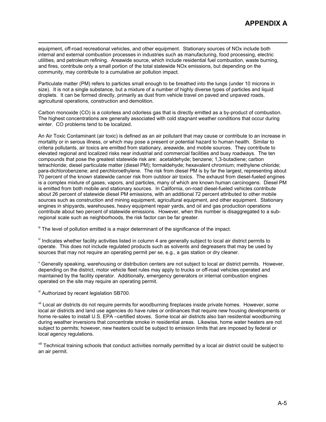$\overline{a}$ equipment, off-road recreational vehicles, and other equipment. Stationary sources of NOx include both internal and external combustion processes in industries such as manufacturing, food processing, electric utilities, and petroleum refining. Areawide source, which include residential fuel combustion, waste burning, and fires, contribute only a small portion of the total statewide NOx emissions, but depending on the community, may contribute to a cumulative air pollution impact.

Particulate matter (PM) refers to particles small enough to be breathed into the lungs (under 10 microns in size). It is not a single substance, but a mixture of a number of highly diverse types of particles and liquid droplets. It can be formed directly, primarily as dust from vehicle travel on paved and unpaved roads, agricultural operations, construction and demolition.

Carbon monoxide (CO) is a colorless and odorless gas that is directly emitted as a by-product of combustion. The highest concentrations are generally associated with cold stagnant weather conditions that occur during winter. CO problems tend to be localized.

An Air Toxic Contaminant (air toxic) is defined as an air pollutant that may cause or contribute to an increase in mortality or in serous illness, or which may pose a present or potential hazard to human health. Similar to criteria pollutants, air toxics are emitted from stationary, areawide, and mobile sources. They contribute to elevated regional and localized risks near industrial and commercial facilities and busy roadways. The ten compounds that pose the greatest statewide risk are: acetaldehyde; benzene; 1,3-butadiene; carbon tetrachloride; diesel particulate matter (diesel PM); formaldehyde; hexavalent chromium; methylene chloride; para-dichlorobenzene; and perchloroethylene. The risk from diesel PM is by far the largest, representing about 70 percent of the known statewide cancer risk from outdoor air toxics. The exhaust from diesel-fueled engines is a complex mixture of gases, vapors, and particles, many of which are known human carcinogens. Diesel PM is emitted from both mobile and stationary sources. In California, on-road diesel-fueled vehicles contribute about 26 percent of statewide diesel PM emissions, with an additional 72 percent attributed to other mobile sources such as construction and mining equipment, agricultural equipment, and other equipment. Stationary engines in shipyards, warehouses, heavy equipment repair yards, and oil and gas production operations contribute about two percent of statewide emissions. However, when this number is disaggregated to a subregional scale such as neighborhoods, the risk factor can be far greater.

If The level of pollution emitted is a major determinant of the significance of the impact.

iv Indicates whether facility activities listed in column 4 are generally subject to local air district permits to operate. This does not include regulated products such as solvents and degreasers that may be used by sources that may not require an operating permit per se, e.g., a gas station or dry cleaner.

v Generally speaking, warehousing or distribution centers are not subject to local air district permits. However, depending on the district, motor vehicle fleet rules may apply to trucks or off-road vehicles operated and maintained by the facility operator. Additionally, emergency generators or internal combustion engines operated on the site may require an operating permit.

vi Authorized by recent legislation SB700.

vii Local air districts do not require permits for woodburning fireplaces inside private homes. However, some local air districts and land use agencies do have rules or ordinances that require new housing developments or home re-sales to install U.S. EPA –certified stoves. Some local air districts also ban residential woodburning during weather inversions that concentrate smoke in residential areas. Likewise, home water heaters are not subject to permits; however, new heaters could be subject to emission limits that are imposed by federal or local agency regulations.

vill Technical training schools that conduct activities normally permitted by a local air district could be subject to an air permit.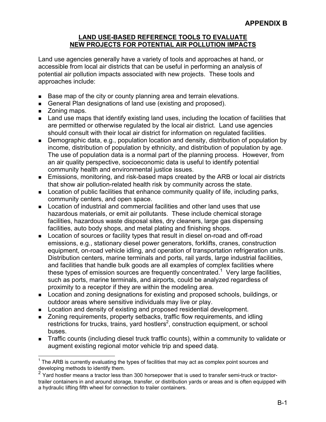#### **LAND USE-BASED REFERENCE TOOLS TO EVALUATE NEW PROJECTS FOR POTENTIAL AIR POLLUTION IMPACTS**

Land use agencies generally have a variety of tools and approaches at hand, or accessible from local air districts that can be useful in performing an analysis of potential air pollution impacts associated with new projects. These tools and approaches include:

- Base map of the city or county planning area and terrain elevations.
- General Plan designations of land use (existing and proposed).
- Zoning maps.

 $\overline{a}$ 

- **Land use maps that identify existing land uses, including the location of facilities that** are permitted or otherwise regulated by the local air district. Land use agencies should consult with their local air district for information on regulated facilities.
- Demographic data, e.g., population location and density, distribution of population by income, distribution of population by ethnicity, and distribution of population by age. The use of population data is a normal part of the planning process. However, from an air quality perspective, socioeconomic data is useful to identify potential community health and environmental justice issues.
- Emissions, monitoring, and risk-based maps created by the ARB or local air districts that show air pollution-related health risk by community across the state.
- **Location of public facilities that enhance community quality of life, including parks,** community centers, and open space.
- Location of industrial and commercial facilities and other land uses that use hazardous materials, or emit air pollutants. These include chemical storage facilities, hazardous waste disposal sites, dry cleaners, large gas dispensing facilities, auto body shops, and metal plating and finishing shops.
- Location of sources or facility types that result in diesel on-road and off-road emissions, e.g., stationary diesel power generators, forklifts, cranes, construction equipment, on-road vehicle idling, and operation of transportation refrigeration units. Distribution centers, marine terminals and ports, rail yards, large industrial facilities, and facilities that handle bulk goods are all examples of complex facilities where these types of emission sources are frequently concentrated.<sup>[1](#page-77-0)</sup> Very large facilities, such as ports, marine terminals, and airports, could be analyzed regardless of proximity to a receptor if they are within the modeling area.
- **Location and zoning designations for existing and proposed schools, buildings, or** outdoor areas where sensitive individuals may live or play.
- **Location and density of existing and proposed residential development.**
- **EXECT** Zoning requirements, property setbacks, traffic flow requirements, and idling restrictions for trucks, trains, yard hostlers<sup>2</sup>, construction equipment, or school buses.
- Traffic counts (including diesel truck traffic counts), within a community to validate or augment existing regional motor vehicle trip and speed data.

<span id="page-77-0"></span> $1$  The ARB is currently evaluating the types of facilities that may act as complex point sources and developing methods to identify them.

<span id="page-77-1"></span> $2 \text{ Yard}$  hostler means a tractor less than 300 horsepower that is used to transfer semi-truck or tractortrailer containers in and around storage, transfer, or distribution yards or areas and is often equipped with a hydraulic lifting fifth wheel for connection to trailer containers.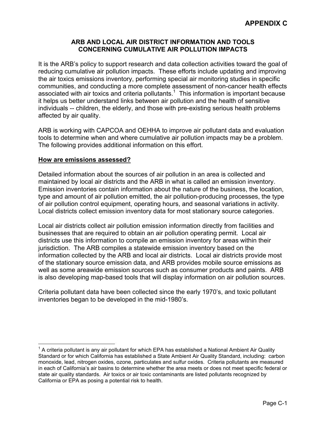## **ARB AND LOCAL AIR DISTRICT INFORMATION AND TOOLS CONCERNING CUMULATIVE AIR POLLUTION IMPACTS**

It is the ARB's policy to support research and data collection activities toward the goal of reducing cumulative air pollution impacts. These efforts include updating and improving the air toxics emissions inventory, performing special air monitoring studies in specific communities, and conducting a more complete assessment of non-cancer health effects associated with air toxics and criteria pollutants.<sup>[1](#page-79-0)</sup> This information is important because it helps us better understand links between air pollution and the health of sensitive individuals -- children, the elderly, and those with pre-existing serious health problems affected by air quality.

ARB is working with CAPCOA and OEHHA to improve air pollutant data and evaluation tools to determine when and where cumulative air pollution impacts may be a problem. The following provides additional information on this effort.

## **How are emissions assessed?**

Detailed information about the sources of air pollution in an area is collected and maintained by local air districts and the ARB in what is called an emission inventory. Emission inventories contain information about the nature of the business, the location, type and amount of air pollution emitted, the air pollution-producing processes, the type of air pollution control equipment, operating hours, and seasonal variations in activity. Local districts collect emission inventory data for most stationary source categories.

Local air districts collect air pollution emission information directly from facilities and businesses that are required to obtain an air pollution operating permit. Local air districts use this information to compile an emission inventory for areas within their jurisdiction. The ARB compiles a statewide emission inventory based on the information collected by the ARB and local air districts. Local air districts provide most of the stationary source emission data, and ARB provides mobile source emissions as well as some areawide emission sources such as consumer products and paints. ARB is also developing map-based tools that will display information on air pollution sources.

Criteria pollutant data have been collected since the early 1970's, and toxic pollutant inventories began to be developed in the mid-1980's.

<span id="page-79-0"></span> $\overline{a}$  $1$  A criteria pollutant is any air pollutant for which EPA has established a National Ambient Air Quality Standard or for which California has established a State Ambient Air Quality Standard, including: carbon monoxide, lead, nitrogen oxides, ozone, particulates and sulfur oxides. Criteria pollutants are measured in each of California's air basins to determine whether the area meets or does not meet specific federal or state air quality standards. Air toxics or air toxic contaminants are listed pollutants recognized by California or EPA as posing a potential risk to health.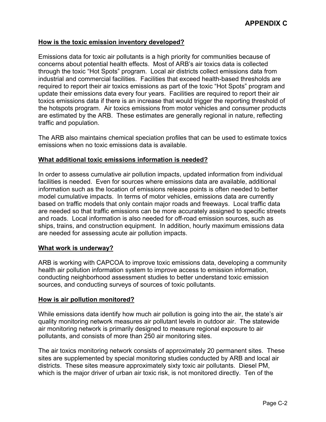#### **How is the toxic emission inventory developed?**

Emissions data for toxic air pollutants is a high priority for communities because of concerns about potential health effects. Most of ARB's air toxics data is collected through the toxic "Hot Spots" program. Local air districts collect emissions data from industrial and commercial facilities. Facilities that exceed health-based thresholds are required to report their air toxics emissions as part of the toxic "Hot Spots" program and update their emissions data every four years. Facilities are required to report their air toxics emissions data if there is an increase that would trigger the reporting threshold of the hotspots program. Air toxics emissions from motor vehicles and consumer products are estimated by the ARB. These estimates are generally regional in nature, reflecting traffic and population.

The ARB also maintains chemical speciation profiles that can be used to estimate toxics emissions when no toxic emissions data is available.

#### **What additional toxic emissions information is needed?**

In order to assess cumulative air pollution impacts, updated information from individual facilities is needed. Even for sources where emissions data are available, additional information such as the location of emissions release points is often needed to better model cumulative impacts. In terms of motor vehicles, emissions data are currently based on traffic models that only contain major roads and freeways. Local traffic data are needed so that traffic emissions can be more accurately assigned to specific streets and roads. Local information is also needed for off-road emission sources, such as ships, trains, and construction equipment. In addition, hourly maximum emissions data are needed for assessing acute air pollution impacts.

#### **What work is underway?**

 sources, and conducting surveys of sources of toxic pollutants. ARB is working with CAPCOA to improve toxic emissions data, developing a community health air pollution information system to improve access to emission information, conducting neighborhood assessment studies to better understand toxic emission

#### **How is air pollution monitored?**

While emissions data identify how much air pollution is going into the air, the state's air quality monitoring network measures air pollutant levels in outdoor air. The statewide air monitoring network is primarily designed to measure regional exposure to air pollutants, and consists of more than 250 air monitoring sites.

The air toxics monitoring network consists of approximately 20 permanent sites. These sites are supplemented by special monitoring studies conducted by ARB and local air districts. These sites measure approximately sixty toxic air pollutants. Diesel PM, which is the major driver of urban air toxic risk, is not monitored directly. Ten of the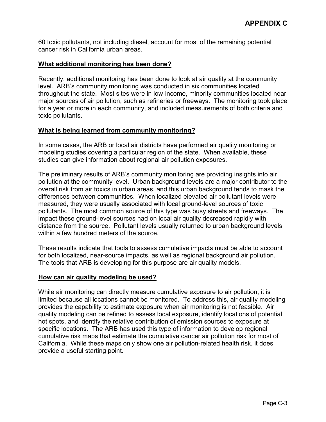60 toxic pollutants, not including diesel, account for most of the remaining potential cancer risk in California urban areas.

## **What additional monitoring has been done?**

Recently, additional monitoring has been done to look at air quality at the community level. ARB's community monitoring was conducted in six communities located throughout the state. Most sites were in low-income, minority communities located near major sources of air pollution, such as refineries or freeways. The monitoring took place for a year or more in each community, and included measurements of both criteria and toxic pollutants.

#### **What is being learned from community monitoring?**

In some cases, the ARB or local air districts have performed air quality monitoring or modeling studies covering a particular region of the state. When available, these studies can give information about regional air pollution exposures.

The preliminary results of ARB's community monitoring are providing insights into air pollution at the community level. Urban background levels are a major contributor to the overall risk from air toxics in urban areas, and this urban background tends to mask the differences between communities. When localized elevated air pollutant levels were measured, they were usually associated with local ground-level sources of toxic pollutants. The most common source of this type was busy streets and freeways. The impact these ground-level sources had on local air quality decreased rapidly with distance from the source. Pollutant levels usually returned to urban background levels within a few hundred meters of the source.

 The tools that ARB is developing for this purpose are air quality models. These results indicate that tools to assess cumulative impacts must be able to account for both localized, near-source impacts, as well as regional background air pollution.

#### **How can air quality modeling be used?**

While air monitoring can directly measure cumulative exposure to air pollution, it is limited because all locations cannot be monitored. To address this, air quality modeling provides the capability to estimate exposure when air monitoring is not feasible. Air quality modeling can be refined to assess local exposure, identify locations of potential hot spots, and identify the relative contribution of emission sources to exposure at specific locations. The ARB has used this type of information to develop regional cumulative risk maps that estimate the cumulative cancer air pollution risk for most of California. While these maps only show one air pollution-related health risk, it does provide a useful starting point.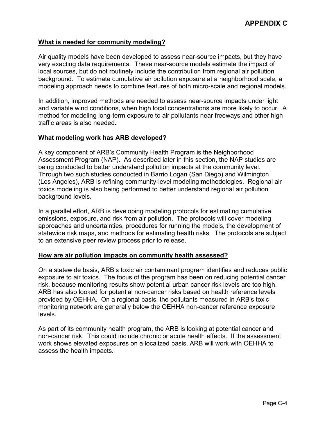### **What is needed for community modeling?**

Air quality models have been developed to assess near-source impacts, but they have very exacting data requirements. These near-source models estimate the impact of local sources, but do not routinely include the contribution from regional air pollution background. To estimate cumulative air pollution exposure at a neighborhood scale, a modeling approach needs to combine features of both micro-scale and regional models.

In addition, improved methods are needed to assess near-source impacts under light and variable wind conditions, when high local concentrations are more likely to occur. A method for modeling long-term exposure to air pollutants near freeways and other high traffic areas is also needed.

#### **What modeling work has ARB developed?**

A key component of ARB's Community Health Program is the Neighborhood Assessment Program (NAP). As described later in this section, the NAP studies are being conducted to better understand pollution impacts at the community level. Through two such studies conducted in Barrio Logan (San Diego) and Wilmington (Los Angeles), ARB is refining community-level modeling methodologies. Regional air toxics modeling is also being performed to better understand regional air pollution background levels.

In a parallel effort, ARB is developing modeling protocols for estimating cumulative emissions, exposure, and risk from air pollution. The protocols will cover modeling approaches and uncertainties, procedures for running the models, the development of statewide risk maps, and methods for estimating health risks. The protocols are subject to an extensive peer review process prior to release.

#### **How are air pollution impacts on community health assessed?**

On a statewide basis, ARB's toxic air contaminant program identifies and reduces public exposure to air toxics. The focus of the program has been on reducing potential cancer risk, because monitoring results show potential urban cancer risk levels are too high. ARB has also looked for potential non-cancer risks based on health reference levels provided by OEHHA. On a regional basis, the pollutants measured in ARB's toxic monitoring network are generally below the OEHHA non-cancer reference exposure levels.

As part of its community health program, the ARB is looking at potential cancer and non-cancer risk. This could include chronic or acute health effects. If the assessment work shows elevated exposures on a localized basis, ARB will work with OEHHA to assess the health impacts.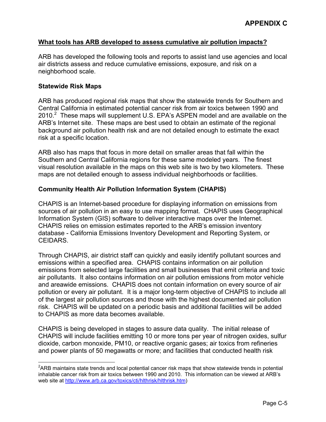#### **What tools has ARB developed to assess cumulative air pollution impacts?**

ARB has developed the following tools and reports to assist land use agencies and local air districts assess and reduce cumulative emissions, exposure, and risk on a neighborhood scale.

#### **Statewide Risk Maps**

1

ARB has produced regional risk maps that show the statewide trends for Southern and Central California in estimated potential cancer risk from air toxics between 1990 and [2](#page-83-0)010.<sup>2</sup> These maps will supplement U.S. EPA's ASPEN model and are available on the ARB's Internet site. These maps are best used to obtain an estimate of the regional background air pollution health risk and are not detailed enough to estimate the exact risk at a specific location.

ARB also has maps that focus in more detail on smaller areas that fall within the Southern and Central California regions for these same modeled years. The finest visual resolution available in the maps on this web site is two by two kilometers. These maps are not detailed enough to assess individual neighborhoods or facilities.

#### **Community Health Air Pollution Information System (CHAPIS)**

CHAPIS is an Internet-based procedure for displaying information on emissions from sources of air pollution in an easy to use mapping format. CHAPIS uses Geographical Information System (GIS) software to deliver interactive maps over the Internet. CHAPIS relies on emission estimates reported to the ARB's emission inventory database - California Emissions Inventory Development and Reporting System, or CEIDARS.

Through CHAPIS, air district staff can quickly and easily identify pollutant sources and emissions within a specified area. CHAPIS contains information on air pollution emissions from selected large facilities and small businesses that emit criteria and toxic air pollutants. It also contains information on air pollution emissions from motor vehicle and areawide emissions. CHAPIS does not contain information on every source of air pollution or every air pollutant. It is a major long-term objective of CHAPIS to include all of the largest air pollution sources and those with the highest documented air pollution risk. CHAPIS will be updated on a periodic basis and additional facilities will be added to CHAPIS as more data becomes available.

CHAPIS is being developed in stages to assure data quality. The initial release of CHAPIS will include facilities emitting 10 or more tons per year of nitrogen oxides, sulfur dioxide, carbon monoxide, PM10, or reactive organic gases; air toxics from refineries and power plants of 50 megawatts or more; and facilities that conducted health risk

<span id="page-83-0"></span> $2$ ARB maintains state trends and local potential cancer risk maps that show statewide trends in potential inhalable cancer risk from air toxics between 1990 and 2010. This information can be viewed at ARB's web site at [http://www.arb.ca.gov/toxics/cti/hlthrisk/hlthrisk.htm\)](http://www.arb.ca.gov/toxics/cti/hlthrisk/hlthrisk.htm)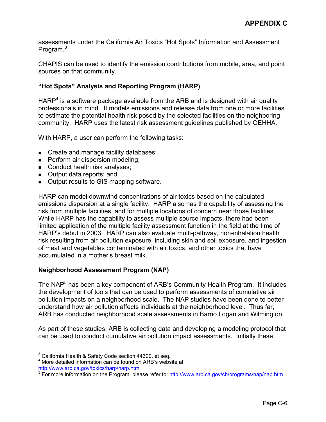Program.<sup>3</sup> assessments under the California Air Toxics "Hot Spots" Information and Assessment

CHAPIS can be used to identify the emission contributions from mobile, area, and point sources on that community.

## **"Hot Spots" Analysis and Reporting Program (HARP)**

HARP<sup>4</sup> is a software package available from the ARB and is designed with air quality professionals in mind. It models emissions and release data from one or more facilities to estimate the potential health risk posed by the selected facilities on the neighboring community. HARP uses the latest risk assessment guidelines published by OEHHA.

With HARP, a user can perform the following tasks:

- Create and manage facility databases;
- **Perform air dispersion modeling;**
- Conduct health risk analyses;
- Output data reports; and
- **Dutput results to GIS mapping software.**

HARP can model downwind concentrations of air toxics based on the calculated emissions dispersion at a single facility. HARP also has the capability of assessing the risk from multiple facilities, and for multiple locations of concern near those facilities. While HARP has the capability to assess multiple source impacts, there had been limited application of the multiple facility assessment function in the field at the time of HARP's debut in 2003. HARP can also evaluate multi-pathway, non-inhalation health risk resulting from air pollution exposure, including skin and soil exposure, and ingestion of meat and vegetables contaminated with air toxics, and other toxics that have accumulated in a mother's breast milk.

## **Neighborhood Assessment Program (NAP)**

The NAP<sup>[5](#page-84-2)</sup> has been a key component of ARB's Community Health Program. It includes the development of tools that can be used to perform assessments of cumulative air pollution impacts on a neighborhood scale. The NAP studies have been done to better understand how air pollution affects individuals at the neighborhood level. Thus far, ARB has conducted neighborhood scale assessments in Barrio Logan and Wilmington.

As part of these studies, ARB is collecting data and developing a modeling protocol that can be used to conduct cumulative air pollution impact assessments. Initially these

<span id="page-84-0"></span> 3 California Health & Safety Code section 44300, et seq.

<span id="page-84-1"></span><sup>4</sup> More detailed information can be found on ARB's website at:

<span id="page-84-2"></span>

<sup>&</sup>lt;u><http://www.arb.ca.gov/toxics/harp/harp.htm></u><br><sup>5</sup> For more information on the Program, please refer to: <u>http://www.arb.ca.gov/ch/programs/nap/nap.htm</u>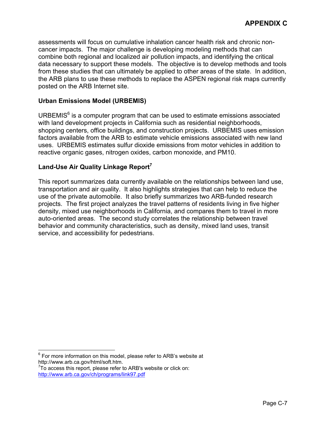assessments will focus on cumulative inhalation cancer health risk and chronic noncancer impacts. The major challenge is developing modeling methods that can combine both regional and localized air pollution impacts, and identifying the critical data necessary to support these models. The objective is to develop methods and tools from these studies that can ultimately be applied to other areas of the state. In addition, the ARB plans to use these methods to replace the ASPEN regional risk maps currently posted on the ARB Internet site.

# **Urban Emissions Model (URBEMIS)**

URBEMIS $<sup>6</sup>$  $<sup>6</sup>$  $<sup>6</sup>$  is a computer program that can be used to estimate emissions associated</sup> with land development projects in California such as residential neighborhoods, shopping centers, office buildings, and construction projects. URBEMIS uses emission factors available from the ARB to estimate vehicle emissions associated with new land uses. URBEMIS estimates sulfur dioxide emissions from motor vehicles in addition to reactive organic gases, nitrogen oxides, carbon monoxide, and PM10.

# **Land-Use Air Quality Linkage Report[7](#page-85-1)**

This report summarizes data currently available on the relationships between land use, transportation and air quality. It also highlights strategies that can help to reduce the use of the private automobile. It also briefly summarizes two ARB-funded research projects. The first project analyzes the travel patterns of residents living in five higher density, mixed use neighborhoods in California, and compares them to travel in more auto-oriented areas. The second study correlates the relationship between travel behavior and community characteristics, such as density, mixed land uses, transit service, and accessibility for pedestrians.

<span id="page-85-0"></span> 6 For more information on this model, please refer to ARB's website at <http://www.arb.ca.gov/html/soft.htm>. [7](http://www.arb.ca.gov/html/soft.htm)

<span id="page-85-1"></span> $7$ To access this report, please refer to ARB's website or click on: <http://www.arb.ca.gov/ch/programs/link97.pdf>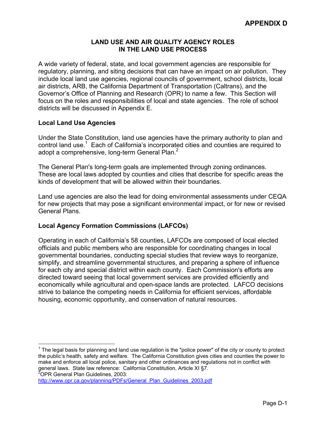## **LAND USE AND AIR QUALITY AGENCY ROLES IN THE LAND USE PROCESS**

A wide variety of federal, state, and local government agencies are responsible for regulatory, planning, and siting decisions that can have an impact on air pollution. They include local land use agencies, regional councils of government, school districts, local air districts, ARB, the California Department of Transportation (Caltrans), and the Governor's Office of Planning and Research (OPR) to name a few. This Section will focus on the roles and responsibilities of local and state agencies. The role of school districts will be discussed in Appendix E.

# **Local Land Use Agencies**

adopt a comprehensive, long-term General Plan. $^2$ Under the State Constitution, land use agencies have the primary authority to plan and control land use.<sup>[1](#page-87-0)</sup> Each of California's incorporated cities and counties are required to

The General Plan's long-term goals are implemented through zoning ordinances. These are local laws adopted by counties and cities that describe for specific areas the kinds of development that will be allowed within their boundaries.

Land use agencies are also the lead for doing environmental assessments under CEQA for new projects that may pose a significant environmental impact, or for new or revised General Plans.

# **Local Agency Formation Commissions (LAFCOs)**

Operating in each of California's 58 counties, LAFCOs are composed of local elected officials and public members who are responsible for coordinating changes in local governmental boundaries, conducting special studies that review ways to reorganize, simplify, and streamline governmental structures, and preparing a sphere of influence for each city and special district within each county. Each Commission's efforts are directed toward seeing that local government services are provided efficiently and economically while agricultural and open-space lands are protected. LAFCO decisions strive to balance the competing needs in California for efficient services, affordable housing, economic opportunity, and conservation of natural resources.

<span id="page-87-0"></span> $\overline{a}$  $1$  The legal basis for planning and land use regulation is the "police power" of the city or county to protect the public's health, safety and welfare. The California Constitution gives cities and counties the power to make and enforce all local police, sanitary and other ordinances and regulations not in conflict with general laws. State law reference: California Constitution, Article XI §7.<br><sup>2</sup>OPR General Plan Guidelines, 2003:

<span id="page-87-1"></span>

[http://www.opr.ca.gov/planning/PDFs/General\\_Plan\\_Guidelines\\_2003.pdf](http://www.opr.ca.gov/planning/PDFs/General_Plan_Guidelines_2003.pdf)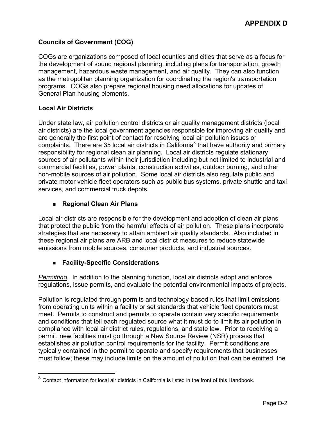# **Councils of Government (COG)**

COGs are organizations composed of local counties and cities that serve as a focus for the development of sound regional planning, including plans for transportation, growth management, hazardous waste management, and air quality. They can also function as the metropolitan planning organization for coordinating the region's transportation programs. COGs also prepare regional housing need allocations for updates of General Plan housing elements.

## **Local Air Districts**

 $\overline{a}$ 

Under state law, air pollution control districts or air quality management districts (local air districts) are the local government agencies responsible for improving air quality and are generally the first point of contact for resolving local air pollution issues or complaints. There are [3](#page-88-0)5 local air districts in California<sup>3</sup> that have authority and primary responsibility for regional clean air planning. Local air districts regulate stationary sources of air pollutants within their jurisdiction including but not limited to industrial and commercial facilities, power plants, construction activities, outdoor burning, and other non-mobile sources of air pollution. Some local air districts also regulate public and private motor vehicle fleet operators such as public bus systems, private shuttle and taxi services, and commercial truck depots.

# **Regional Clean Air Plans**

Local air districts are responsible for the development and adoption of clean air plans that protect the public from the harmful effects of air pollution. These plans incorporate strategies that are necessary to attain ambient air quality standards. Also included in these regional air plans are ARB and local district measures to reduce statewide emissions from mobile sources, consumer products, and industrial sources.

# **Facility-Specific Considerations**

*Permitting.* In addition to the planning function, local air districts adopt and enforce regulations, issue permits, and evaluate the potential environmental impacts of projects.

Pollution is regulated through permits and technology-based rules that limit emissions from operating units within a facility or set standards that vehicle fleet operators must meet. Permits to construct and permits to operate contain very specific requirements and conditions that tell each regulated source what it must do to limit its air pollution in compliance with local air district rules, regulations, and state law. Prior to receiving a permit, new facilities must go through a New Source Review (NSR) process that establishes air pollution control requirements for the facility. Permit conditions are typically contained in the permit to operate and specify requirements that businesses must follow; these may include limits on the amount of pollution that can be emitted, the

<span id="page-88-0"></span> $3$  Contact information for local air districts in California is listed in the front of this Handbook.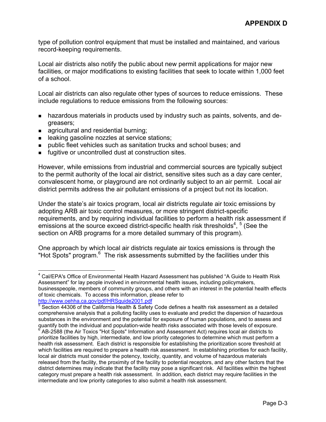type of pollution control equipment that must be installed and maintained, and various record-keeping requirements.

Local air districts also notify the public about new permit applications for major new facilities, or major modifications to existing facilities that seek to locate within 1,000 feet of a school.

Local air districts can also regulate other types of sources to reduce emissions. These include regulations to reduce emissions from the following sources:

- **hazardous materials in products used by industry such as paints, solvents, and de**greasers;
- **agricultural and residential burning;**

 $\overline{a}$ 

- **EXEC** leaking gasoline nozzles at service stations;
- **public fleet vehicles such as sanitation trucks and school buses; and**
- **fugitive or uncontrolled dust at construction sites.**

However, while emissions from industrial and commercial sources are typically subject to the permit authority of the local air district, sensitive sites such as a day care center, convalescent home, or playground are not ordinarily subject to an air permit. Local air district permits address the air pollutant emissions of a project but not its location.

Under the state's air toxics program, local air districts regulate air toxic emissions by adopting ARB air toxic control measures, or more stringent district-specific requirements, and by requiring individual facilities to perform a health risk assessment if emissions at the source exceed district-specific health risk thresholds<sup>[4](#page-89-0)</sup>,  $5$  (See the section on ARB programs for a more detailed summary of this program).

One approach by which local air districts regulate air toxics emissions is through the "Hot Spots" program.<sup>[6](#page-89-2)</sup> The risk assessments submitted by the facilities under this

<span id="page-89-0"></span><sup>&</sup>lt;sup>4</sup> Cal/EPA's Office of Environmental Health Hazard Assessment has published "A Guide to Health Risk Assessment" for lay people involved in environmental health issues, including policymakers, businesspeople, members of community groups, and others with an interest in the potential health effects of toxic chemicals. To access this information, please refer to

<span id="page-89-2"></span><span id="page-89-1"></span><sup>&</sup>lt;u><http://www.oehha.ca.gov/pdf/HRSguide2001.pdf></u><br><sup>5</sup> Section 44306 of the California Health & Safety Code defines a health risk assessment as a detailed comprehensive analysis that a polluting facility uses to evaluate and predict the dispersion of hazardous substances in the environment and the potential for exposure of human populations, and to assess and quantify both the individual and population-wide health risks associated with those levels of exposure. 6 AB-2588 (the Air Toxics "Hot Spots" Information and Assessment Act) requires local air districts to prioritize facilities by high, intermediate, and low priority categories to determine which must perform a health risk assessment. Each district is responsible for establishing the prioritization score threshold at which facilities are required to prepare a health risk assessment. In establishing priorities for each facility, local air districts must consider the potency, toxicity, quantity, and volume of hazardous materials released from the facility, the proximity of the facility to potential receptors, and any other factors that the district determines may indicate that the facility may pose a significant risk. All facilities within the highest category must prepare a health risk assessment. In addition, each district may require facilities in the intermediate and low priority categories to also submit a health risk assessment.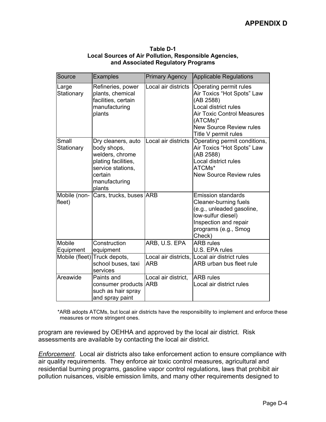| Source                 | <b>Examples</b>                                                                                                                        | <b>Primary Agency</b> | <b>Applicable Regulations</b>                                                                                                                                                                        |
|------------------------|----------------------------------------------------------------------------------------------------------------------------------------|-----------------------|------------------------------------------------------------------------------------------------------------------------------------------------------------------------------------------------------|
| Large<br>Stationary    | Refineries, power<br>plants, chemical<br>facilities, certain<br>manufacturing<br>plants                                                | Local air districts   | Operating permit rules<br>Air Toxics "Hot Spots" Law<br>(AB 2588)<br>Local district rules<br><b>Air Toxic Control Measures</b><br>(ATCMs)*<br><b>New Source Review rules</b><br>Title V permit rules |
| Small<br>Stationary    | Dry cleaners, auto<br>body shops,<br>welders, chrome<br>plating facilities,<br>service stations,<br>certain<br>manufacturing<br>plants | Local air districts   | Operating permit conditions,<br>Air Toxics "Hot Spots" Law<br>(AB 2588)<br>Local district rules<br>ATCMs*<br><b>New Source Review rules</b>                                                          |
| Mobile (non-<br>fleet) | Cars, trucks, buses ARB                                                                                                                |                       | <b>Emission standards</b><br>Cleaner-burning fuels<br>(e.g., unleaded gasoline,<br>low-sulfur diesel)<br>Inspection and repair<br>programs (e.g., Smog<br>Check)                                     |
| Mobile<br>Equipment    | Construction<br>equipment                                                                                                              | ARB, U.S. EPA         | <b>ARB</b> rules<br>U.S. EPA rules                                                                                                                                                                   |
| Mobile (fleet)         | Truck depots,<br>school buses, taxi<br>services                                                                                        | <b>ARB</b>            | Local air districts, Local air district rules<br>ARB urban bus fleet rule                                                                                                                            |
| Areawide               | Paints and<br>consumer products ARB<br>such as hair spray<br>and spray paint                                                           | Local air district,   | <b>ARB</b> rules<br>Local air district rules                                                                                                                                                         |

**Table D-1 Local Sources of Air Pollution, Responsible Agencies, and Associated Regulatory Programs** 

\*ARB adopts ATCMs, but local air districts have the responsibility to implement and enforce these measures or more stringent ones.

program are reviewed by OEHHA and approved by the local air district. Risk assessments are available by contacting the local air district.

*Enforcement.* Local air districts also take enforcement action to ensure compliance with air quality requirements. They enforce air toxic control measures, agricultural and residential burning programs, gasoline vapor control regulations, laws that prohibit air pollution nuisances, visible emission limits, and many other requirements designed to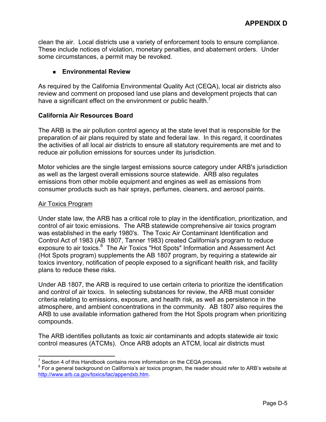clean the air. Local districts use a variety of enforcement tools to ensure compliance. These include notices of violation, monetary penalties, and abatement orders. Under some circumstances, a permit may be revoked.

## **Environmental Review**

As required by the California Environmental Quality Act (CEQA), local air districts also review and comment on proposed land use plans and development projects that can have a significant effect on the environment or public health.<sup>1</sup>

## **California Air Resources Board**

The ARB is the air pollution control agency at the state level that is responsible for the preparation of air plans required by state and federal law. In this regard, it coordinates the activities of all local air districts to ensure all statutory requirements are met and to reduce air pollution emissions for sources under its jurisdiction.

Motor vehicles are the single largest emissions source category under ARB's jurisdiction as well as the largest overall emissions source statewide. ARB also regulates emissions from other mobile equipment and engines as well as emissions from consumer products such as hair sprays, perfumes, cleaners, and aerosol paints.

## Air Toxics Program

Under state law, the ARB has a critical role to play in the identification, prioritization, and control of air toxic emissions. The ARB statewide comprehensive air toxics program was established in the early 1980's. The Toxic Air Contaminant Identification and Control Act of 1983 (AB 1807, Tanner 1983) created California's program to reduce exposure to air toxics.<sup>[8](#page-91-1)</sup> The Air Toxics "Hot Spots" Information and Assessment Act (Hot Spots program) supplements the AB 1807 program, by requiring a statewide air toxics inventory, notification of people exposed to a significant health risk, and facility plans to reduce these risks.

Under AB 1807, the ARB is required to use certain criteria to prioritize the identification and control of air toxics. In selecting substances for review, the ARB must consider criteria relating to emissions, exposure, and health risk, as well as persistence in the atmosphere, and ambient concentrations in the community. AB 1807 also requires the ARB to use available information gathered from the Hot Spots program when prioritizing compounds.

The ARB identifies pollutants as toxic air contaminants and adopts statewide air toxic control measures (ATCMs). Once ARB adopts an ATCM, local air districts must

<sup>&</sup>lt;sup>7</sup> Section 4 of this Handbook contains more information on the CEQA process.

<span id="page-91-1"></span><span id="page-91-0"></span><sup>&</sup>lt;sup>8</sup> For a general background on California's air toxics program, the reader should refer to ARB's website at <http://www.arb.ca.gov/toxics/tac/appendxb.htm>.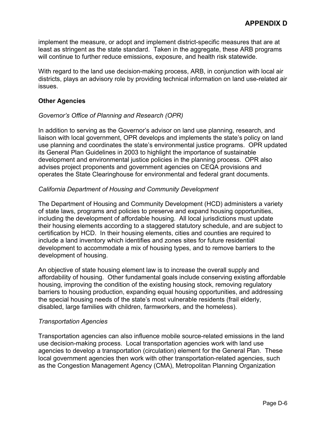implement the measure, or adopt and implement district-specific measures that are at least as stringent as the state standard. Taken in the aggregate, these ARB programs will continue to further reduce emissions, exposure, and health risk statewide.

With regard to the land use decision-making process, ARB, in conjunction with local air districts, plays an advisory role by providing technical information on land use-related air issues.

### **Other Agencies**

#### *Governor's Office of Planning and Research (OPR)*

In addition to serving as the Governor's advisor on land use planning, research, and liaison with local government, OPR develops and implements the state's policy on land use planning and coordinates the state's environmental justice programs. OPR updated its General Plan Guidelines in 2003 to highlight the importance of sustainable development and environmental justice policies in the planning process. OPR also advises project proponents and government agencies on CEQA provisions and operates the State Clearinghouse for environmental and federal grant documents.

#### *California Department of Housing and Community Development*

The Department of Housing and Community Development (HCD) administers a variety of state laws, programs and policies to preserve and expand housing opportunities, including the development of affordable housing. All local jurisdictions must update their housing elements according to a staggered statutory schedule, and are subject to certification by HCD. In their housing elements, cities and counties are required to include a land inventory which identifies and zones sites for future residential development to accommodate a mix of housing types, and to remove barriers to the development of housing.

An objective of state housing element law is to increase the overall supply and affordability of housing. Other fundamental goals include conserving existing affordable housing, improving the condition of the existing housing stock, removing regulatory barriers to housing production, expanding equal housing opportunities, and addressing the special housing needs of the state's most vulnerable residents (frail elderly, disabled, large families with children, farmworkers, and the homeless).

#### *Transportation Agencies*

Transportation agencies can also influence mobile source-related emissions in the land use decision-making process. Local transportation agencies work with land use agencies to develop a transportation (circulation) element for the General Plan. These local government agencies then work with other transportation-related agencies, such as the Congestion Management Agency (CMA), Metropolitan Planning Organization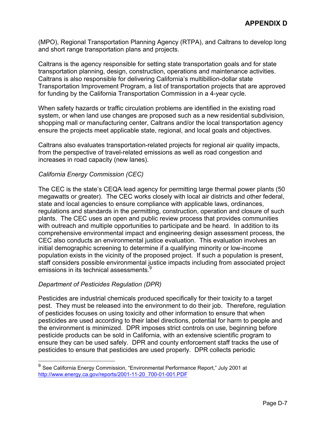(MPO), Regional Transportation Planning Agency (RTPA), and Caltrans to develop long and short range transportation plans and projects.

Caltrans is the agency responsible for setting state transportation goals and for state transportation planning, design, construction, operations and maintenance activities. Caltrans is also responsible for delivering California's multibillion-dollar state Transportation Improvement Program, a list of transportation projects that are approved for funding by the California Transportation Commission in a 4-year cycle.

When safety hazards or traffic circulation problems are identified in the existing road system, or when land use changes are proposed such as a new residential subdivision, shopping mall or manufacturing center, Caltrans and/or the local transportation agency ensure the projects meet applicable state, regional, and local goals and objectives.

Caltrans also evaluates transportation-related projects for regional air quality impacts, from the perspective of travel-related emissions as well as road congestion and increases in road capacity (new lanes).

## *California Energy Commission (CEC)*

The CEC is the state's CEQA lead agency for permitting large thermal power plants (50 megawatts or greater). The CEC works closely with local air districts and other federal, state and local agencies to ensure compliance with applicable laws, ordinances, regulations and standards in the permitting, construction, operation and closure of such plants. The CEC uses an open and public review process that provides communities with outreach and multiple opportunities to participate and be heard. In addition to its comprehensive environmental impact and engineering design assessment process, the CEC also conducts an environmental justice evaluation. This evaluation involves an initial demographic screening to determine if a qualifying minority or low-income population exists in the vicinity of the proposed project. If such a population is present, staff considers possible environmental justice impacts including from associated project emissions in its technical assessments.<sup>9</sup>

## *Department of Pesticides Regulation (DPR)*

 $\overline{a}$ 

Pesticides are industrial chemicals produced specifically for their toxicity to a target pest. They must be released into the environment to do their job. Therefore, regulation of pesticides focuses on using toxicity and other information to ensure that when pesticides are used according to their label directions, potential for harm to people and the environment is minimized. DPR imposes strict controls on use, beginning before pesticide products can be sold in California, with an extensive scientific program to ensure they can be used safely. DPR and county enforcement staff tracks the use of pesticides to ensure that pesticides are used properly. DPR collects periodic

<span id="page-93-0"></span><sup>9</sup> See California Energy Commission, "Environmental Performance Report," July 2001 at [http://www.energy.ca.gov/reports/2001-11-20\\_700-01-001.PDF](http://www.energy.ca.gov/reports/2001-11-20_700-01-001.PDF)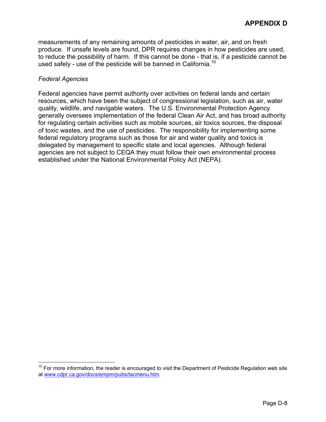used safely - use of the pesticide will be banned in California.<sup>10</sup> measurements of any remaining amounts of pesticides in water, air, and on fresh produce. If unsafe levels are found, DPR requires changes in how pesticides are used, to reduce the possibility of harm. If this cannot be done - that is, if a pesticide cannot be

#### *Federal Agencies*

 $\overline{a}$ 

Federal agencies have permit authority over activities on federal lands and certain resources, which have been the subject of congressional legislation, such as air, water quality, wildlife, and navigable waters. The U.S. Environmental Protection Agency generally oversees implementation of the federal Clean Air Act, and has broad authority for regulating certain activities such as mobile sources, air toxics sources, the disposal of toxic wastes, and the use of pesticides. The responsibility for implementing some federal regulatory programs such as those for air and water quality and toxics is delegated by management to specific state and local agencies. Although federal agencies are not subject to CEQA they must follow their own environmental process established under the National Environmental Policy Act (NEPA).

<span id="page-94-0"></span> $10$  For more information, the reader is encouraged to visit the Department of Pesticide Regulation web site at [www.cdpr.ca.gov/docs/empm/pubs/tacmenu.htm](http://www.cdpr.ca.gov/docs/empm/pubs/tacmenu.htm).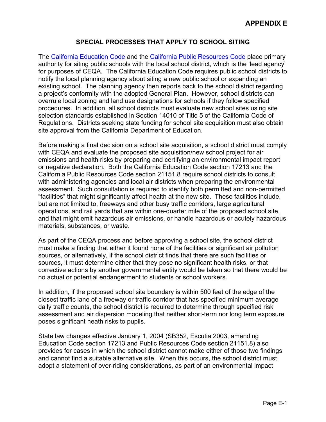# **SPECIAL PROCESSES THAT APPLY TO SCHOOL SITING**

The [California Education Code](http://www.cde.ca.gov/facilities/field/codes/title5regs.htm) and the [California Public Resources Code](http://ceres.ca.gov/ceqa/stat/) place primary authority for siting public schools with the local school district, which is the 'lead agency' for purposes of CEQA. The California Education Code requires public school districts to notify the local planning agency about siting a new public school or expanding an existing school. The planning agency then reports back to the school district regarding a project's conformity with the adopted General Plan. However, school districts can overrule local zoning and land use designations for schools if they follow specified procedures. In addition, all school districts must evaluate new school sites using site selection standards established in Section 14010 of Title 5 of the California Code of Regulations. Districts seeking state funding for school site acquisition must also obtain site approval from the California Department of Education.

Before making a final decision on a school site acquisition, a school district must comply with CEQA and evaluate the proposed site acquisition/new school project for air emissions and health risks by preparing and certifying an environmental impact report or negative declaration. Both the California Education Code section 17213 and the California Public Resources Code section 21151.8 require school districts to consult with administering agencies and local air districts when preparing the environmental assessment. Such consultation is required to identify both permitted and non-permitted "facilities" that might significantly affect health at the new site. These facilities include, but are not limited to, freeways and other busy traffic corridors, large agricultural operations, and rail yards that are within one-quarter mile of the proposed school site, and that might emit hazardous air emissions, or handle hazardous or acutely hazardous materials, substances, or waste.

As part of the CEQA process and before approving a school site, the school district must make a finding that either it found none of the facilities or significant air pollution sources, or alternatively, if the school district finds that there are such facilities or sources, it must determine either that they pose no significant health risks, or that corrective actions by another governmental entity would be taken so that there would be no actual or potential endangerment to students or school workers.

In addition, if the proposed school site boundary is within 500 feet of the edge of the closest traffic lane of a freeway or traffic corridor that has specified minimum average daily traffic counts, the school district is required to determine through specified risk assessment and air dispersion modeling that neither short-term nor long term exposure poses significant heath risks to pupils.

State law changes effective January 1, 2004 (SB352, Escutia 2003, amending Education Code section 17213 and Public Resources Code section 21151.8) also provides for cases in which the school district cannot make either of those two findings and cannot find a suitable alternative site. When this occurs, the school district must adopt a statement of over-riding considerations, as part of an environmental impact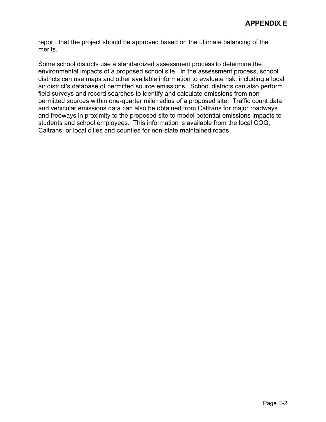report, that the project should be approved based on the ultimate balancing of the merits.

Some school districts use a standardized assessment process to determine the environmental impacts of a proposed school site. In the assessment process, school districts can use maps and other available information to evaluate risk, including a local air district's database of permitted source emissions. School districts can also perform field surveys and record searches to identify and calculate emissions from nonpermitted sources within one-quarter mile radius of a proposed site. Traffic count data and vehicular emissions data can also be obtained from Caltrans for major roadways and freeways in proximity to the proposed site to model potential emissions impacts to students and school employees. This information is available from the local COG, Caltrans, or local cities and counties for non-state maintained roads.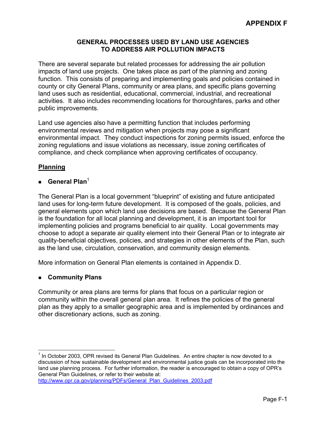## **GENERAL PROCESSES USED BY LAND USE AGENCIES TO ADDRESS AIR POLLUTION IMPACTS**

There are several separate but related processes for addressing the air pollution impacts of land use projects. One takes place as part of the planning and zoning function. This consists of preparing and implementing goals and policies contained in county or city General Plans, community or area plans, and specific plans governing land uses such as residential, educational, commercial, industrial, and recreational activities. It also includes recommending locations for thoroughfares, parks and other public improvements.

Land use agencies also have a permitting function that includes performing environmental reviews and mitigation when projects may pose a significant environmental impact. They conduct inspections for zoning permits issued, enforce the zoning regulations and issue violations as necessary, issue zoning certificates of compliance, and check compliance when approving certificates of occupancy.

# **Planning**

## **General Plan**[1](#page-97-0)

The General Plan is a local government "blueprint" of existing and future anticipated land uses for long-term future development. It is composed of the goals, policies, and general elements upon which land use decisions are based. Because the General Plan is the foundation for all local planning and development, it is an important tool for implementing policies and programs beneficial to air quality. Local governments may choose to adopt a separate air quality element into their General Plan or to integrate air quality-beneficial objectives, policies, and strategies in other elements of the Plan, such as the land use, circulation, conservation, and community design elements.

More information on General Plan elements is contained in Appendix D.

## **Community Plans**

Community or area plans are terms for plans that focus on a particular region or community within the overall general plan area. It refines the policies of the general plan as they apply to a smaller geographic area and is implemented by ordinances and other discretionary actions, such as zoning.

<span id="page-97-0"></span> $\overline{a}$  $<sup>1</sup>$  In October 2003, OPR revised its General Plan Guidelines. An entire chapter is now devoted to a</sup> discussion of how sustainable development and environmental justice goals can be incorporated into the land use planning process. For further information, t[he](http://www.opr.ca.gov/planning/PDFs/2003_General_Plan_Guidelines_Second_Draft.pdf) reader is encouraged to obtain a copy of OPR's General Plan Guidelines, or refer to their website at: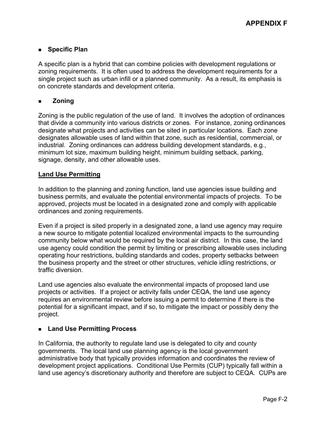# **Specific Plan**

A specific plan is a hybrid that can combine policies with development regulations or zoning requirements. It is often used to address the development requirements for a single project such as urban infill or a planned community. As a result, its emphasis is on concrete standards and development criteria.

# **Zoning**

Zoning is the public regulation of the use of land. It involves the adoption of ordinances that divide a community into various districts or zones. For instance, zoning ordinances designate what projects and activities can be sited in particular locations. Each zone designates allowable uses of land within that zone, such as residential, commercial, or industrial. Zoning ordinances can address building development standards, e.g., minimum lot size, maximum building height, minimum building setback, parking, signage, density, and other allowable uses.

## **Land Use Permitting**

In addition to the planning and zoning function, land use agencies issue building and business permits, and evaluate the potential environmental impacts of projects. To be approved, projects must be located in a designated zone and comply with applicable ordinances and zoning requirements.

Even if a project is sited properly in a designated zone, a land use agency may require a new source to mitigate potential localized environmental impacts to the surrounding community below what would be required by the local air district. In this case, the land use agency could condition the permit by limiting or prescribing allowable uses including operating hour restrictions, building standards and codes, property setbacks between the business property and the street or other structures, vehicle idling restrictions, or traffic diversion.

Land use agencies also evaluate the environmental impacts of proposed land use projects or activities. If a project or activity falls under CEQA, the land use agency requires an environmental review before issuing a permit to determine if there is the potential for a significant impact, and if so, to mitigate the impact or possibly deny the project.

## **Land Use Permitting Process**

In California, the authority to regulate land use is delegated to city and county governments. The local land use planning agency is the local government administrative body that typically provides information and coordinates the review of development project applications. Conditional Use Permits (CUP) typically fall within a land use agency's discretionary authority and therefore are subject to CEQA. CUPs are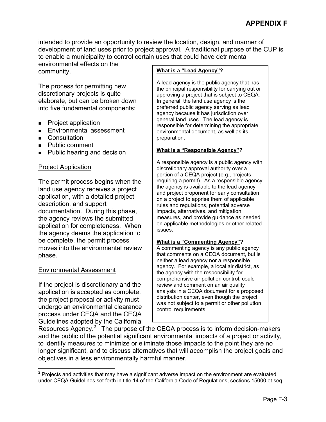intended to provide an opportunity to review the location, design, and manner of development of land uses prior to project approval. A traditional purpose of the CUP is to enable a municipality to control certain uses that could have detrimental

environmental effects on the community.

The process for permitting new discretionary projects is quite elaborate, but can be broken down into five fundamental components:

- **Project application**
- Environmental assessment
- **Consultation**
- **Public comment**
- **Public hearing and decision**

# Project Application

The permit process begins when the land use agency receives a project application, with a detailed project description, and support documentation. During this phase, the agency reviews the submitted application for completeness. When the agency deems the application to be complete, the permit process moves into the environmental review phase.

# Environmental Assessment

If the project is discretionary and the application is accepted as complete, the project proposal or activity must undergo an environmental clearance process under CEQA and the CEQA Guidelines adopted by the California

### **What is a "Lead Agency"?**

A lead agency is the public agency that has the principal responsibility for carrying out or approving a project that is subject to CEQA. In general, the land use agency is the preferred public agency serving as lead agency because it has jurisdiction over general land uses. The lead agency is responsible for determining the appropriate environmental document, as well as its preparation.

#### **What is a "Responsible Agency"?**

 on a project to apprise them of applicable rules and regulations, potential adverse measures, and provide guidance as needed on applicable methodologies or other related issues. A responsible agency is a public agency with discretionary approval authority over a portion of a CEQA project (e.g., projects requiring a permit). As a responsible agency, the agency is available to the lead agency and project proponent for early consultation impacts, alternatives, and mitigation

#### **What is a "Commenting Agency"?**

 that comments on a CEQA document, but is agency. For example, a local air district, as comprehensive air pollution control, could analysis in a CEQA document for a proposed was not subject to a permit or other pollution A commenting agency is any public agency neither a lead agency nor a responsible the agency with the responsibility for review and comment on an air quality distribution center, even though the project control requirements.

Resources Agency.<sup>[2](#page-99-0)</sup> The purpose of the CEQA process is to inform decision-makers and the public of the potential significant environmental impacts of a project or activity, to identify measures to minimize or eliminate those impacts to the point they are no longer significant, and to discuss alternatives that will accomplish the project goals and objectives in a less environmentally harmful manner.

<span id="page-99-0"></span> 2 Projects and activities that may have a significant adverse impact on the environment are evaluated under CEQA Guidelines set forth in title 14 of the California Code of Regulations, sections 15000 et seq.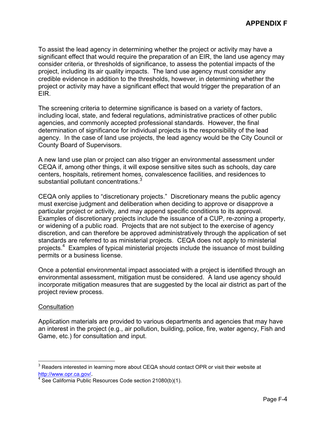To assist the lead agency in determining whether the project or activity may have a significant effect that would require the preparation of an EIR, the land use agency may consider criteria, or thresholds of significance, to assess the potential impacts of the project, including its air quality impacts. The land use agency must consider any credible evidence in addition to the thresholds, however, in determining whether the project or activity may have a significant effect that would trigger the preparation of an EIR.

The screening criteria to determine significance is based on a variety of factors, including local, state, and federal regulations, administrative practices of other public agencies, and commonly accepted professional standards. However, the final determination of significance for individual projects is the responsibility of the lead agency. In the case of land use projects, the lead agency would be the City Council or County Board of Supervisors.

substantial pollutant concentrations. $3$ A new land use plan or project can also trigger an environmental assessment under CEQA if, among other things, it will expose sensitive sites such as schools, day care centers, hospitals, retirement homes, convalescence facilities, and residences to

CEQA only applies to "discretionary projects." Discretionary means the public agency must exercise judgment and deliberation when deciding to approve or disapprove a particular project or activity, and may append specific conditions to its approval. Examples of discretionary projects include the issuance of a CUP, re-zoning a property, or widening of a public road. Projects that are not subject to the exercise of agency discretion, and can therefore be approved administratively through the application of set standards are referred to as ministerial projects. CEQA does not apply to ministerial projects.<sup>[4](#page-100-1)</sup> Examples of typical ministerial projects include the issuance of most building permits or a business license.

Once a potential environmental impact associated with a project is identified through an environmental assessment, mitigation must be considered. A land use agency should incorporate mitigation measures that are suggested by the local air district as part of the project review process.

## **Consultation**

Application materials are provided to various departments and agencies that may have an interest in the project (e.g., air pollution, building, police, fire, water agency, Fish and Game, etc.) for consultation and input.

<span id="page-100-0"></span><sup>1</sup>  $3$  Readers interested in learning more about CEQA should contact OPR or visit their website at <http://www.opr.ca.gov/>.

<span id="page-100-1"></span>See California Public Resources Code section 21080(b)(1).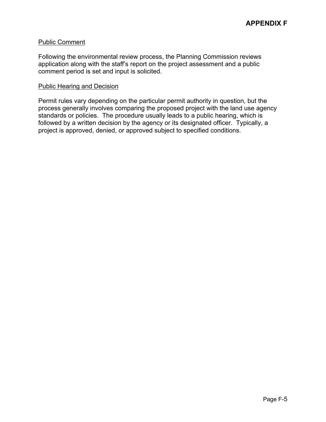#### Public Comment

Following the environmental review process, the Planning Commission reviews application along with the staff's report on the project assessment and a public comment period is set and input is solicited.

#### Public Hearing and Decision

Permit rules vary depending on the particular permit authority in question, but the process generally involves comparing the proposed project with the land use agency standards or policies. The procedure usually leads to a public hearing, which is followed by a written decision by the agency or its designated officer. Typically, a project is approved, denied, or approved subject to specified conditions.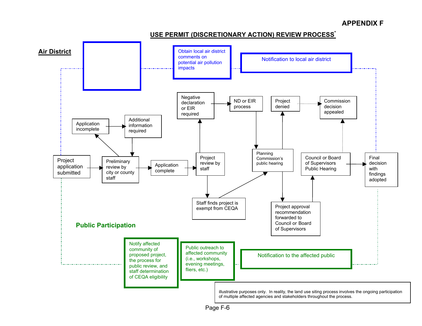

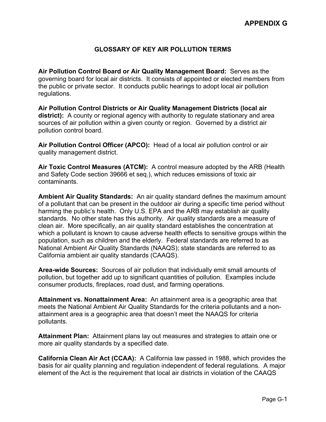# **GLOSSARY OF KEY AIR POLLUTION TERMS**

**Air Pollution Control Board or Air Quality Management Board:** Serves as the governing board for local air districts. It consists of appointed or elected members from the public or private sector. It conducts public hearings to adopt local air pollution regulations.

**Air Pollution Control Districts or Air Quality Management Districts (local air district):** A county or regional agency with authority to regulate stationary and area sources of air pollution within a given county or region. Governed by a district air pollution control board.

**Air Pollution Control Officer (APCO):** Head of a local air pollution control or air quality management district.

**Air Toxic Control Measures (ATCM):** A control measure adopted by the ARB (Health and Safety Code section 39666 et seq.), which reduces emissions of toxic air contaminants.

**Ambient Air Quality Standards:** An air quality standard defines the maximum amount of a pollutant that can be present in the outdoor air during a specific time period without harming the public's health. Only U.S. EPA and the ARB may establish air quality standards. No other state has this authority. Air quality standards are a measure of clean air. More specifically, an air quality standard establishes the concentration at which a pollutant is known to cause adverse health effects to sensitive groups within the population, such as children and the elderly. Federal standards are referred to as National Ambient Air Quality Standards (NAAQS); state standards are referred to as California ambient air quality standards (CAAQS).

**Area-wide Sources:** Sources of air pollution that individually emit small amounts of pollution, but together add up to significant quantities of pollution. Examples include consumer products, fireplaces, road dust, and farming operations.

**Attainment vs. Nonattainment Area:** An attainment area is a geographic area that meets the National Ambient Air Quality Standards for the criteria pollutants and a nonattainment area is a geographic area that doesn't meet the NAAQS for criteria pollutants.

**Attainment Plan:** Attainment plans lay out measures and strategies to attain one or more air quality standards by a specified date.

**California Clean Air Act (CCAA):** A California law passed in 1988, which provides the basis for air quality planning and regulation independent of federal regulations. A major element of the Act is the requirement that local air districts in violation of the CAAQS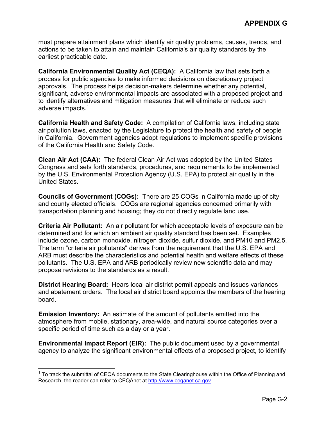must prepare attainment plans which identify air quality problems, causes, trends, and actions to be taken to attain and maintain California's air quality standards by the earliest practicable date.

**California Environmental Quality Act (CEQA):** A California law that sets forth a process for public agencies to make informed decisions on discretionary project approvals. The process helps decision-makers determine whether any potential, significant, adverse environmental impacts are associated with a proposed project and to identify alternatives and mitigation measures that will eliminate or reduce such adverse impacts.<sup>1</sup>

**California Health and Safety Code:** A compilation of California laws, including state air pollution laws, enacted by the Legislature to protect the health and safety of people in California. Government agencies adopt regulations to implement specific provisions of the California Health and Safety Code.

**Clean Air Act (CAA):** The federal Clean Air Act was adopted by the United States Congress and sets forth standards, procedures, and requirements to be implemented by the U.S. Environmental Protection Agency (U.S. EPA) to protect air quality in the United States.

**Councils of Government (COGs):** There are 25 COGs in California made up of city and county elected officials. COGs are regional agencies concerned primarily with transportation planning and housing; they do not directly regulate land use.

**Criteria Air Pollutant:** An air pollutant for which acceptable levels of exposure can be determined and for which an ambient air quality standard has been set. Examples include ozone, carbon monoxide, nitrogen dioxide, sulfur dioxide, and PM10 and PM2.5. The term "criteria air pollutants" derives from the requirement that the U.S. EPA and ARB must describe the characteristics and potential health and welfare effects of these pollutants. The U.S. EPA and ARB periodically review new scientific data and may propose revisions to the standards as a result.

**District Hearing Board:** Hears local air district permit appeals and issues variances and abatement orders. The local air district board appoints the members of the hearing board.

**Emission Inventory:** An estimate of the amount of pollutants emitted into the atmosphere from mobile, stationary, area-wide, and natural source categories over a specific period of time such as a day or a year.

**Environmental Impact Report (EIR):** The public document used by a governmental agency to analyze the significant environmental effects of a proposed project, to identify

 $\overline{a}$ 

<span id="page-104-0"></span> $1$  To track the submittal of CEQA documents to the State Clearinghouse within the Office of Planning and Research, the reader can refer to CEQAnet at [http://www.ceqanet.ca.gov](http://www.ceqanet.ca.gov/).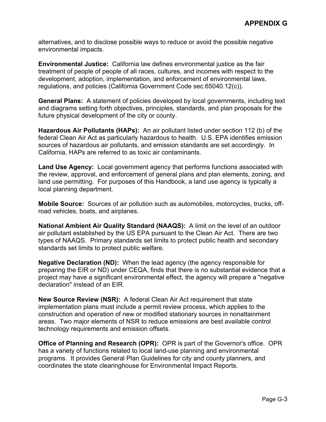alternatives, and to disclose possible ways to reduce or avoid the possible negative environmental impacts.

**Environmental Justice:** California law defines environmental justice as the fair treatment of people of people of all races, cultures, and incomes with respect to the development, adoption, implementation, and enforcement of environmental laws, regulations, and policies (California Government Code sec.65040.12(c)).

**General Plans:** A statement of policies developed by local governments, including text and diagrams setting forth objectives, principles, standards, and plan proposals for the future physical development of the city or county.

**Hazardous Air Pollutants (HAPs):** An air pollutant listed under section 112 (b) of the federal Clean Air Act as particularly hazardous to health. U.S. EPA identifies emission sources of hazardous air pollutants, and emission standards are set accordingly. In California, HAPs are referred to as toxic air contaminants.

**Land Use Agency:** Local government agency that performs functions associated with the review, approval, and enforcement of general plans and plan elements, zoning, and land use permitting. For purposes of this Handbook, a land use agency is typically a local planning department.

**Mobile Source:** Sources of air pollution such as automobiles, motorcycles, trucks, offroad vehicles, boats, and airplanes.

**National Ambient Air Quality Standard (NAAQS):** A limit on the level of an outdoor air pollutant established by the US EPA pursuant to the Clean Air Act. There are two types of NAAQS. Primary standards set limits to protect public health and secondary standards set limits to protect public welfare.

**Negative Declaration (ND):** When the lead agency (the agency responsible for preparing the EIR or ND) under CEQA, finds that there is no substantial evidence that a project may have a significant environmental effect, the agency will prepare a "negative declaration" instead of an EIR.

**New Source Review (NSR):** A federal Clean Air Act requirement that state implementation plans must include a permit review process, which applies to the construction and operation of new or modified stationary sources in nonattainment areas. Two major elements of NSR to reduce emissions are best available control technology requirements and emission offsets.

**Office of Planning and Research (OPR):** OPR is part of the Governor's office. OPR has a variety of functions related to local land-use planning and environmental programs. It provides General Plan Guidelines for city and county planners, and coordinates the state clearinghouse for Environmental Impact Reports.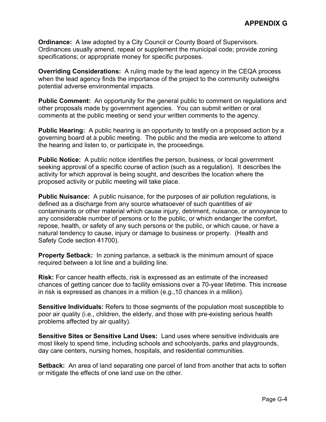**Ordinance:** A law adopted by a City Council or County Board of Supervisors. Ordinances usually amend, repeal or supplement the municipal code; provide zoning specifications; or appropriate money for specific purposes.

**Overriding Considerations:** A ruling made by the lead agency in the CEQA process when the lead agency finds the importance of the project to the community outweighs potential adverse environmental impacts.

**Public Comment:** An opportunity for the general public to comment on regulations and other proposals made by government agencies. You can submit written or oral comments at the public meeting or send your written comments to the agency.

**Public Hearing:** A public hearing is an opportunity to testify on a proposed action by a governing board at a public meeting. The public and the media are welcome to attend the hearing and listen to, or participate in, the proceedings.

**Public Notice:** A public notice identifies the person, business, or local government seeking approval of a specific course of action (such as a regulation). It describes the activity for which approval is being sought, and describes the location where the proposed activity or public meeting will take place.

**Public Nuisance:** A public nuisance, for the purposes of air pollution regulations, is defined as a discharge from any source whatsoever of such quantities of air contaminants or other material which cause injury, detriment, nuisance, or annoyance to any considerable number of persons or to the public, or which endanger the comfort, repose, health, or safety of any such persons or the public, or which cause, or have a natural tendency to cause, injury or damage to business or property. (Health and Safety Code section 41700).

**Property Setback:** In zoning parlance, a setback is the minimum amount of space required between a lot line and a building line.

**Risk:** For cancer health effects, risk is expressed as an estimate of the increased chances of getting cancer due to facility emissions over a 70-year lifetime. This increase in risk is expressed as chances in a million (e.g.,10 chances in a million).

**Sensitive Individuals:** Refers to those segments of the population most susceptible to poor air quality (i.e., children, the elderly, and those with pre-existing serious health problems affected by air quality).

**Sensitive Sites or Sensitive Land Uses:** Land uses where sensitive individuals are most likely to spend time, including schools and schoolyards, parks and playgrounds, day care centers, nursing homes, hospitals, and residential communities.

**Setback:** An area of land separating one parcel of land from another that acts to soften or mitigate the effects of one land use on the other.